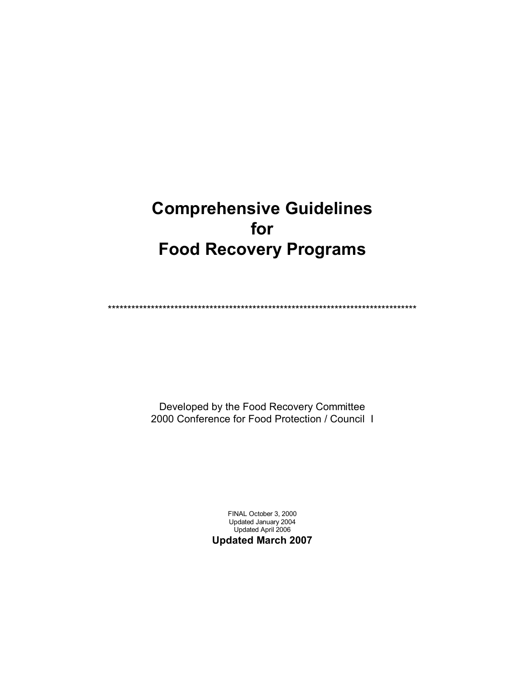# **Comprehensive Guidelines for Food Recovery Programs**

\*\*\*\*\*\*\*\*\*\*\*\*\*\*\*\*\*\*\*\*\*\*\*\*\*\*\*\*\*\*\*\*\*\*\*\*\*\*\*\*\*\*\*\*\*\*\*\*\*\*\*\*\*\*\*\*\*\*\*\*\*\*\*\*\*\*\*\*\*\*\*\*\*\*\*\*\*\*\*

Developed by the Food Recovery Committee 2000 Conference for Food Protection / Council I

> FINAL October 3, 2000 Updated January 2004 Updated April 2006 **Updated March 2007**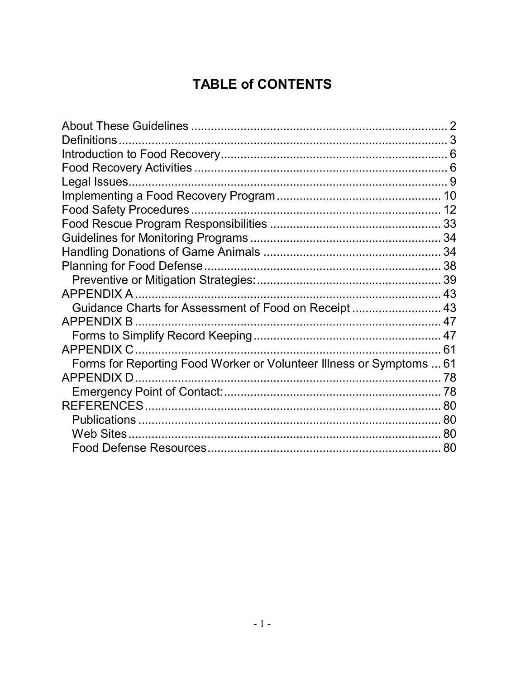## **TABLE of CONTENTS**

| Legal Issues.                                                        |    |
|----------------------------------------------------------------------|----|
|                                                                      |    |
|                                                                      | 12 |
|                                                                      |    |
|                                                                      |    |
|                                                                      |    |
|                                                                      |    |
|                                                                      |    |
| <b>APPENDIX A</b>                                                    |    |
| Guidance Charts for Assessment of Food on Receipt  43                |    |
| <b>APPENDIX B</b>                                                    |    |
|                                                                      |    |
|                                                                      | 61 |
| Forms for Reporting Food Worker or Volunteer Illness or Symptoms  61 |    |
|                                                                      | 78 |
|                                                                      |    |
|                                                                      |    |
|                                                                      |    |
|                                                                      | 80 |
|                                                                      |    |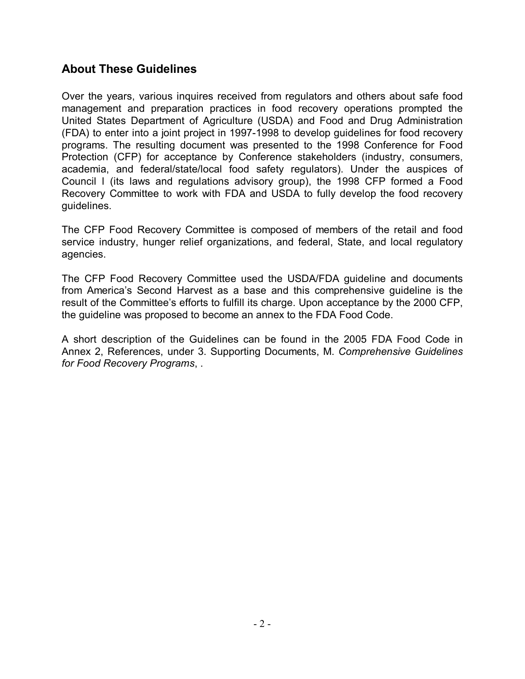## <span id="page-2-0"></span>**About These Guidelines**

Over the years, various inquires received from regulators and others about safe food management and preparation practices in food recovery operations prompted the United States Department of Agriculture (USDA) and Food and Drug Administration (FDA) to enter into a joint project in 1997-1998 to develop guidelines for food recovery programs. The resulting document was presented to the 1998 Conference for Food Protection (CFP) for acceptance by Conference stakeholders (industry, consumers, academia, and federal/state/local food safety regulators). Under the auspices of Council l (its laws and regulations advisory group), the 1998 CFP formed a Food Recovery Committee to work with FDA and USDA to fully develop the food recovery guidelines.

The CFP Food Recovery Committee is composed of members of the retail and food service industry, hunger relief organizations, and federal, State, and local regulatory agencies.

The CFP Food Recovery Committee used the USDA/FDA guideline and documents from America's Second Harvest as a base and this comprehensive guideline is the result of the Committee's efforts to fulfill its charge. Upon acceptance by the 2000 CFP, the guideline was proposed to become an annex to the FDA Food Code.

A short description of the Guidelines can be found in the 2005 FDA Food Code in Annex 2, References, under 3. Supporting Documents, M. *Comprehensive Guidelines for Food Recovery Programs*, .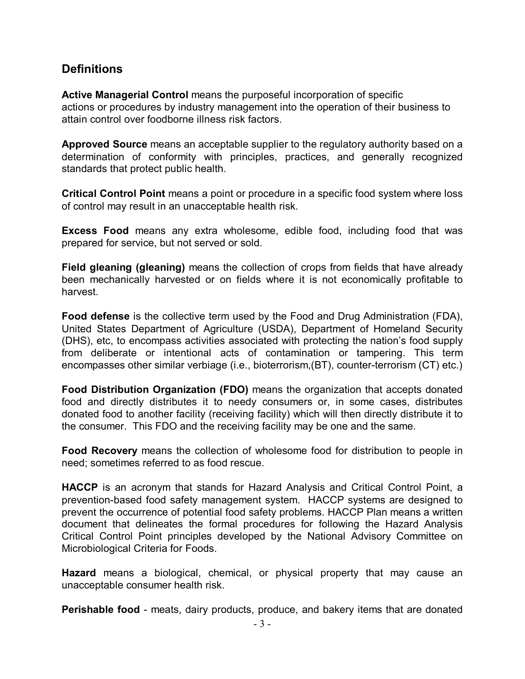## <span id="page-3-0"></span>**Definitions**

**Active Managerial Control** means the purposeful incorporation of specific actions or procedures by industry management into the operation of their business to attain control over foodborne illness risk factors.

**Approved Source** means an acceptable supplier to the regulatory authority based on a determination of conformity with principles, practices, and generally recognized standards that protect public health.

**Critical Control Point** means a point or procedure in a specific food system where loss of control may result in an unacceptable health risk.

**Excess Food** means any extra wholesome, edible food, including food that was prepared for service, but not served or sold.

**Field gleaning (gleaning)** means the collection of crops from fields that have already been mechanically harvested or on fields where it is not economically profitable to harvest.

**Food defense** is the collective term used by the Food and Drug Administration (FDA), United States Department of Agriculture (USDA), Department of Homeland Security (DHS), etc, to encompass activities associated with protecting the nation's food supply from deliberate or intentional acts of contamination or tampering. This term encompasses other similar verbiage (i.e., bioterrorism, $(BT)$ , counter-terrorism  $(CT)$  etc.)

**Food Distribution Organization (FDO)** means the organization that accepts donated food and directly distributes it to needy consumers or, in some cases, distributes donated food to another facility (receiving facility) which will then directly distribute it to the consumer. This FDO and the receiving facility may be one and the same.

**Food Recovery** means the collection of wholesome food for distribution to people in need; sometimes referred to as food rescue.

**HACCP** is an acronym that stands for Hazard Analysis and Critical Control Point, a prevention-based food safety management system. HACCP systems are designed to prevent the occurrence of potential food safety problems. HACCP Plan means a written document that delineates the formal procedures for following the Hazard Analysis Critical Control Point principles developed by the National Advisory Committee on Microbiological Criteria for Foods.

**Hazard** means a biological, chemical, or physical property that may cause an unacceptable consumer health risk.

**Perishable food** - meats, dairy products, produce, and bakery items that are donated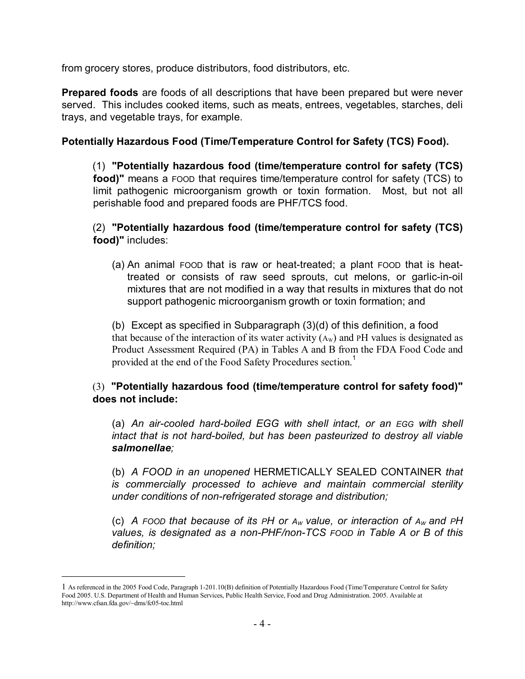from grocery stores, produce distributors, food distributors, etc.

**Prepared foods** are foods of all descriptions that have been prepared but were never served. This includes cooked items, such as meats, entrees, vegetables, starches, deli trays, and vegetable trays, for example.

#### **Potentially Hazardous Food (Time/Temperature Control for Safety (TCS) Food).**

(1) **"Potentially hazardous food (time/temperature control for safety (TCS) food)"** means a FOOD that requires time/temperature control for safety (TCS) to limit pathogenic microorganism growth or toxin formation. Most, but not all perishable food and prepared foods are PHF/TCS food.

(2) **"Potentially hazardous food (time/temperature control for safety (TCS) food)"** includes:

 $(a)$  An animal  $FOOD$  that is raw or heat-treated; a plant  $FOOD$  that is heattreated or consists of raw seed sprouts, cut melons, or garlic-in-oil mixtures that are not modified in a way that results in mixtures that do not support pathogenic microorganism growth or toxin formation; and

(b) Except as specified in Subparagraph (3)(d) of this definition, a food that because of the interaction of its water activity  $(A<sub>w</sub>)$  and PH values is designated as Product Assessment Required (PA) in Tables A and B from the FDA Food Code and provided at the end of the Food Safety Procedures section.<sup>1</sup>

#### (3) **"Potentially hazardous food (time/temperature control for safety food)" does not include:**

 $(a)$  *An air-cooled hard-boiled EGG with shell intact, or an EGG with shell intact that is not hard-boiled, but has been pasteurized to destroy all viable salmonellae;*

(b) *A FOOD in an unopened* HERMETICALLY SEALED CONTAINER *that is commercially processed to achieve and maintain commercial sterility under conditions of non-refrigerated storage and distribution;* 

(c) A *FOOD* that because of its *PH* or  $A_W$  value, or interaction of  $A_W$  and *PH values, is designated as a non-PHF/non-TCS FOOD in Table A or B of this definition;*

<sup>1</sup> As referenced in the 2005 Food Code, Paragraph 1201.10(B) definition of Potentially Hazardous Food (Time/Temperature Control for Safety Food 2005. U.S. Department of Health and Human Services, Public Health Service, Food and Drug Administration. 2005. Available at http://www.cfsan.fda.gov/~dms/fc05-toc.html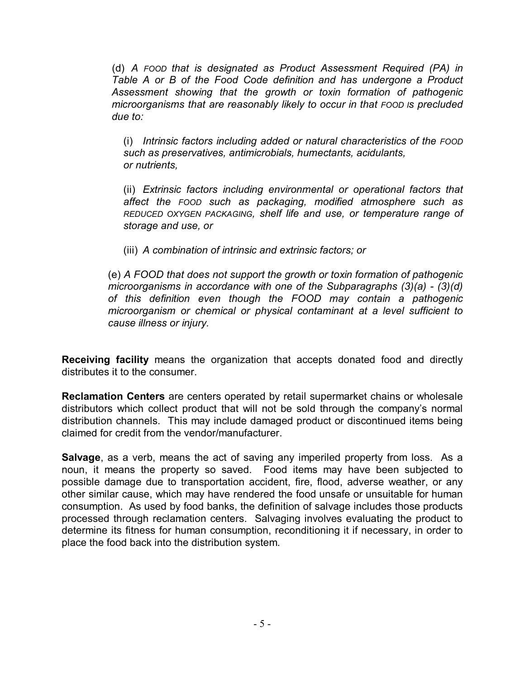(d) *A FOOD that is designated as Product Assessment Required (PA) in Table A or B of the Food Code definition and has undergone a Product Assessment showing that the growth or toxin formation of pathogenic microorganisms that are reasonably likely to occur in that FOOD Is precluded due to:*

(i) *Intrinsic factors including added or natural characteristics of the FOOD such as preservatives, antimicrobials, humectants, acidulants, or nutrients,*

(ii) *Extrinsic factors including environmental or operational factors that affect the FOOD such as packaging, modified atmosphere such as REDUCED OXYGEN PACKAGING, shelf life and use, or temperature range of storage and use, or*

(iii) *A combination of intrinsic and extrinsic factors; or*

(e) *A FOOD that does not support the growth or toxin formation of pathogenic microorganisms in accordance with one of the Subparagraphs (3)(a) (3)(d) of this definition even though the FOOD may contain a pathogenic microorganism or chemical or physical contaminant at a level sufficient to cause illness or injury.*

**Receiving facility** means the organization that accepts donated food and directly distributes it to the consumer.

**Reclamation Centers** are centers operated by retail supermarket chains or wholesale distributors which collect product that will not be sold through the company's normal distribution channels. This may include damaged product or discontinued items being claimed for credit from the vendor/manufacturer.

**Salvage**, as a verb, means the act of saving any imperiled property from loss. As a noun, it means the property so saved. Food items may have been subjected to possible damage due to transportation accident, fire, flood, adverse weather, or any other similar cause, which may have rendered the food unsafe or unsuitable for human consumption. As used by food banks, the definition of salvage includes those products processed through reclamation centers. Salvaging involves evaluating the product to determine its fitness for human consumption, reconditioning it if necessary, in order to place the food back into the distribution system.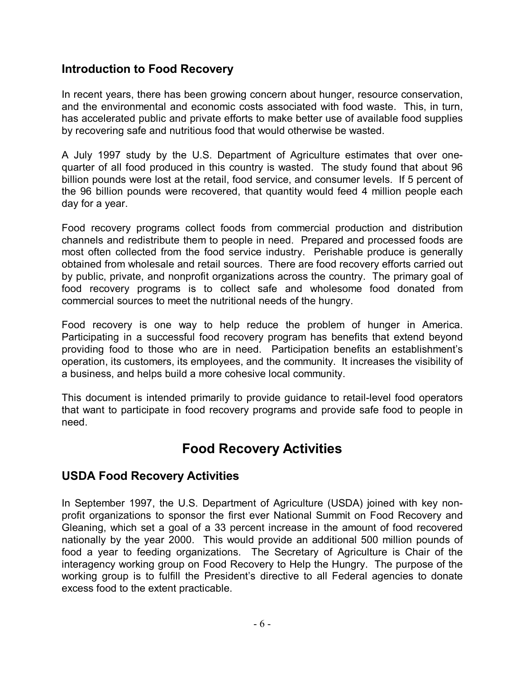## <span id="page-6-0"></span>**Introduction to Food Recovery**

In recent years, there has been growing concern about hunger, resource conservation, and the environmental and economic costs associated with food waste. This, in turn, has accelerated public and private efforts to make better use of available food supplies by recovering safe and nutritious food that would otherwise be wasted.

A July 1997 study by the U.S. Department of Agriculture estimates that over onequarter of all food produced in this country is wasted. The study found that about 96 billion pounds were lost at the retail, food service, and consumer levels. If 5 percent of the 96 billion pounds were recovered, that quantity would feed 4 million people each day for a year.

Food recovery programs collect foods from commercial production and distribution channels and redistribute them to people in need. Prepared and processed foods are most often collected from the food service industry. Perishable produce is generally obtained from wholesale and retail sources. There are food recovery efforts carried out by public, private, and nonprofit organizations across the country. The primary goal of food recovery programs is to collect safe and wholesome food donated from commercial sources to meet the nutritional needs of the hungry.

Food recovery is one way to help reduce the problem of hunger in America. Participating in a successful food recovery program has benefits that extend beyond providing food to those who are in need. Participation benefits an establishment's operation, its customers, its employees, and the community. It increases the visibility of a business, and helps build a more cohesive local community.

This document is intended primarily to provide quidance to retail-level food operators that want to participate in food recovery programs and provide safe food to people in need.

## **Food Recovery Activities**

## <span id="page-6-1"></span>**USDA Food Recovery Activities**

In September 1997, the U.S. Department of Agriculture (USDA) joined with key nonprofit organizations to sponsor the first ever National Summit on Food Recovery and Gleaning, which set a goal of a 33 percent increase in the amount of food recovered nationally by the year 2000. This would provide an additional 500 million pounds of food a year to feeding organizations. The Secretary of Agriculture is Chair of the interagency working group on Food Recovery to Help the Hungry. The purpose of the working group is to fulfill the President's directive to all Federal agencies to donate excess food to the extent practicable.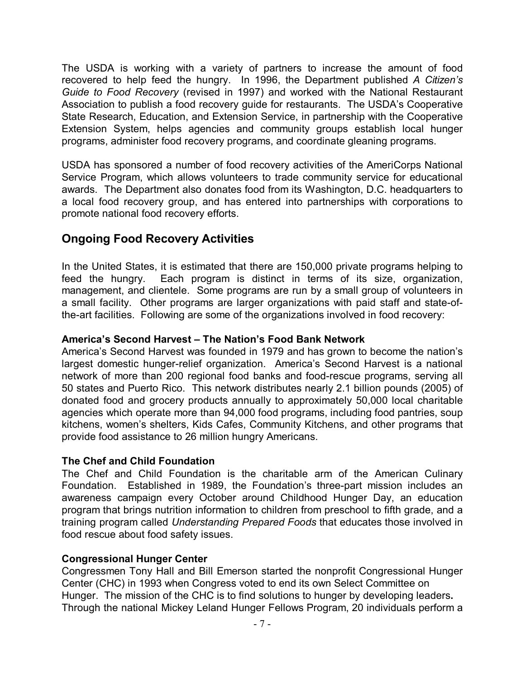The USDA is working with a variety of partners to increase the amount of food recovered to help feed the hungry. In 1996, the Department published *A Citizen's Guide to Food Recovery* (revised in 1997) and worked with the National Restaurant Association to publish a food recovery guide for restaurants. The USDA's Cooperative State Research, Education, and Extension Service, in partnership with the Cooperative Extension System, helps agencies and community groups establish local hunger programs, administer food recovery programs, and coordinate gleaning programs.

USDA has sponsored a number of food recovery activities of the AmeriCorps National Service Program, which allows volunteers to trade community service for educational awards. The Department also donates food from its Washington, D.C. headquarters to a local food recovery group, and has entered into partnerships with corporations to promote national food recovery efforts.

## **Ongoing Food Recovery Activities**

In the United States, it is estimated that there are 150,000 private programs helping to feed the hungry. Each program is distinct in terms of its size, organization, management, and clientele. Some programs are run by a small group of volunteers in a small facility. Other programs are larger organizations with paid staff and state-ofthe-art facilities. Following are some of the organizations involved in food recovery:

#### **America's Second Harvest – The Nation's Food Bank Network**

America's Second Harvest was founded in 1979 and has grown to become the nation's largest domestic hunger-relief organization. America's Second Harvest is a national network of more than 200 regional food banks and food-rescue programs, serving all 50 states and Puerto Rico. This network distributes nearly 2.1 billion pounds (2005) of donated food and grocery products annually to approximately 50,000 local charitable agencies which operate more than 94,000 food programs, including food pantries, soup kitchens, women's shelters, Kids Cafes, Community Kitchens, and other programs that provide food assistance to 26 million hungry Americans.

#### **The Chef and Child Foundation**

The Chef and Child Foundation is the charitable arm of the American Culinary Foundation. Established in 1989, the Foundation's three-part mission includes an awareness campaign every October around Childhood Hunger Day, an education program that brings nutrition information to children from preschool to fifth grade, and a training program called *Understanding Prepared Foods* that educates those involved in food rescue about food safety issues.

#### **Congressional Hunger Center**

Congressmen Tony Hall and Bill Emerson started the nonprofit Congressional Hunger Center (CHC) in 1993 when Congress voted to end its own Select Committee on Hunger. The mission of the CHC is to find solutions to hunger by developing leaders**.** Through the national Mickey Leland Hunger Fellows Program, 20 individuals perform a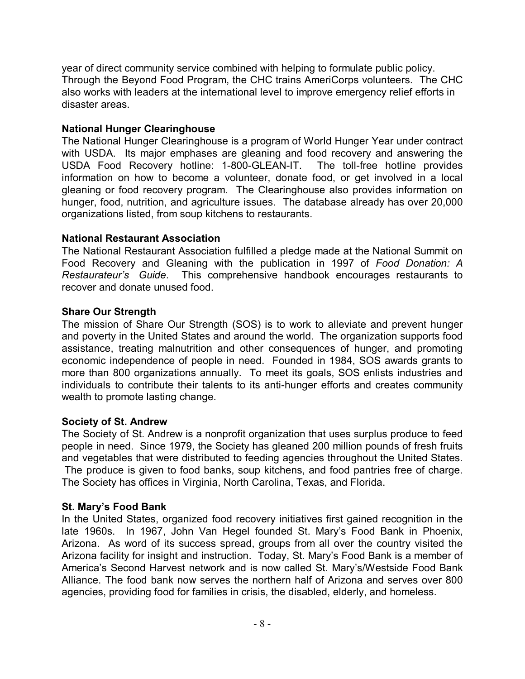year of direct community service combined with helping to formulate public policy. Through the Beyond Food Program, the CHC trains AmeriCorps volunteers. The CHC also works with leaders at the international level to improve emergency relief efforts in disaster areas.

#### **National Hunger Clearinghouse**

The National Hunger Clearinghouse is a program of World Hunger Year under contract with USDA. Its major emphases are gleaning and food recovery and answering the USDA Food Recovery hotline: 1-800-GLEAN-IT. The toll-free hotline provides information on how to become a volunteer, donate food, or get involved in a local gleaning or food recovery program. The Clearinghouse also provides information on hunger, food, nutrition, and agriculture issues. The database already has over 20,000 organizations listed, from soup kitchens to restaurants.

#### **National Restaurant Association**

The National Restaurant Association fulfilled a pledge made at the National Summit on Food Recovery and Gleaning with the publication in 1997 of *Food Donation: A Restaurateur's Guide*. This comprehensive handbook encourages restaurants to recover and donate unused food.

#### **Share Our Strength**

The mission of Share Our Strength (SOS) is to work to alleviate and prevent hunger and poverty in the United States and around the world. The organization supports food assistance, treating malnutrition and other consequences of hunger, and promoting economic independence of people in need. Founded in 1984, SOS awards grants to more than 800 organizations annually. To meet its goals, SOS enlists industries and individuals to contribute their talents to its anti-hunger efforts and creates community wealth to promote lasting change.

#### **Society of St. Andrew**

The Society of St. Andrew is a nonprofit organization that uses surplus produce to feed people in need. Since 1979, the Society has gleaned 200 million pounds of fresh fruits and vegetables that were distributed to feeding agencies throughout the United States. The produce is given to food banks, soup kitchens, and food pantries free of charge. The Society has offices in Virginia, North Carolina, Texas, and Florida.

#### **St. Mary's Food Bank**

In the United States, organized food recovery initiatives first gained recognition in the late 1960s. In 1967, John Van Hegel founded St. Mary's Food Bank in Phoenix, Arizona. As word of its success spread, groups from all over the country visited the Arizona facility for insight and instruction. Today, St. Mary's Food Bank is a member of America's Second Harvest network and is now called St. Mary's/Westside Food Bank Alliance. The food bank now serves the northern half of Arizona and serves over 800 agencies, providing food for families in crisis, the disabled, elderly, and homeless.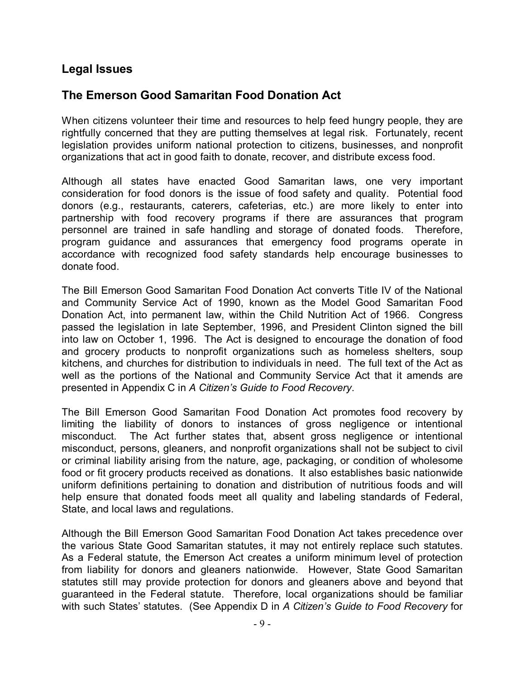### <span id="page-9-0"></span>**Legal Issues**

## **The Emerson Good Samaritan Food Donation Act**

When citizens volunteer their time and resources to help feed hungry people, they are rightfully concerned that they are putting themselves at legal risk. Fortunately, recent legislation provides uniform national protection to citizens, businesses, and nonprofit organizations that act in good faith to donate, recover, and distribute excess food.

Although all states have enacted Good Samaritan laws, one very important consideration for food donors is the issue of food safety and quality. Potential food donors (e.g., restaurants, caterers, cafeterias, etc.) are more likely to enter into partnership with food recovery programs if there are assurances that program personnel are trained in safe handling and storage of donated foods. Therefore, program guidance and assurances that emergency food programs operate in accordance with recognized food safety standards help encourage businesses to donate food.

The Bill Emerson Good Samaritan Food Donation Act converts Title IV of the National and Community Service Act of 1990, known as the Model Good Samaritan Food Donation Act, into permanent law, within the Child Nutrition Act of 1966. Congress passed the legislation in late September, 1996, and President Clinton signed the bill into law on October 1, 1996. The Act is designed to encourage the donation of food and grocery products to nonprofit organizations such as homeless shelters, soup kitchens, and churches for distribution to individuals in need. The full text of the Act as well as the portions of the National and Community Service Act that it amends are presented in Appendix C in *A Citizen's Guide to Food Recovery*.

The Bill Emerson Good Samaritan Food Donation Act promotes food recovery by limiting the liability of donors to instances of gross negligence or intentional misconduct. The Act further states that, absent gross negligence or intentional misconduct, persons, gleaners, and nonprofit organizations shall not be subject to civil or criminal liability arising from the nature, age, packaging, or condition of wholesome food or fit grocery products received as donations. It also establishes basic nationwide uniform definitions pertaining to donation and distribution of nutritious foods and will help ensure that donated foods meet all quality and labeling standards of Federal, State, and local laws and regulations.

Although the Bill Emerson Good Samaritan Food Donation Act takes precedence over the various State Good Samaritan statutes, it may not entirely replace such statutes. As a Federal statute, the Emerson Act creates a uniform minimum level of protection from liability for donors and gleaners nationwide. However, State Good Samaritan statutes still may provide protection for donors and gleaners above and beyond that guaranteed in the Federal statute. Therefore, local organizations should be familiar with such States' statutes. (See Appendix D in *A Citizen's Guide to Food Recovery* for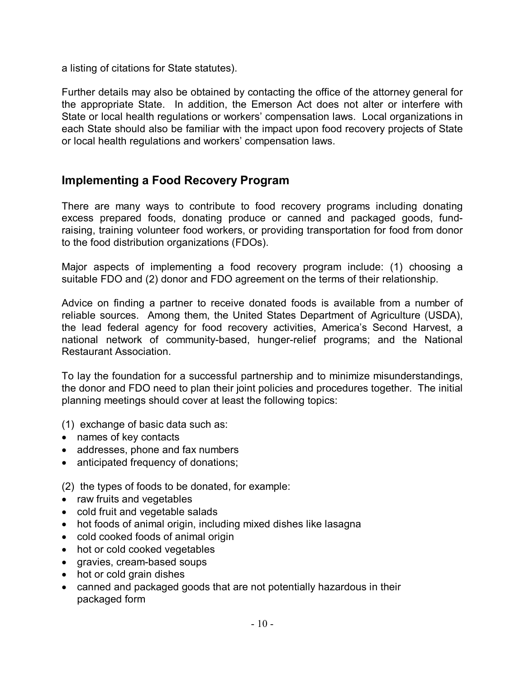a listing of citations for State statutes).

Further details may also be obtained by contacting the office of the attorney general for the appropriate State. In addition, the Emerson Act does not alter or interfere with State or local health regulations or workers' compensation laws. Local organizations in each State should also be familiar with the impact upon food recovery projects of State or local health regulations and workers' compensation laws.

## <span id="page-10-0"></span>**Implementing a Food Recovery Program**

There are many ways to contribute to food recovery programs including donating excess prepared foods, donating produce or canned and packaged goods, fundraising, training volunteer food workers, or providing transportation for food from donor to the food distribution organizations (FDOs).

Major aspects of implementing a food recovery program include: (1) choosing a suitable FDO and (2) donor and FDO agreement on the terms of their relationship.

Advice on finding a partner to receive donated foods is available from a number of reliable sources. Among them, the United States Department of Agriculture (USDA), the lead federal agency for food recovery activities, America's Second Harvest, a national network of community-based, hunger-relief programs; and the National Restaurant Association.

To lay the foundation for a successful partnership and to minimize misunderstandings, the donor and FDO need to plan their joint policies and procedures together. The initial planning meetings should cover at least the following topics:

(1) exchange of basic data such as:

- · names of key contacts
- addresses, phone and fax numbers
- anticipated frequency of donations;

(2) the types of foods to be donated, for example:

- raw fruits and vegetables
- cold fruit and vegetable salads
- hot foods of animal origin, including mixed dishes like lasagna
- cold cooked foods of animal origin
- · hot or cold cooked vegetables
- gravies, cream-based soups
- hot or cold grain dishes
- canned and packaged goods that are not potentially hazardous in their packaged form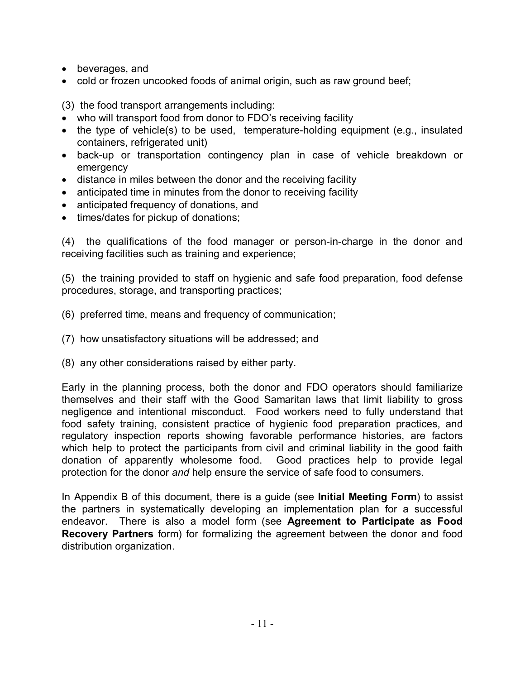- · beverages, and
- cold or frozen uncooked foods of animal origin, such as raw ground beef;

(3) the food transport arrangements including:

- who will transport food from donor to FDO's receiving facility
- $\bullet$  the type of vehicle(s) to be used, temperature-holding equipment (e.g., insulated containers, refrigerated unit)
- back-up or transportation contingency plan in case of vehicle breakdown or emergency
- distance in miles between the donor and the receiving facility
- anticipated time in minutes from the donor to receiving facility
- · anticipated frequency of donations, and
- · times/dates for pickup of donations;

 $(4)$  the qualifications of the food manager or person-in-charge in the donor and receiving facilities such as training and experience;

(5) the training provided to staff on hygienic and safe food preparation, food defense procedures, storage, and transporting practices;

- (6) preferred time, means and frequency of communication;
- (7) how unsatisfactory situations will be addressed; and
- (8) any other considerations raised by either party.

Early in the planning process, both the donor and FDO operators should familiarize themselves and their staff with the Good Samaritan laws that limit liability to gross negligence and intentional misconduct. Food workers need to fully understand that food safety training, consistent practice of hygienic food preparation practices, and regulatory inspection reports showing favorable performance histories, are factors which help to protect the participants from civil and criminal liability in the good faith donation of apparently wholesome food. Good practices help to provide legal protection for the donor *and* help ensure the service of safe food to consumers.

In Appendix B of this document, there is a guide (see **Initial Meeting Form**) to assist the partners in systematically developing an implementation plan for a successful endeavor. There is also a model form (see **Agreement to Participate as Food Recovery Partners** form) for formalizing the agreement between the donor and food distribution organization.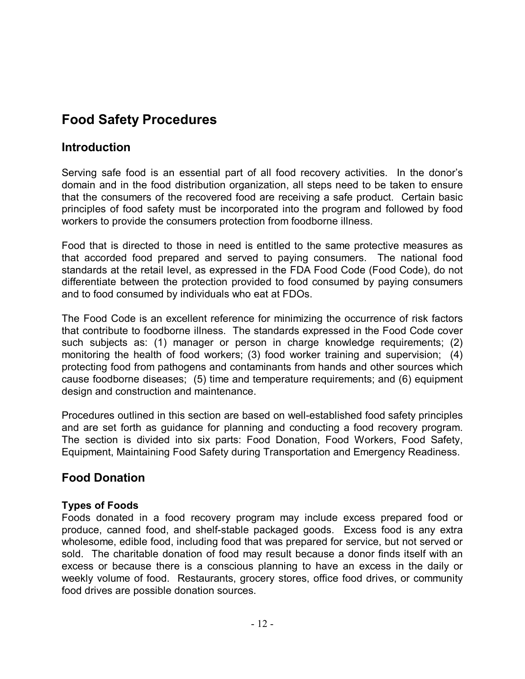## <span id="page-12-0"></span>**Food Safety Procedures**

## **Introduction**

Serving safe food is an essential part of all food recovery activities. In the donor's domain and in the food distribution organization, all steps need to be taken to ensure that the consumers of the recovered food are receiving a safe product. Certain basic principles of food safety must be incorporated into the program and followed by food workers to provide the consumers protection from foodborne illness.

Food that is directed to those in need is entitled to the same protective measures as that accorded food prepared and served to paying consumers. The national food standards at the retail level, as expressed in the FDA Food Code (Food Code), do not differentiate between the protection provided to food consumed by paying consumers and to food consumed by individuals who eat at FDOs.

The Food Code is an excellent reference for minimizing the occurrence of risk factors that contribute to foodborne illness. The standards expressed in the Food Code cover such subjects as: (1) manager or person in charge knowledge requirements; (2) monitoring the health of food workers; (3) food worker training and supervision; (4) protecting food from pathogens and contaminants from hands and other sources which cause foodborne diseases; (5) time and temperature requirements; and (6) equipment design and construction and maintenance.

Procedures outlined in this section are based on well-established food safety principles and are set forth as guidance for planning and conducting a food recovery program. The section is divided into six parts: Food Donation, Food Workers, Food Safety, Equipment, Maintaining Food Safety during Transportation and Emergency Readiness.

## **Food Donation**

### **Types of Foods**

Foods donated in a food recovery program may include excess prepared food or produce, canned food, and shelf-stable packaged goods. Excess food is any extra wholesome, edible food, including food that was prepared for service, but not served or sold. The charitable donation of food may result because a donor finds itself with an excess or because there is a conscious planning to have an excess in the daily or weekly volume of food. Restaurants, grocery stores, office food drives, or community food drives are possible donation sources.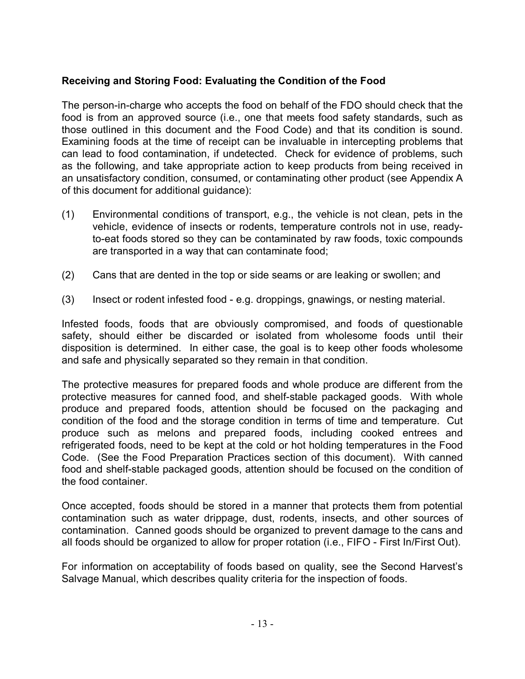#### **Receiving and Storing Food: Evaluating the Condition of the Food**

The person-in-charge who accepts the food on behalf of the FDO should check that the food is from an approved source (i.e., one that meets food safety standards, such as those outlined in this document and the Food Code) and that its condition is sound. Examining foods at the time of receipt can be invaluable in intercepting problems that can lead to food contamination, if undetected. Check for evidence of problems, such as the following, and take appropriate action to keep products from being received in an unsatisfactory condition, consumed, or contaminating other product (see Appendix A of this document for additional guidance):

- (1) Environmental conditions of transport, e.g., the vehicle is not clean, pets in the vehicle, evidence of insects or rodents, temperature controls not in use, readyto-eat foods stored so they can be contaminated by raw foods, toxic compounds are transported in a way that can contaminate food;
- (2) Cans that are dented in the top or side seams or are leaking or swollen; and
- (3) Insect or rodent infested food e.g. droppings, gnawings, or nesting material.

Infested foods, foods that are obviously compromised, and foods of questionable safety, should either be discarded or isolated from wholesome foods until their disposition is determined. In either case, the goal is to keep other foods wholesome and safe and physically separated so they remain in that condition.

The protective measures for prepared foods and whole produce are different from the protective measures for canned food, and shelf-stable packaged goods. With whole produce and prepared foods, attention should be focused on the packaging and condition of the food and the storage condition in terms of time and temperature. Cut produce such as melons and prepared foods, including cooked entrees and refrigerated foods, need to be kept at the cold or hot holding temperatures in the Food Code. (See the Food Preparation Practices section of this document). With canned food and shelf-stable packaged goods, attention should be focused on the condition of the food container.

Once accepted, foods should be stored in a manner that protects them from potential contamination such as water drippage, dust, rodents, insects, and other sources of contamination. Canned goods should be organized to prevent damage to the cans and all foods should be organized to allow for proper rotation (i.e., FIFO - First In/First Out).

For information on acceptability of foods based on quality, see the Second Harvest's Salvage Manual, which describes quality criteria for the inspection of foods.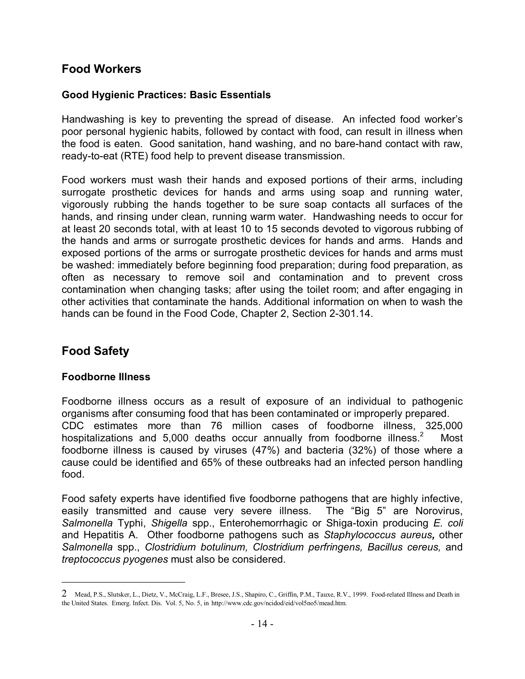## **Food Workers**

#### **Good Hygienic Practices: Basic Essentials**

Handwashing is key to preventing the spread of disease. An infected food worker's poor personal hygienic habits, followed by contact with food, can result in illness when the food is eaten. Good sanitation, hand washing, and no bare-hand contact with raw, ready-to-eat (RTE) food help to prevent disease transmission.

Food workers must wash their hands and exposed portions of their arms, including surrogate prosthetic devices for hands and arms using soap and running water, vigorously rubbing the hands together to be sure soap contacts all surfaces of the hands, and rinsing under clean, running warm water. Handwashing needs to occur for at least 20 seconds total, with at least 10 to 15 seconds devoted to vigorous rubbing of the hands and arms or surrogate prosthetic devices for hands and arms. Hands and exposed portions of the arms or surrogate prosthetic devices for hands and arms must be washed: immediately before beginning food preparation; during food preparation, as often as necessary to remove soil and contamination and to prevent cross contamination when changing tasks; after using the toilet room; and after engaging in other activities that contaminate the hands. Additional information on when to wash the hands can be found in the Food Code, Chapter 2, Section 2-301.14.

## **Food Safety**

#### **Foodborne Illness**

Foodborne illness occurs as a result of exposure of an individual to pathogenic organisms after consuming food that has been contaminated or improperly prepared. CDC estimates more than 76 million cases of foodborne illness, 325,000 hospitalizations and  $5,000$  deaths occur annually from foodborne illness.<sup>2</sup> Most foodborne illness is caused by viruses (47%) and bacteria (32%) of those where a cause could be identified and 65% of these outbreaks had an infected person handling food.

Food safety experts have identified five foodborne pathogens that are highly infective, easily transmitted and cause very severe illness. The "Big 5" are Norovirus, *Salmonella* Typhi, *Shigella* spp., Enterohemorrhagic or Shiga-toxin producing *E. coli* and Hepatitis A. Other foodborne pathogens such as *Staphylococcus aureus,* other *Salmonella* spp., *Clostridium botulinum, Clostridium perfringens, Bacillus cereus,* and *treptococcus pyogenes* must also be considered.

<sup>2</sup> Mead, P.S., Slutsker, L., Dietz, V., McCraig, L.F., Bresee, J.S., Shapiro, C., Griffin, P.M., Tauxe, R.V., 1999. Food-related Illness and Death in the United States. Emerg. Infect. Dis. Vol. 5, No. 5, in http://www.cdc.gov/ncidod/eid/vol5no5/mead.htm.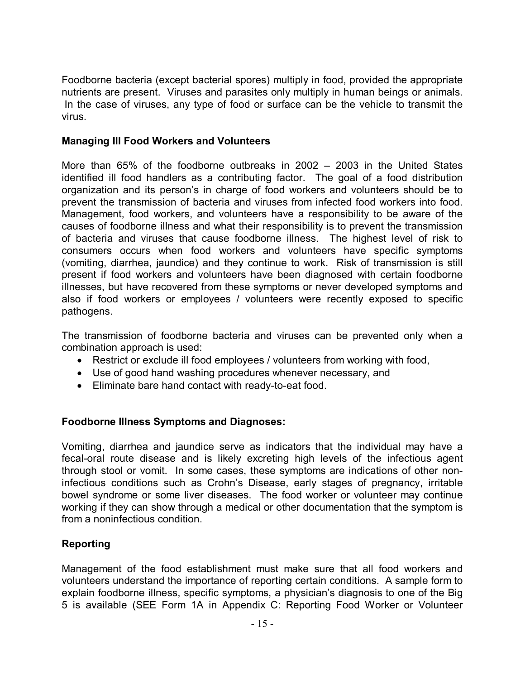Foodborne bacteria (except bacterial spores) multiply in food, provided the appropriate nutrients are present. Viruses and parasites only multiply in human beings or animals. In the case of viruses, any type of food or surface can be the vehicle to transmit the virus.

#### **Managing Ill Food Workers and Volunteers**

More than  $65\%$  of the foodborne outbreaks in  $2002 - 2003$  in the United States identified ill food handlers as a contributing factor. The goal of a food distribution organization and its person's in charge of food workers and volunteers should be to prevent the transmission of bacteria and viruses from infected food workers into food. Management, food workers, and volunteers have a responsibility to be aware of the causes of foodborne illness and what their responsibility is to prevent the transmission of bacteria and viruses that cause foodborne illness. The highest level of risk to consumers occurs when food workers and volunteers have specific symptoms (vomiting, diarrhea, jaundice) and they continue to work. Risk of transmission is still present if food workers and volunteers have been diagnosed with certain foodborne illnesses, but have recovered from these symptoms or never developed symptoms and also if food workers or employees / volunteers were recently exposed to specific pathogens.

The transmission of foodborne bacteria and viruses can be prevented only when a combination approach is used:

- · Restrict or exclude ill food employees / volunteers from working with food,
- · Use of good hand washing procedures whenever necessary, and
- Eliminate bare hand contact with ready-to-eat food.

#### **Foodborne Illness Symptoms and Diagnoses:**

Vomiting, diarrhea and jaundice serve as indicators that the individual may have a fecal-oral route disease and is likely excreting high levels of the infectious agent through stool or vomit. In some cases, these symptoms are indications of other noninfectious conditions such as Crohn's Disease, early stages of pregnancy, irritable bowel syndrome or some liver diseases. The food worker or volunteer may continue working if they can show through a medical or other documentation that the symptom is from a noninfectious condition.

#### **Reporting**

Management of the food establishment must make sure that all food workers and volunteers understand the importance of reporting certain conditions. A sample form to explain foodborne illness, specific symptoms, a physician's diagnosis to one of the Big 5 is available (SEE Form 1A in Appendix C: Reporting Food Worker or Volunteer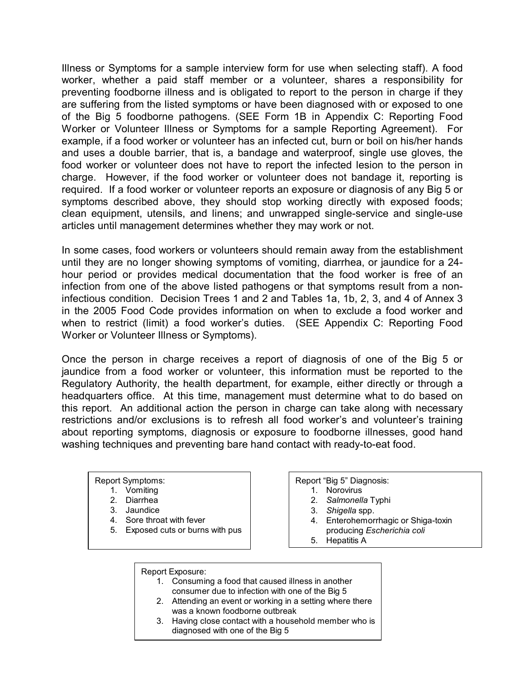Illness or Symptoms for a sample interview form for use when selecting staff). A food worker, whether a paid staff member or a volunteer, shares a responsibility for preventing foodborne illness and is obligated to report to the person in charge if they are suffering from the listed symptoms or have been diagnosed with or exposed to one of the Big 5 foodborne pathogens. (SEE Form 1B in Appendix C: Reporting Food Worker or Volunteer Illness or Symptoms for a sample Reporting Agreement). For example, if a food worker or volunteer has an infected cut, burn or boil on his/her hands and uses a double barrier, that is, a bandage and waterproof, single use gloves, the food worker or volunteer does not have to report the infected lesion to the person in charge. However, if the food worker or volunteer does not bandage it, reporting is required. If a food worker or volunteer reports an exposure or diagnosis of any Big 5 or symptoms described above, they should stop working directly with exposed foods; clean equipment, utensils, and linens; and unwrapped single-service and single-use articles until management determines whether they may work or not.

In some cases, food workers or volunteers should remain away from the establishment until they are no longer showing symptoms of vomiting, diarrhea, or jaundice for a 24 hour period or provides medical documentation that the food worker is free of an infection from one of the above listed pathogens or that symptoms result from a noninfectious condition. Decision Trees 1 and 2 and Tables 1a, 1b, 2, 3, and 4 of Annex 3 in the 2005 Food Code provides information on when to exclude a food worker and when to restrict (limit) a food worker's duties. (SEE Appendix C: Reporting Food Worker or Volunteer Illness or Symptoms).

Once the person in charge receives a report of diagnosis of one of the Big 5 or jaundice from a food worker or volunteer, this information must be reported to the Regulatory Authority, the health department, for example, either directly or through a headquarters office. At this time, management must determine what to do based on this report. An additional action the person in charge can take along with necessary restrictions and/or exclusions is to refresh all food worker's and volunteer's training about reporting symptoms, diagnosis or exposure to foodborne illnesses, good hand washing techniques and preventing bare hand contact with ready-to-eat food.

#### Report Symptoms:

- 1. Vomiting
- 2. Diarrhea
- 3. Jaundice
- 4. Sore throat with fever
- 5. Exposed cuts or burns with pus

#### Report "Big 5" Diagnosis:

- 1. Norovirus
- 2. *Salmonella* Typhi
- 3. *Shigella* spp.
- 4. Enterohemorrhagic or Shiga-toxin producing *Escherichia coli*
- 5. Hepatitis A

Report Exposure:

- 1. Consuming a food that caused illness in another consumer due to infection with one of the Big 5
- 2. Attending an event or working in a setting where there was a known foodborne outbreak
- 3. Having close contact with a household member who is | diagnosed with one of the Big 5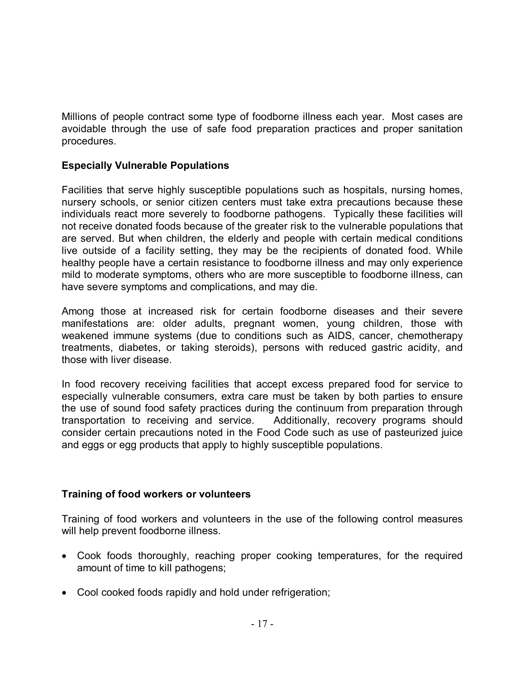Millions of people contract some type of foodborne illness each year. Most cases are avoidable through the use of safe food preparation practices and proper sanitation procedures.

#### **Especially Vulnerable Populations**

Facilities that serve highly susceptible populations such as hospitals, nursing homes, nursery schools, or senior citizen centers must take extra precautions because these individuals react more severely to foodborne pathogens. Typically these facilities will not receive donated foods because of the greater risk to the vulnerable populations that are served. But when children, the elderly and people with certain medical conditions live outside of a facility setting, they may be the recipients of donated food. While healthy people have a certain resistance to foodborne illness and may only experience mild to moderate symptoms, others who are more susceptible to foodborne illness, can have severe symptoms and complications, and may die.

Among those at increased risk for certain foodborne diseases and their severe manifestations are: older adults, pregnant women, young children, those with weakened immune systems (due to conditions such as AIDS, cancer, chemotherapy treatments, diabetes, or taking steroids), persons with reduced gastric acidity, and those with liver disease.

In food recovery receiving facilities that accept excess prepared food for service to especially vulnerable consumers, extra care must be taken by both parties to ensure the use of sound food safety practices during the continuum from preparation through transportation to receiving and service. Additionally, recovery programs should consider certain precautions noted in the Food Code such as use of pasteurized juice and eggs or egg products that apply to highly susceptible populations.

#### **Training of food workers or volunteers**

Training of food workers and volunteers in the use of the following control measures will help prevent foodborne illness.

- · Cook foods thoroughly, reaching proper cooking temperatures, for the required amount of time to kill pathogens;
- · Cool cooked foods rapidly and hold under refrigeration;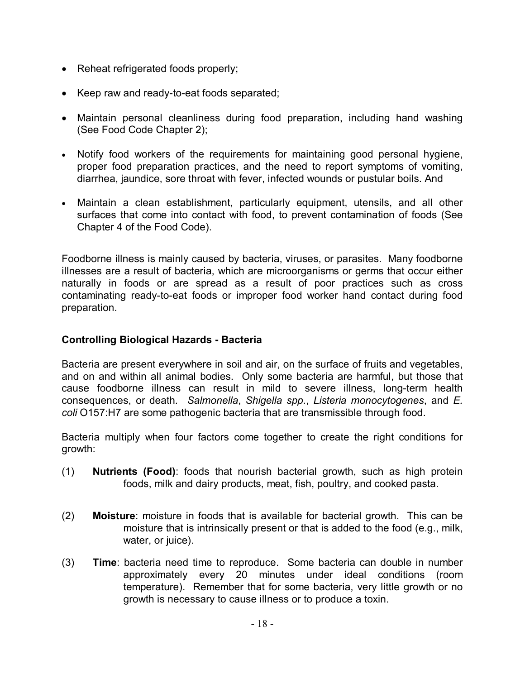- · Reheat refrigerated foods properly;
- Keep raw and ready-to-eat foods separated;
- · Maintain personal cleanliness during food preparation, including hand washing (See Food Code Chapter 2);
- · Notify food workers of the requirements for maintaining good personal hygiene, proper food preparation practices, and the need to report symptoms of vomiting, diarrhea, jaundice, sore throat with fever, infected wounds or pustular boils. And
- · Maintain a clean establishment, particularly equipment, utensils, and all other surfaces that come into contact with food, to prevent contamination of foods (See Chapter 4 of the Food Code).

Foodborne illness is mainly caused by bacteria, viruses, or parasites. Many foodborne illnesses are a result of bacteria, which are microorganisms or germs that occur either naturally in foods or are spread as a result of poor practices such as cross contaminating ready-to-eat foods or improper food worker hand contact during food preparation.

#### **Controlling Biological Hazards Bacteria**

Bacteria are present everywhere in soil and air, on the surface of fruits and vegetables, and on and within all animal bodies. Only some bacteria are harmful, but those that cause foodborne illness can result in mild to severe illness, long-term health consequences, or death*. Salmonella*, *Shigella spp.*, *Listeria monocytogenes*, and *E. coli* O157:H7 are some pathogenic bacteria that are transmissible through food.

Bacteria multiply when four factors come together to create the right conditions for growth:

- (1) **Nutrients (Food)**: foods that nourish bacterial growth, such as high protein foods, milk and dairy products, meat, fish, poultry, and cooked pasta.
- (2) **Moisture**: moisture in foods that is available for bacterial growth. This can be moisture that is intrinsically present or that is added to the food (e.g., milk, water, or juice).
- (3) **Time**: bacteria need time to reproduce. Some bacteria can double in number approximately every 20 minutes under ideal conditions (room temperature). Remember that for some bacteria, very little growth or no growth is necessary to cause illness or to produce a toxin.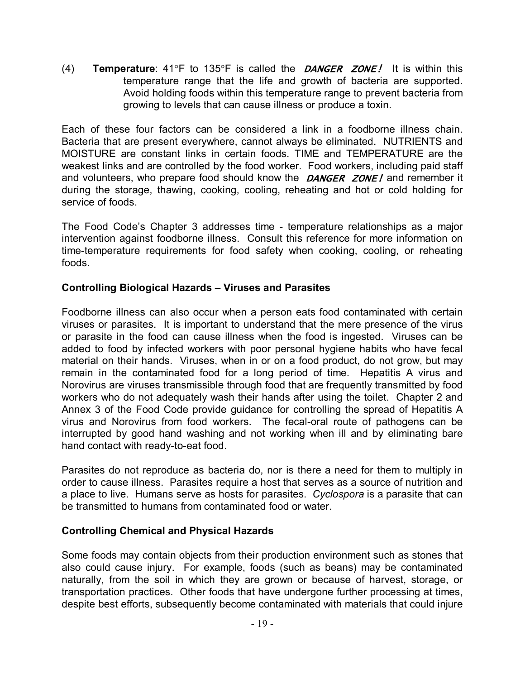(4) **Temperature**: 41°F to 135°F is called the DANGER ZONE! It is within this temperature range that the life and growth of bacteria are supported. Avoid holding foods within this temperature range to prevent bacteria from growing to levels that can cause illness or produce a toxin.

Each of these four factors can be considered a link in a foodborne illness chain. Bacteria that are present everywhere, cannot always be eliminated. NUTRIENTS and MOISTURE are constant links in certain foods. TIME and TEMPERATURE are the weakest links and are controlled by the food worker. Food workers, including paid staff and volunteers, who prepare food should know the **DANGER ZONE!** and remember it during the storage, thawing, cooking, cooling, reheating and hot or cold holding for service of foods.

The Food Code's Chapter 3 addresses time temperature relationships as a major intervention against foodborne illness. Consult this reference for more information on time-temperature requirements for food safety when cooking, cooling, or reheating foods.

#### **Controlling Biological Hazards – Viruses and Parasites**

Foodborne illness can also occur when a person eats food contaminated with certain viruses or parasites. It is important to understand that the mere presence of the virus or parasite in the food can cause illness when the food is ingested. Viruses can be added to food by infected workers with poor personal hygiene habits who have fecal material on their hands. Viruses, when in or on a food product, do not grow, but may remain in the contaminated food for a long period of time. Hepatitis A virus and Norovirus are viruses transmissible through food that are frequently transmitted by food workers who do not adequately wash their hands after using the toilet. Chapter 2 and Annex 3 of the Food Code provide guidance for controlling the spread of Hepatitis A virus and Norovirus from food workers. The fecal-oral route of pathogens can be interrupted by good hand washing and not working when ill and by eliminating bare hand contact with ready-to-eat food.

Parasites do not reproduce as bacteria do, nor is there a need for them to multiply in order to cause illness. Parasites require a host that serves as a source of nutrition and a place to live. Humans serve as hosts for parasites. *Cyclospora* is a parasite that can be transmitted to humans from contaminated food or water.

#### **Controlling Chemical and Physical Hazards**

Some foods may contain objects from their production environment such as stones that also could cause injury. For example, foods (such as beans) may be contaminated naturally, from the soil in which they are grown or because of harvest, storage, or transportation practices. Other foods that have undergone further processing at times, despite best efforts, subsequently become contaminated with materials that could injure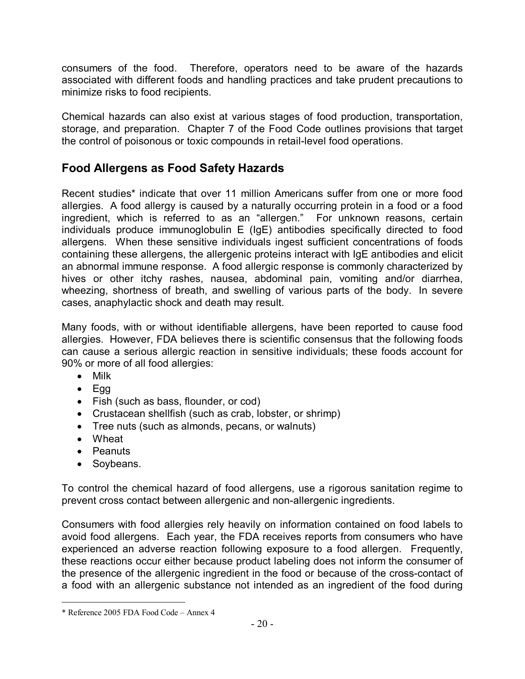consumers of the food. Therefore, operators need to be aware of the hazards associated with different foods and handling practices and take prudent precautions to minimize risks to food recipients.

Chemical hazards can also exist at various stages of food production, transportation, storage, and preparation. Chapter 7 of the Food Code outlines provisions that target the control of poisonous or toxic compounds in retail-level food operations.

## **Food Allergens as Food Safety Hazards**

Recent studies\* indicate that over 11 million Americans suffer from one or more food allergies. A food allergy is caused by a naturally occurring protein in a food or a food ingredient, which is referred to as an "allergen." For unknown reasons, certain individuals produce immunoglobulin E (IgE) antibodies specifically directed to food allergens. When these sensitive individuals ingest sufficient concentrations of foods containing these allergens, the allergenic proteins interact with IgE antibodies and elicit an abnormal immune response. A food allergic response is commonly characterized by hives or other itchy rashes, nausea, abdominal pain, vomiting and/or diarrhea, wheezing, shortness of breath, and swelling of various parts of the body. In severe cases, anaphylactic shock and death may result.

Many foods, with or without identifiable allergens, have been reported to cause food allergies. However, FDA believes there is scientific consensus that the following foods can cause a serious allergic reaction in sensitive individuals; these foods account for 90% or more of all food allergies:

- · Milk
- · Egg
- Fish (such as bass, flounder, or cod)
- · Crustacean shellfish (such as crab, lobster, or shrimp)
- · Tree nuts (such as almonds, pecans, or walnuts)
- · Wheat
- · Peanuts
- · Soybeans.

To control the chemical hazard of food allergens, use a rigorous sanitation regime to prevent cross contact between allergenic and non-allergenic ingredients.

Consumers with food allergies rely heavily on information contained on food labels to avoid food allergens. Each year, the FDA receives reports from consumers who have experienced an adverse reaction following exposure to a food allergen. Frequently, these reactions occur either because product labeling does not inform the consumer of the presence of the allergenic ingredient in the food or because of the cross-contact of a food with an allergenic substance not intended as an ingredient of the food during

<sup>\*</sup> Reference 2005 FDA Food Code – Annex 4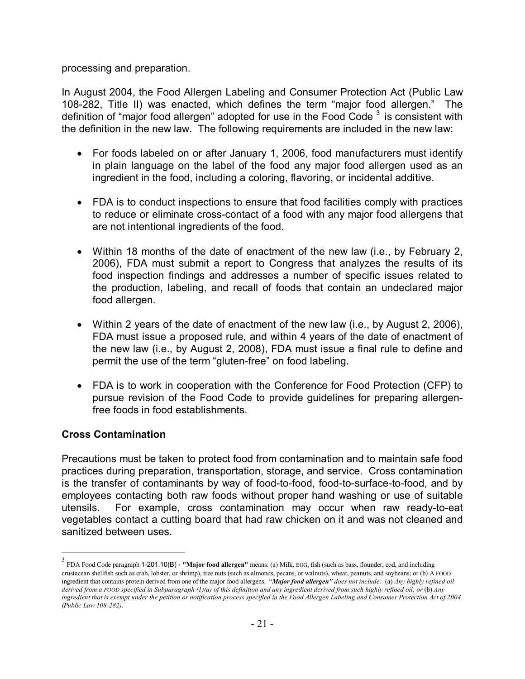processing and preparation.

In August 2004, the Food Allergen Labeling and Consumer Protection Act (Public Law 108-282, Title II) was enacted, which defines the term "major food allergen." The definition of "major food allergen" adopted for use in the Food Code  $3$  is consistent with the definition in the new law. The following requirements are included in the new law:

- · For foods labeled on or after January 1, 2006, food manufacturers must identify in plain language on the label of the food any major food allergen used as an ingredient in the food, including a coloring, flavoring, or incidental additive.
- · FDA is to conduct inspections to ensure that food facilities comply with practices to reduce or eliminate cross-contact of a food with any major food allergens that are not intentional ingredients of the food.
- · Within 18 months of the date of enactment of the new law (i.e., by February 2, 2006), FDA must submit a report to Congress that analyzes the results of its food inspection findings and addresses a number of specific issues related to the production, labeling, and recall of foods that contain an undeclared major food allergen.
- · Within 2 years of the date of enactment of the new law (i.e., by August 2, 2006), FDA must issue a proposed rule, and within 4 years of the date of enactment of the new law (i.e., by August 2, 2008), FDA must issue a final rule to define and permit the use of the term "gluten-free" on food labeling.
- · FDA is to work in cooperation with the Conference for Food Protection (CFP) to pursue revision of the Food Code to provide guidelines for preparing allergenfree foods in food establishments.

#### **Cross Contamination**

Precautions must be taken to protect food from contamination and to maintain safe food practices during preparation, transportation, storage, and service. Cross contamination is the transfer of contaminants by way of food-to-food, food-to-surface-to-food, and by employees contacting both raw foods without proper hand washing or use of suitable utensils. For example, cross contamination may occur when raw ready-to-eat vegetables contact a cutting board that had raw chicken on it and was not cleaned and sanitized between uses.

<sup>&</sup>lt;sup>3</sup> FDA Food Code paragraph 1-201.10(B) - "Major food allergen" means: (a) Milk, EGG, fish (such as bass, flounder, cod, and including crustacean shellfish such as crab, lobster, or shrimp), tree nuts (such as almonds, pecans, or walnuts), wheat, peanuts, and soybeans; or (b) A FOOD ingredient that contains protein derived from one of the major food allergens. "*Major food allergen" does not include:* (a) *Any highly refined oil derived from a FOOD specified in Subparagraph (1)(a) of this definition and any ingredient derived from such highly refined oil; or* (b) *Any ingredient that is exempt under the petition or notification process specified in the Food Allergen Labeling and Consumer Protection Act of 2004 (Public Law 108-282).*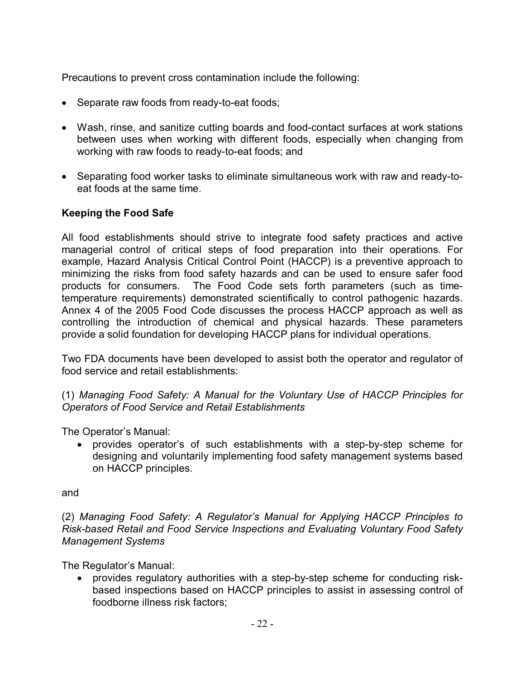Precautions to prevent cross contamination include the following:

- Separate raw foods from ready-to-eat foods;
- Wash, rinse, and sanitize cutting boards and food-contact surfaces at work stations between uses when working with different foods, especially when changing from working with raw foods to ready-to-eat foods; and
- Separating food worker tasks to eliminate simultaneous work with raw and ready-toeat foods at the same time.

#### **Keeping the Food Safe**

All food establishments should strive to integrate food safety practices and active managerial control of critical steps of food preparation into their operations. For example, Hazard Analysis Critical Control Point (HACCP) is a preventive approach to minimizing the risks from food safety hazards and can be used to ensure safer food products for consumers. The Food Code sets forth parameters (such as timetemperature requirements) demonstrated scientifically to control pathogenic hazards. Annex 4 of the 2005 Food Code discusses the process HACCP approach as well as controlling the introduction of chemical and physical hazards. These parameters provide a solid foundation for developing HACCP plans for individual operations.

Two FDA documents have been developed to assist both the operator and regulator of food service and retail establishments:

#### (1) *Managing Food Safety: A Manual for the Voluntary Use of HACCP Principles for Operators of Food Service and Retail Establishments*

The Operator's Manual:

• provides operator's of such establishments with a step-by-step scheme for designing and voluntarily implementing food safety management systems based on HACCP principles.

#### and

#### (2) *Managing Food Safety: A Regulator's Manual for Applying HACCP Principles to Risk-based Retail and Food Service Inspections and Evaluating Voluntary Food Safety Management Systems*

The Regulator's Manual:

• provides regulatory authorities with a step-by-step scheme for conducting riskbased inspections based on HACCP principles to assist in assessing control of foodborne illness risk factors;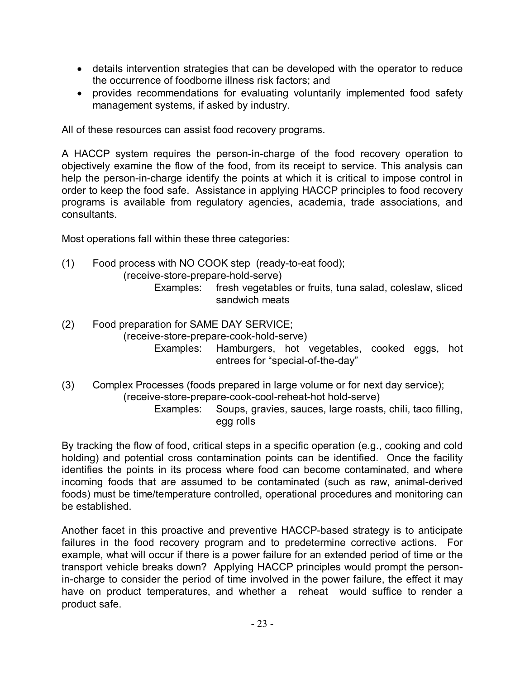- · details intervention strategies that can be developed with the operator to reduce the occurrence of foodborne illness risk factors; and
- · provides recommendations for evaluating voluntarily implemented food safety management systems, if asked by industry.

All of these resources can assist food recovery programs.

A HACCP system requires the person-in-charge of the food recovery operation to objectively examine the flow of the food, from its receipt to service. This analysis can help the person-in-charge identify the points at which it is critical to impose control in order to keep the food safe. Assistance in applying HACCP principles to food recovery programs is available from regulatory agencies, academia, trade associations, and consultants.

Most operations fall within these three categories:

 $(1)$  Food process with NO COOK step (ready-to-eat food); (receive-store-prepare-hold-serve)

Examples: fresh vegetables or fruits, tuna salad, coleslaw, sliced sandwich meats

- (2) Food preparation for SAME DAY SERVICE; (receive-store-prepare-cook-hold-serve) Examples: Hamburgers, hot vegetables, cooked eggs, hot entrees for "special-of-the-day"
- (3) Complex Processes (foods prepared in large volume or for next day service); (receive-store-prepare-cook-cool-reheat-hot hold-serve) Examples: Soups, gravies, sauces, large roasts, chili, taco filling,

egg rolls

By tracking the flow of food, critical steps in a specific operation (e.g., cooking and cold holding) and potential cross contamination points can be identified. Once the facility identifies the points in its process where food can become contaminated, and where incoming foods that are assumed to be contaminated (such as raw, animal-derived foods) must be time/temperature controlled, operational procedures and monitoring can be established.

Another facet in this proactive and preventive HACCP-based strategy is to anticipate failures in the food recovery program and to predetermine corrective actions. For example, what will occur if there is a power failure for an extended period of time or the transport vehicle breaks down? Applying HACCP principles would prompt the personin-charge to consider the period of time involved in the power failure, the effect it may have on product temperatures, and whether a reheat would suffice to render a product safe.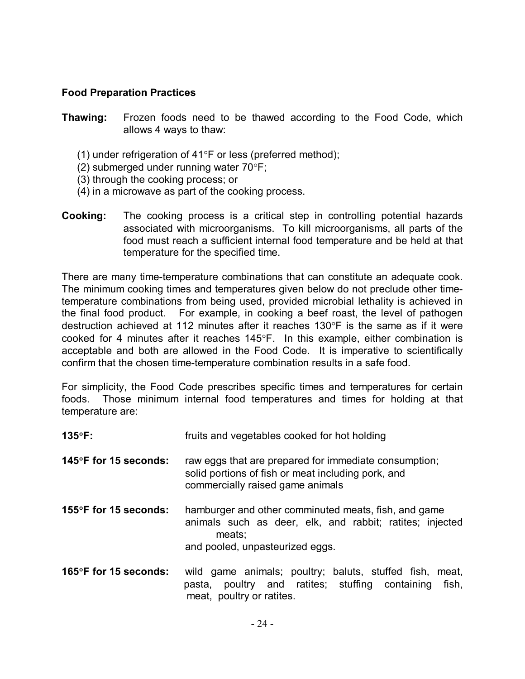#### **Food Preparation Practices**

- **Thawing:** Frozen foods need to be thawed according to the Food Code, which allows 4 ways to thaw:
	- (1) under refrigeration of 41°F or less (preferred method);
	- (2) submerged under running water 70°F;
	- (3) through the cooking process; or
	- (4) in a microwave as part of the cooking process.
- **Cooking:** The cooking process is a critical step in controlling potential hazards associated with microorganisms. To kill microorganisms, all parts of the food must reach a sufficient internal food temperature and be held at that temperature for the specified time.

There are many time-temperature combinations that can constitute an adequate cook. The minimum cooking times and temperatures given below do not preclude other timetemperature combinations from being used, provided microbial lethality is achieved in the final food product. For example, in cooking a beef roast, the level of pathogen destruction achieved at 112 minutes after it reaches 130°F is the same as if it were cooked for 4 minutes after it reaches 145°F. In this example, either combination is acceptable and both are allowed in the Food Code. It is imperative to scientifically confirm that the chosen time-temperature combination results in a safe food.

For simplicity, the Food Code prescribes specific times and temperatures for certain foods. Those minimum internal food temperatures and times for holding at that temperature are:

| $135^\circ$ F:        | fruits and vegetables cooked for hot holding                                                                                                                  |  |  |  |
|-----------------------|---------------------------------------------------------------------------------------------------------------------------------------------------------------|--|--|--|
| 145°F for 15 seconds: | raw eggs that are prepared for immediate consumption;<br>solid portions of fish or meat including pork, and<br>commercially raised game animals               |  |  |  |
| 155°F for 15 seconds: | hamburger and other comminuted meats, fish, and game<br>animals such as deer, elk, and rabbit; ratites; injected<br>meats:<br>and pooled, unpasteurized eggs. |  |  |  |
| 165°F for 15 seconds: | wild game animals; poultry; baluts, stuffed fish, meat,<br>poultry and ratites; stuffing containing fish,<br>pasta,<br>meat, poultry or ratites.              |  |  |  |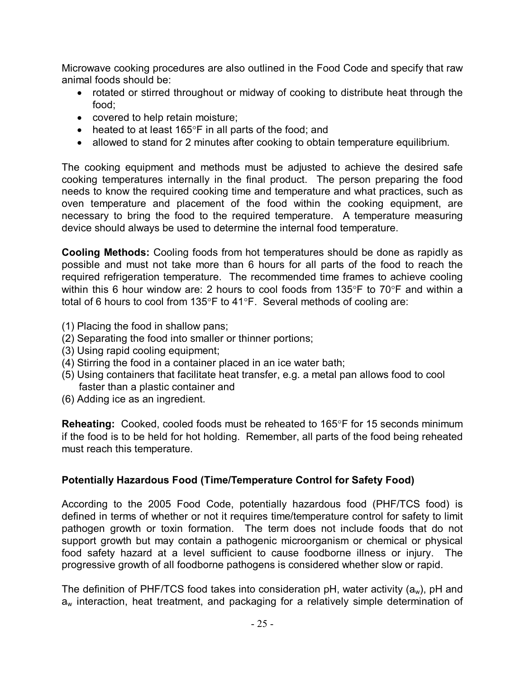Microwave cooking procedures are also outlined in the Food Code and specify that raw animal foods should be:

- · rotated or stirred throughout or midway of cooking to distribute heat through the food;
- · covered to help retain moisture;
- heated to at least 165 $\degree$ F in all parts of the food; and
- · allowed to stand for 2 minutes after cooking to obtain temperature equilibrium.

The cooking equipment and methods must be adjusted to achieve the desired safe cooking temperatures internally in the final product. The person preparing the food needs to know the required cooking time and temperature and what practices, such as oven temperature and placement of the food within the cooking equipment, are necessary to bring the food to the required temperature. A temperature measuring device should always be used to determine the internal food temperature.

**Cooling Methods:** Cooling foods from hot temperatures should be done as rapidly as possible and must not take more than 6 hours for all parts of the food to reach the required refrigeration temperature. The recommended time frames to achieve cooling within this 6 hour window are: 2 hours to cool foods from 135°F to 70°F and within a total of 6 hours to cool from 135°F to 41°F. Several methods of cooling are:

- (1) Placing the food in shallow pans;
- (2) Separating the food into smaller or thinner portions;
- (3) Using rapid cooling equipment;
- (4) Stirring the food in a container placed in an ice water bath;
- (5) Using containers that facilitate heat transfer, e.g. a metal pan allows food to cool faster than a plastic container and
- (6) Adding ice as an ingredient.

**Reheating:** Cooked, cooled foods must be reheated to 165°F for 15 seconds minimum if the food is to be held for hot holding. Remember, all parts of the food being reheated must reach this temperature.

#### **Potentially Hazardous Food (Time/Temperature Control for Safety Food)**

According to the 2005 Food Code, potentially hazardous food (PHF/TCS food) is defined in terms of whether or not it requires time/temperature control for safety to limit pathogen growth or toxin formation. The term does not include foods that do not support growth but may contain a pathogenic microorganism or chemical or physical food safety hazard at a level sufficient to cause foodborne illness or injury. The progressive growth of all foodborne pathogens is considered whether slow or rapid.

The definition of PHF/TCS food takes into consideration pH, water activity  $(a_w)$ , pH and  $a<sub>w</sub>$  interaction, heat treatment, and packaging for a relatively simple determination of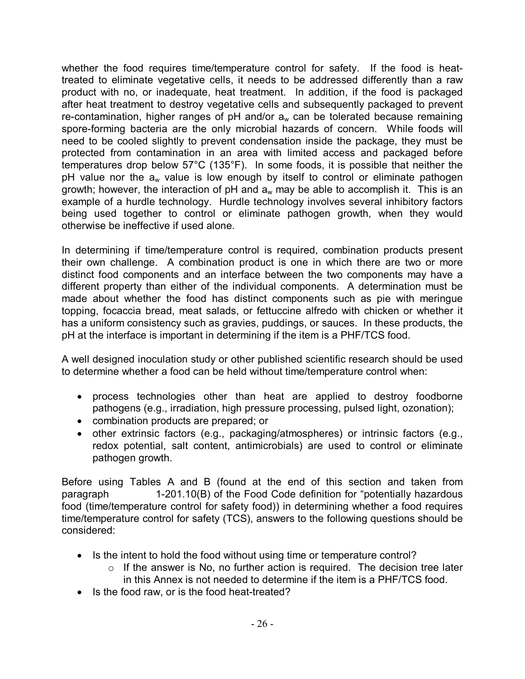whether the food requires time/temperature control for safety. If the food is heattreated to eliminate vegetative cells, it needs to be addressed differently than a raw product with no, or inadequate, heat treatment. In addition, if the food is packaged after heat treatment to destroy vegetative cells and subsequently packaged to prevent re-contamination, higher ranges of  $pH$  and/or  $a_w$  can be tolerated because remaining spore-forming bacteria are the only microbial hazards of concern. While foods will need to be cooled slightly to prevent condensation inside the package, they must be protected from contamination in an area with limited access and packaged before temperatures drop below 57°C (135°F). In some foods, it is possible that neither the  $pH$  value nor the  $a_w$  value is low enough by itself to control or eliminate pathogen growth; however, the interaction of  $pH$  and  $a_w$  may be able to accomplish it. This is an example of a hurdle technology. Hurdle technology involves several inhibitory factors being used together to control or eliminate pathogen growth, when they would otherwise be ineffective if used alone.

In determining if time/temperature control is required, combination products present their own challenge. A combination product is one in which there are two or more distinct food components and an interface between the two components may have a different property than either of the individual components. A determination must be made about whether the food has distinct components such as pie with meringue topping, focaccia bread, meat salads, or fettuccine alfredo with chicken or whether it has a uniform consistency such as gravies, puddings, or sauces. In these products, the pH at the interface is important in determining if the item is a PHF/TCS food.

A well designed inoculation study or other published scientific research should be used to determine whether a food can be held without time/temperature control when:

- · process technologies other than heat are applied to destroy foodborne pathogens (e.g., irradiation, high pressure processing, pulsed light, ozonation);
- · combination products are prepared; or
- · other extrinsic factors (e.g., packaging/atmospheres) or intrinsic factors (e.g., redox potential, salt content, antimicrobials) are used to control or eliminate pathogen growth.

Before using Tables A and B (found at the end of this section and taken from paragraph 1-201.10(B) of the Food Code definition for "potentially hazardous food (time/temperature control for safety food)) in determining whether a food requires time/temperature control for safety (TCS), answers to the following questions should be considered:

- Is the intent to hold the food without using time or temperature control?
	- $\circ$  If the answer is No, no further action is required. The decision tree later in this Annex is not needed to determine if the item is a PHF/TCS food.
- $\bullet$  Is the food raw, or is the food heat-treated?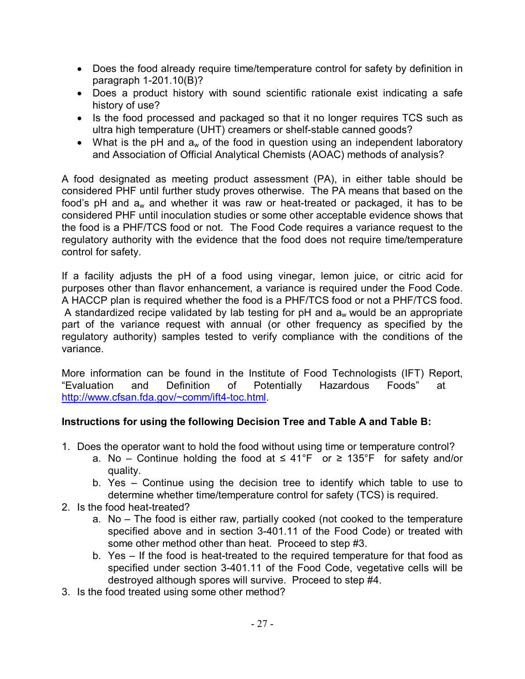- · Does the food already require time/temperature control for safety by definition in paragraph 1-201.10(B)?
- · Does a product history with sound scientific rationale exist indicating a safe history of use?
- Is the food processed and packaged so that it no longer requires TCS such as ultra high temperature (UHT) creamers or shelf-stable canned goods?
- What is the pH and  $a_w$  of the food in question using an independent laboratory and Association of Official Analytical Chemists (AOAC) methods of analysis?

A food designated as meeting product assessment (PA), in either table should be considered PHF until further study proves otherwise. The PA means that based on the food's pH and  $a_w$  and whether it was raw or heat-treated or packaged, it has to be considered PHF until inoculation studies or some other acceptable evidence shows that the food is a PHF/TCS food or not. The Food Code requires a variance request to the regulatory authority with the evidence that the food does not require time/temperature control for safety.

If a facility adjusts the pH of a food using vinegar, lemon juice, or citric acid for purposes other than flavor enhancement, a variance is required under the Food Code. A HACCP plan is required whether the food is a PHF/TCS food or not a PHF/TCS food. A standardized recipe validated by lab testing for  $pH$  and  $a_w$  would be an appropriate part of the variance request with annual (or other frequency as specified by the regulatory authority) samples tested to verify compliance with the conditions of the variance.

More information can be found in the Institute of Food Technologists (IFT) Report, "Evaluation and Definition of Potentially Hazardous Foods" at http://www.cfsan.fda.gov/~comm/ift4-toc.html.

#### **Instructions for using the following Decision Tree and Table A and Table B:**

- 1. Does the operator want to hold the food without using time or temperature control?
	- a. No Continue holding the food at  $\leq 41^{\circ}F$  or  $\geq 135^{\circ}F$  for safety and/or quality.
	- b. Yes Continue using the decision tree to identify which table to use to determine whether time/temperature control for safety (TCS) is required.
- 2. Is the food heat-treated?
	- a. No The food is either raw, partially cooked (not cooked to the temperature specified above and in section 3-401.11 of the Food Code) or treated with some other method other than heat. Proceed to step #3.
	- b. Yes If the food is heat-treated to the required temperature for that food as specified under section 3-401.11 of the Food Code, vegetative cells will be destroyed although spores will survive. Proceed to step #4.
- 3. Is the food treated using some other method?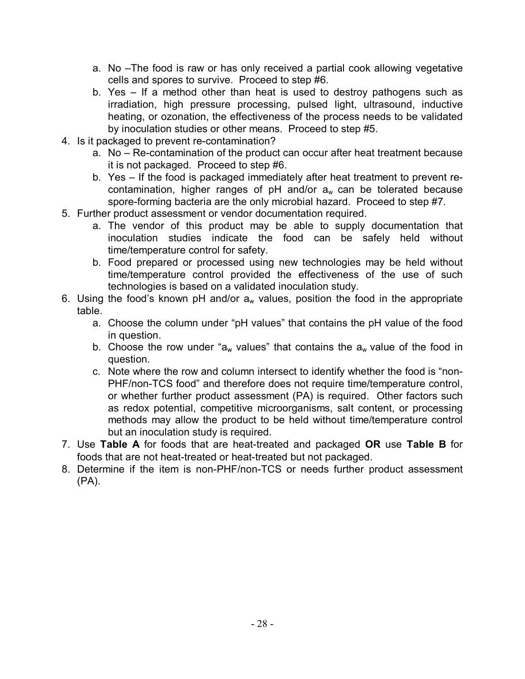- a. No –The food is raw or has only received a partial cook allowing vegetative cells and spores to survive. Proceed to step #6.
- b. Yes If a method other than heat is used to destroy pathogens such as irradiation, high pressure processing, pulsed light, ultrasound, inductive heating, or ozonation, the effectiveness of the process needs to be validated by inoculation studies or other means. Proceed to step #5.
- 4. Is it packaged to prevent re-contamination?
	- a. No Re-contamination of the product can occur after heat treatment because it is not packaged. Proceed to step #6.
	- b. Yes If the food is packaged immediately after heat treatment to prevent recontamination, higher ranges of  $pH$  and/or  $a_w$  can be tolerated because spore-forming bacteria are the only microbial hazard. Proceed to step #7.
- 5. Further product assessment or vendor documentation required.
	- a. The vendor of this product may be able to supply documentation that inoculation studies indicate the food can be safely held without time/temperature control for safety.
	- b. Food prepared or processed using new technologies may be held without time/temperature control provided the effectiveness of the use of such technologies is based on a validated inoculation study.
- 6. Using the food's known  $pH$  and/or  $a_w$  values, position the food in the appropriate table.
	- a. Choose the column under "pH values" that contains the pH value of the food in question.
	- b. Choose the row under "a<sub>w</sub> values" that contains the  $a_w$  value of the food in question.
	- c. Note where the row and column intersect to identify whether the food is "non-PHF/non-TCS food" and therefore does not require time/temperature control, or whether further product assessment (PA) is required. Other factors such as redox potential, competitive microorganisms, salt content, or processing methods may allow the product to be held without time/temperature control but an inoculation study is required.
- 7. Use Table A for foods that are heat-treated and packaged OR use Table B for foods that are not heat-treated or heat-treated but not packaged.
- 8. Determine if the item is non-PHF/non-TCS or needs further product assessment (PA).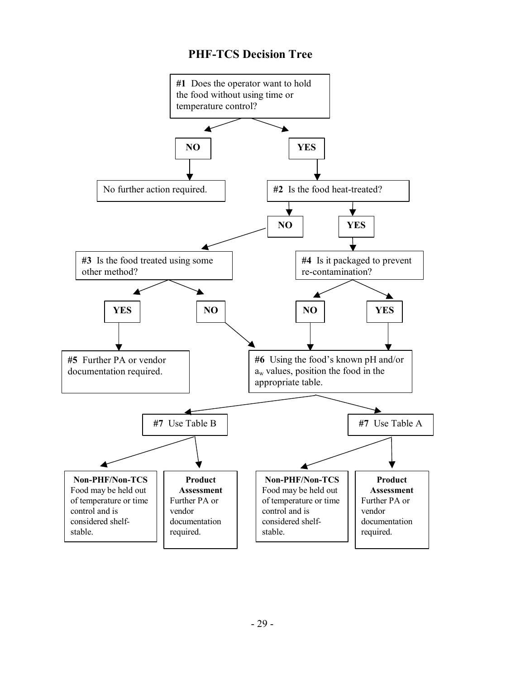## **PHF-TCS Decision Tree**

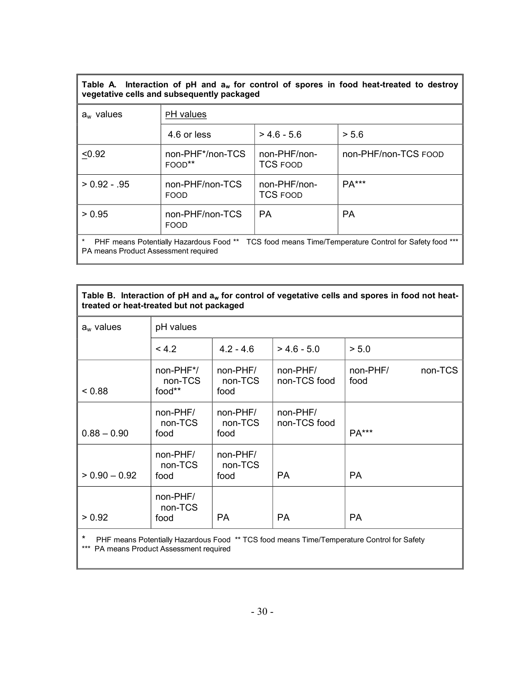| Interaction of pH and $a_w$ for control of spores in food heat-treated to destroy<br>Table A.<br>vegetative cells and subsequently packaged            |                                |                                 |                      |  |
|--------------------------------------------------------------------------------------------------------------------------------------------------------|--------------------------------|---------------------------------|----------------------|--|
| $a_w$ values                                                                                                                                           | PH values                      |                                 |                      |  |
|                                                                                                                                                        | 4.6 or less                    | $> 4.6 - 5.6$                   | > 5.6                |  |
| < 0.92                                                                                                                                                 | non-PHF*/non-TCS<br>FOOD**     | non-PHF/non-<br><b>TCS FOOD</b> | non-PHF/non-TCS FOOD |  |
| $> 0.92 - 0.95$                                                                                                                                        | non-PHF/non-TCS<br><b>FOOD</b> | non-PHF/non-<br><b>TCS FOOD</b> | <b>PA***</b>         |  |
| > 0.95                                                                                                                                                 | non-PHF/non-TCS<br><b>FOOD</b> | PA.                             | <b>PA</b>            |  |
| $\star$<br>PHF means Potentially Hazardous Food ** TCS food means Time/Temperature Control for Safety food ***<br>PA means Product Assessment required |                                |                                 |                      |  |

| Table B. Interaction of pH and $a_w$ for control of vegetative cells and spores in food not heat-<br>treated or heat-treated but not packaged |                                             |                             |                          |                  |         |
|-----------------------------------------------------------------------------------------------------------------------------------------------|---------------------------------------------|-----------------------------|--------------------------|------------------|---------|
| $a_w$ values                                                                                                                                  | pH values                                   |                             |                          |                  |         |
|                                                                                                                                               | 4.2                                         | $4.2 - 4.6$                 | $> 4.6 - 5.0$            | > 5.0            |         |
| < 0.88                                                                                                                                        | non-PHF <sup>*</sup> /<br>non-TCS<br>food** | non-PHF/<br>non-TCS<br>food | non-PHF/<br>non-TCS food | non-PHF/<br>food | non-TCS |

| 0.88            | food**                      | food                        |                          |              |
|-----------------|-----------------------------|-----------------------------|--------------------------|--------------|
| $0.88 - 0.90$   | non-PHF/<br>non-TCS<br>food | non-PHF/<br>non-TCS<br>food | non-PHF/<br>non-TCS food | <b>PA***</b> |
| $> 0.90 - 0.92$ | non-PHF/<br>non-TCS<br>food | non-PHF/<br>non-TCS<br>food | <b>PA</b>                | PA           |
| > 0.92          | non-PHF/<br>non-TCS<br>food | <b>PA</b>                   | <b>PA</b>                | <b>PA</b>    |

\* PHF means Potentially Hazardous Food \*\* TCS food means Time/Temperature Control for Safety \*\*\* PA means Product Assessment required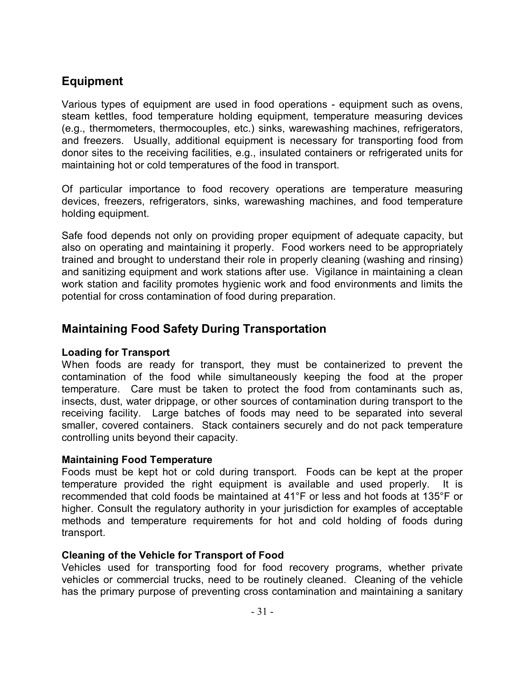## **Equipment**

Various types of equipment are used in food operations - equipment such as ovens, steam kettles, food temperature holding equipment, temperature measuring devices (e.g., thermometers, thermocouples, etc.) sinks, warewashing machines, refrigerators, and freezers. Usually, additional equipment is necessary for transporting food from donor sites to the receiving facilities, e.g., insulated containers or refrigerated units for maintaining hot or cold temperatures of the food in transport.

Of particular importance to food recovery operations are temperature measuring devices, freezers, refrigerators, sinks, warewashing machines, and food temperature holding equipment.

Safe food depends not only on providing proper equipment of adequate capacity, but also on operating and maintaining it properly. Food workers need to be appropriately trained and brought to understand their role in properly cleaning (washing and rinsing) and sanitizing equipment and work stations after use. Vigilance in maintaining a clean work station and facility promotes hygienic work and food environments and limits the potential for cross contamination of food during preparation.

## **Maintaining Food Safety During Transportation**

#### **Loading for Transport**

When foods are ready for transport, they must be containerized to prevent the contamination of the food while simultaneously keeping the food at the proper temperature. Care must be taken to protect the food from contaminants such as, insects, dust, water drippage, or other sources of contamination during transport to the receiving facility. Large batches of foods may need to be separated into several smaller, covered containers. Stack containers securely and do not pack temperature controlling units beyond their capacity.

#### **Maintaining Food Temperature**

Foods must be kept hot or cold during transport. Foods can be kept at the proper temperature provided the right equipment is available and used properly. It is recommended that cold foods be maintained at 41°F or less and hot foods at 135°F or higher. Consult the regulatory authority in your jurisdiction for examples of acceptable methods and temperature requirements for hot and cold holding of foods during transport.

#### **Cleaning of the Vehicle for Transport of Food**

Vehicles used for transporting food for food recovery programs, whether private vehicles or commercial trucks, need to be routinely cleaned. Cleaning of the vehicle has the primary purpose of preventing cross contamination and maintaining a sanitary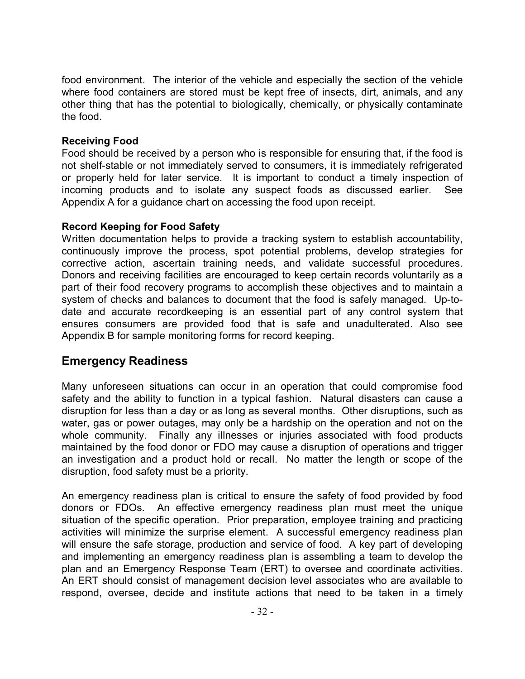food environment. The interior of the vehicle and especially the section of the vehicle where food containers are stored must be kept free of insects, dirt, animals, and any other thing that has the potential to biologically, chemically, or physically contaminate the food.

#### **Receiving Food**

Food should be received by a person who is responsible for ensuring that, if the food is not shelf-stable or not immediately served to consumers, it is immediately refrigerated or properly held for later service. It is important to conduct a timely inspection of incoming products and to isolate any suspect foods as discussed earlier. See Appendix A for a guidance chart on accessing the food upon receipt.

#### **Record Keeping for Food Safety**

Written documentation helps to provide a tracking system to establish accountability, continuously improve the process, spot potential problems, develop strategies for corrective action, ascertain training needs, and validate successful procedures. Donors and receiving facilities are encouraged to keep certain records voluntarily as a part of their food recovery programs to accomplish these objectives and to maintain a system of checks and balances to document that the food is safely managed. Up-todate and accurate recordkeeping is an essential part of any control system that ensures consumers are provided food that is safe and unadulterated. Also see Appendix B for sample monitoring forms for record keeping.

## **Emergency Readiness**

Many unforeseen situations can occur in an operation that could compromise food safety and the ability to function in a typical fashion. Natural disasters can cause a disruption for less than a day or as long as several months. Other disruptions, such as water, gas or power outages, may only be a hardship on the operation and not on the whole community. Finally any illnesses or injuries associated with food products maintained by the food donor or FDO may cause a disruption of operations and trigger an investigation and a product hold or recall. No matter the length or scope of the disruption, food safety must be a priority.

An emergency readiness plan is critical to ensure the safety of food provided by food donors or FDOs. An effective emergency readiness plan must meet the unique situation of the specific operation. Prior preparation, employee training and practicing activities will minimize the surprise element. A successful emergency readiness plan will ensure the safe storage, production and service of food. A key part of developing and implementing an emergency readiness plan is assembling a team to develop the plan and an Emergency Response Team (ERT) to oversee and coordinate activities. An ERT should consist of management decision level associates who are available to respond, oversee, decide and institute actions that need to be taken in a timely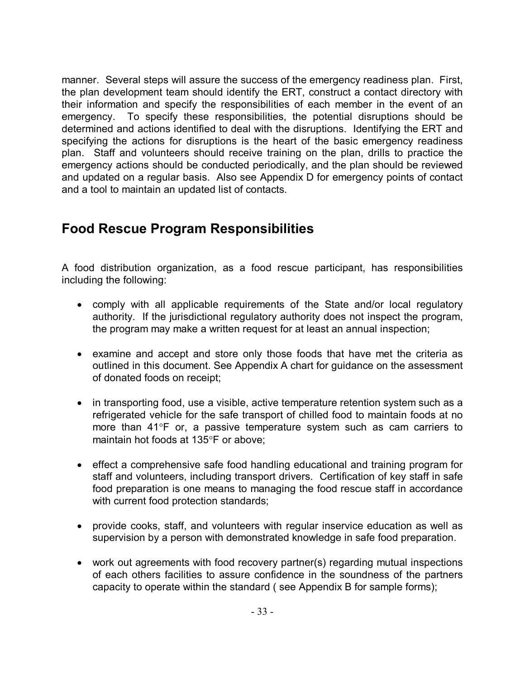manner. Several steps will assure the success of the emergency readiness plan. First, the plan development team should identify the ERT, construct a contact directory with their information and specify the responsibilities of each member in the event of an emergency. To specify these responsibilities, the potential disruptions should be determined and actions identified to deal with the disruptions. Identifying the ERT and specifying the actions for disruptions is the heart of the basic emergency readiness plan. Staff and volunteers should receive training on the plan, drills to practice the emergency actions should be conducted periodically, and the plan should be reviewed and updated on a regular basis. Also see Appendix D for emergency points of contact and a tool to maintain an updated list of contacts.

## <span id="page-33-0"></span>**Food Rescue Program Responsibilities**

A food distribution organization, as a food rescue participant, has responsibilities including the following:

- · comply with all applicable requirements of the State and/or local regulatory authority. If the jurisdictional regulatory authority does not inspect the program, the program may make a written request for at least an annual inspection;
- · examine and accept and store only those foods that have met the criteria as outlined in this document. See Appendix A chart for guidance on the assessment of donated foods on receipt;
- in transporting food, use a visible, active temperature retention system such as a refrigerated vehicle for the safe transport of chilled food to maintain foods at no more than 41°F or, a passive temperature system such as cam carriers to maintain hot foods at 135°F or above;
- · effect a comprehensive safe food handling educational and training program for staff and volunteers, including transport drivers. Certification of key staff in safe food preparation is one means to managing the food rescue staff in accordance with current food protection standards;
- · provide cooks, staff, and volunteers with regular inservice education as well as supervision by a person with demonstrated knowledge in safe food preparation.
- · work out agreements with food recovery partner(s) regarding mutual inspections of each others facilities to assure confidence in the soundness of the partners capacity to operate within the standard ( see Appendix B for sample forms);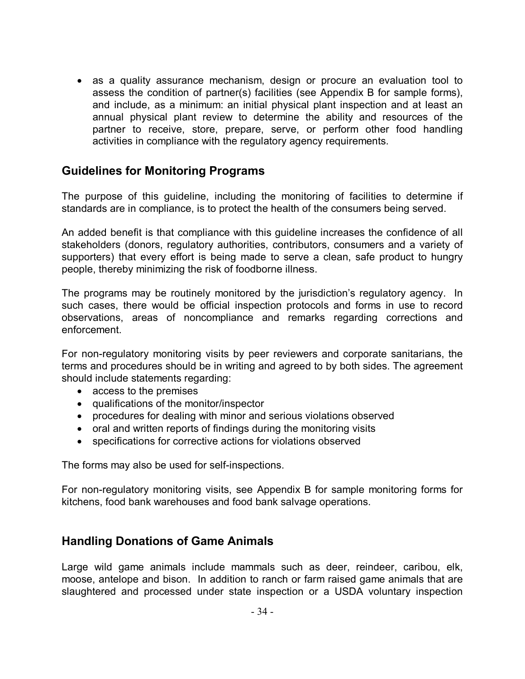• as a quality assurance mechanism, design or procure an evaluation tool to assess the condition of partner(s) facilities (see Appendix B for sample forms), and include, as a minimum: an initial physical plant inspection and at least an annual physical plant review to determine the ability and resources of the partner to receive, store, prepare, serve, or perform other food handling activities in compliance with the regulatory agency requirements.

### <span id="page-34-0"></span>**Guidelines for Monitoring Programs**

The purpose of this guideline, including the monitoring of facilities to determine if standards are in compliance, is to protect the health of the consumers being served.

An added benefit is that compliance with this guideline increases the confidence of all stakeholders (donors, regulatory authorities, contributors, consumers and a variety of supporters) that every effort is being made to serve a clean, safe product to hungry people, thereby minimizing the risk of foodborne illness.

The programs may be routinely monitored by the jurisdiction's regulatory agency. In such cases, there would be official inspection protocols and forms in use to record observations, areas of noncompliance and remarks regarding corrections and enforcement.

For non-regulatory monitoring visits by peer reviewers and corporate sanitarians, the terms and procedures should be in writing and agreed to by both sides. The agreement should include statements regarding:

- · access to the premises
- · qualifications of the monitor/inspector
- · procedures for dealing with minor and serious violations observed
- oral and written reports of findings during the monitoring visits
- · specifications for corrective actions for violations observed

The forms may also be used for self-inspections.

<span id="page-34-1"></span>For non-regulatory monitoring visits, see Appendix B for sample monitoring forms for kitchens, food bank warehouses and food bank salvage operations.

### **Handling Donations of Game Animals**

Large wild game animals include mammals such as deer, reindeer, caribou, elk, moose, antelope and bison. In addition to ranch or farm raised game animals that are slaughtered and processed under state inspection or a USDA voluntary inspection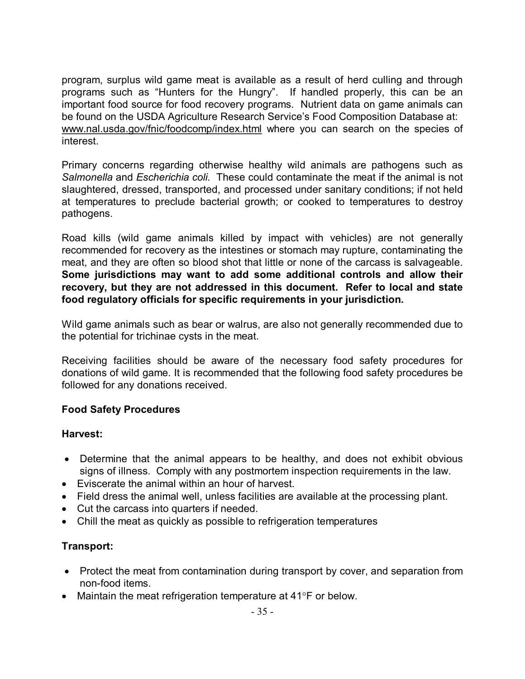program, surplus wild game meat is available as a result of herd culling and through programs such as "Hunters for the Hungry". If handled properly, this can be an important food source for food recovery programs. Nutrient data on game animals can be found on the USDA Agriculture Research Service's Food Composition Database at: www.nal.usda.gov/fnic/foodcomp/index.html where you can search on the species of interest.

Primary concerns regarding otherwise healthy wild animals are pathogens such as *Salmonella* and *Escherichia coli*. These could contaminate the meat if the animal is not slaughtered, dressed, transported, and processed under sanitary conditions; if not held at temperatures to preclude bacterial growth; or cooked to temperatures to destroy pathogens.

Road kills (wild game animals killed by impact with vehicles) are not generally recommended for recovery as the intestines or stomach may rupture, contaminating the meat, and they are often so blood shot that little or none of the carcass is salvageable. **Some jurisdictions may want to add some additional controls and allow their recovery, but they are not addressed in this document. Refer to local and state food regulatory officials for specific requirements in your jurisdiction.**

Wild game animals such as bear or walrus, are also not generally recommended due to the potential for trichinae cysts in the meat.

Receiving facilities should be aware of the necessary food safety procedures for donations of wild game. It is recommended that the following food safety procedures be followed for any donations received.

#### **Food Safety Procedures**

#### **Harvest:**

- Determine that the animal appears to be healthy, and does not exhibit obvious signs of illness. Comply with any postmortem inspection requirements in the law.
- · Eviscerate the animal within an hour of harvest.
- · Field dress the animal well, unless facilities are available at the processing plant.
- · Cut the carcass into quarters if needed.
- · Chill the meat as quickly as possible to refrigeration temperatures

### **Transport:**

- · Protect the meat from contamination during transport by cover, and separation from non-food items.
- Maintain the meat refrigeration temperature at 41°F or below.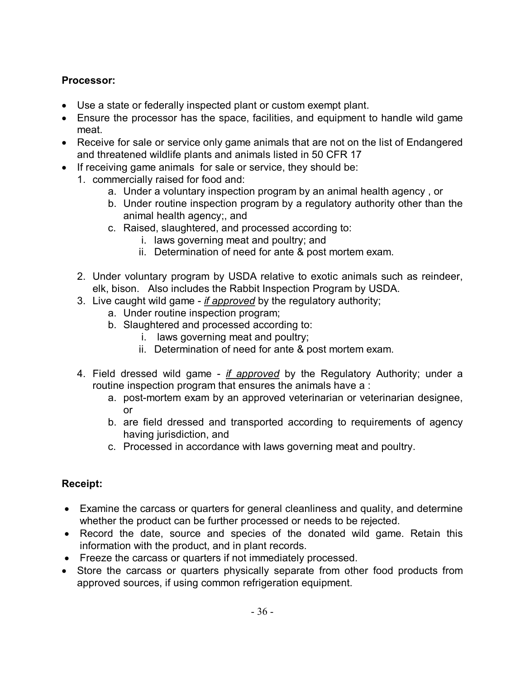# **Processor:**

- · Use a state or federally inspected plant or custom exempt plant.
- · Ensure the processor has the space, facilities, and equipment to handle wild game meat.
- Receive for sale or service only game animals that are not on the list of Endangered and threatened wildlife plants and animals listed in 50 CFR 17
- If receiving game animals for sale or service, they should be:
	- 1. commercially raised for food and:
		- a. Under a voluntary inspection program by an animal health agency , or
		- b. Under routine inspection program by a regulatory authority other than the animal health agency;, and
		- c. Raised, slaughtered, and processed according to:
			- i. laws governing meat and poultry; and
			- ii. Determination of need for ante & post mortem exam.
	- 2. Under voluntary program by USDA relative to exotic animals such as reindeer, elk, bison. Also includes the Rabbit Inspection Program by USDA.
	- 3. Live caught wild game  *if approved* by the regulatory authority;
		- a. Under routine inspection program;
		- b. Slaughtered and processed according to:
			- i. laws governing meat and poultry;
			- ii. Determination of need for ante & post mortem exam.
	- 4. Field dressed wild game *if approved* by the Regulatory Authority; under a routine inspection program that ensures the animals have a :
		- a. post-mortem exam by an approved veterinarian or veterinarian designee, or
		- b. are field dressed and transported according to requirements of agency having jurisdiction, and
		- c. Processed in accordance with laws governing meat and poultry.

# **Receipt:**

- · Examine the carcass or quarters for general cleanliness and quality, and determine whether the product can be further processed or needs to be rejected.
- Record the date, source and species of the donated wild game. Retain this information with the product, and in plant records.
- · Freeze the carcass or quarters if not immediately processed.
- Store the carcass or quarters physically separate from other food products from approved sources, if using common refrigeration equipment.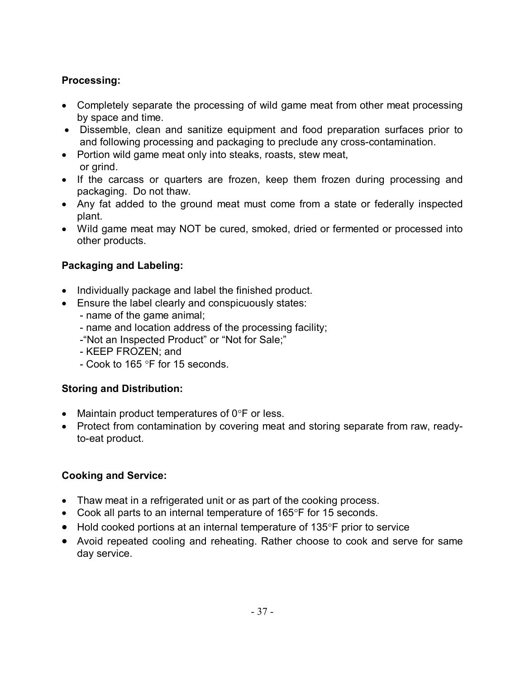# **Processing:**

- · Completely separate the processing of wild game meat from other meat processing by space and time.
- · Dissemble, clean and sanitize equipment and food preparation surfaces prior to and following processing and packaging to preclude any cross-contamination.
- · Portion wild game meat only into steaks, roasts, stew meat, or grind.
- If the carcass or quarters are frozen, keep them frozen during processing and packaging. Do not thaw.
- Any fat added to the ground meat must come from a state or federally inspected plant.
- · Wild game meat may NOT be cured, smoked, dried or fermented or processed into other products.

# **Packaging and Labeling:**

- · Individually package and label the finished product.
- · Ensure the label clearly and conspicuously states:
	- name of the game animal;
	- name and location address of the processing facility;
	- "Not an Inspected Product" or "Not for Sale;"
	- KEEP FROZEN; and
	- Cook to 165 °F for 15 seconds.

# **Storing and Distribution:**

- Maintain product temperatures of  $0^{\circ}$ F or less.
- · Protect from contamination by covering meat and storing separate from raw, readyto-eat product.

# **Cooking and Service:**

- Thaw meat in a refrigerated unit or as part of the cooking process.
- · Cook all parts to an internal temperature of 165°F for 15 seconds.
- Hold cooked portions at an internal temperature of 135°F prior to service
- Avoid repeated cooling and reheating. Rather choose to cook and serve for same day service.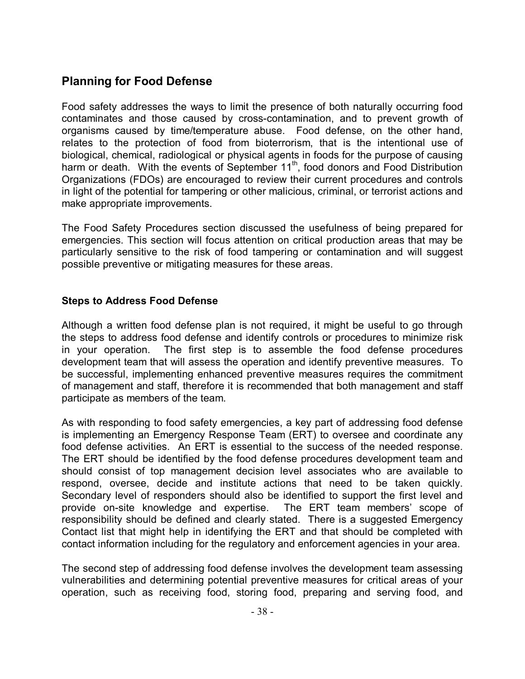# **Planning for Food Defense**

Food safety addresses the ways to limit the presence of both naturally occurring food contaminates and those caused by cross-contamination, and to prevent growth of organisms caused by time/temperature abuse. Food defense, on the other hand, relates to the protection of food from bioterrorism, that is the intentional use of biological, chemical, radiological or physical agents in foods for the purpose of causing harm or death. With the events of September 11<sup>th</sup>, food donors and Food Distribution Organizations (FDOs) are encouraged to review their current procedures and controls in light of the potential for tampering or other malicious, criminal, or terrorist actions and make appropriate improvements.

The Food Safety Procedures section discussed the usefulness of being prepared for emergencies. This section will focus attention on critical production areas that may be particularly sensitive to the risk of food tampering or contamination and will suggest possible preventive or mitigating measures for these areas.

## **Steps to Address Food Defense**

Although a written food defense plan is not required, it might be useful to go through the steps to address food defense and identify controls or procedures to minimize risk in your operation. The first step is to assemble the food defense procedures development team that will assess the operation and identify preventive measures. To be successful, implementing enhanced preventive measures requires the commitment of management and staff, therefore it is recommended that both management and staff participate as members of the team.

As with responding to food safety emergencies, a key part of addressing food defense is implementing an Emergency Response Team (ERT) to oversee and coordinate any food defense activities. An ERT is essential to the success of the needed response. The ERT should be identified by the food defense procedures development team and should consist of top management decision level associates who are available to respond, oversee, decide and institute actions that need to be taken quickly. Secondary level of responders should also be identified to support the first level and provide on-site knowledge and expertise. The ERT team members' scope of responsibility should be defined and clearly stated. There is a suggested Emergency Contact list that might help in identifying the ERT and that should be completed with contact information including for the regulatory and enforcement agencies in your area.

The second step of addressing food defense involves the development team assessing vulnerabilities and determining potential preventive measures for critical areas of your operation, such as receiving food, storing food, preparing and serving food, and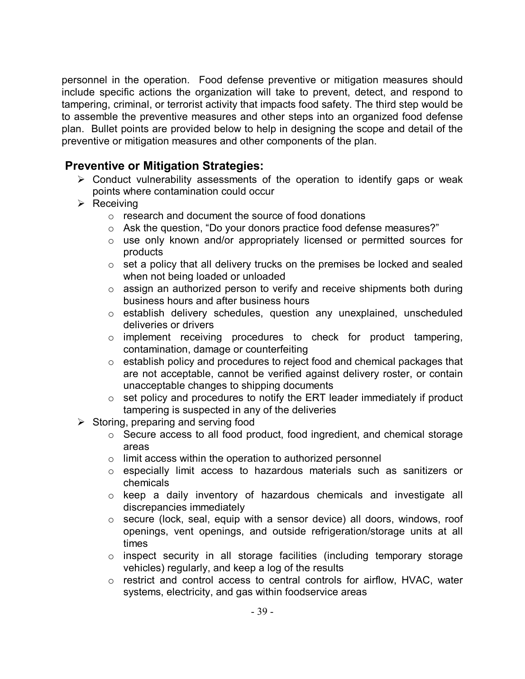personnel in the operation. Food defense preventive or mitigation measures should include specific actions the organization will take to prevent, detect, and respond to tampering, criminal, or terrorist activity that impacts food safety. The third step would be to assemble the preventive measures and other steps into an organized food defense plan. Bullet points are provided below to help in designing the scope and detail of the preventive or mitigation measures and other components of the plan.

# **Preventive or Mitigation Strategies:**

- $\triangleright$  Conduct vulnerability assessments of the operation to identify gaps or weak points where contamination could occur
- $\triangleright$  Receiving
	- o research and document the source of food donations
	- o Ask the question, "Do your donors practice food defense measures?"
	- o use only known and/or appropriately licensed or permitted sources for products
	- $\circ$  set a policy that all delivery trucks on the premises be locked and sealed when not being loaded or unloaded
	- $\circ$  assign an authorized person to verify and receive shipments both during business hours and after business hours
	- o establish delivery schedules, question any unexplained, unscheduled deliveries or drivers
	- $\circ$  implement receiving procedures to check for product tampering, contamination, damage or counterfeiting
	- o establish policy and procedures to reject food and chemical packages that are not acceptable, cannot be verified against delivery roster, or contain unacceptable changes to shipping documents
	- $\circ$  set policy and procedures to notify the ERT leader immediately if product tampering is suspected in any of the deliveries
- $\triangleright$  Storing, preparing and serving food
	- o Secure access to all food product, food ingredient, and chemical storage areas
	- o limit access within the operation to authorized personnel
	- o especially limit access to hazardous materials such as sanitizers or chemicals
	- o keep a daily inventory of hazardous chemicals and investigate all discrepancies immediately
	- $\circ$  secure (lock, seal, equip with a sensor device) all doors, windows, roof openings, vent openings, and outside refrigeration/storage units at all times
	- o inspect security in all storage facilities (including temporary storage vehicles) regularly, and keep a log of the results
	- o restrict and control access to central controls for airflow, HVAC, water systems, electricity, and gas within foodservice areas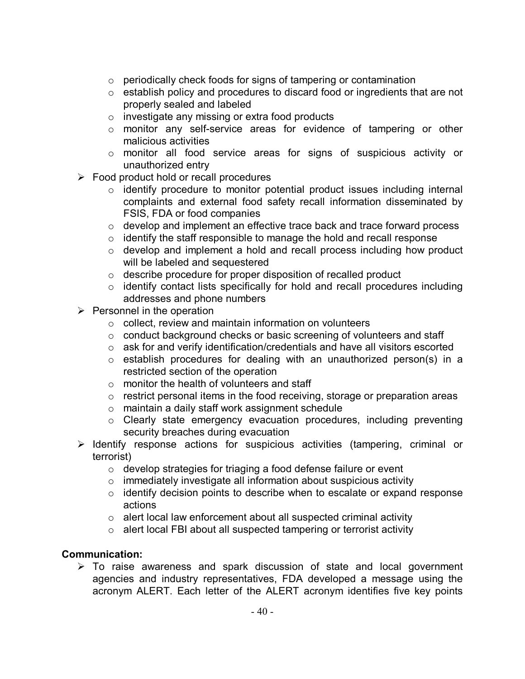- o periodically check foods for signs of tampering or contamination
- o establish policy and procedures to discard food or ingredients that are not properly sealed and labeled
- o investigate any missing or extra food products
- $\circ$  monitor any self-service areas for evidence of tampering or other malicious activities
- o monitor all food service areas for signs of suspicious activity or unauthorized entry
- $\triangleright$  Food product hold or recall procedures
	- $\circ$  identify procedure to monitor potential product issues including internal complaints and external food safety recall information disseminated by FSIS, FDA or food companies
	- o develop and implement an effective trace back and trace forward process
	- $\circ$  identify the staff responsible to manage the hold and recall response
	- o develop and implement a hold and recall process including how product will be labeled and sequestered
	- o describe procedure for proper disposition of recalled product
	- o identify contact lists specifically for hold and recall procedures including addresses and phone numbers
- $\triangleright$  Personnel in the operation
	- o collect, review and maintain information on volunteers
	- o conduct background checks or basic screening of volunteers and staff
	- o ask for and verify identification/credentials and have all visitors escorted
	- $\circ$  establish procedures for dealing with an unauthorized person(s) in a restricted section of the operation
	- $\circ$  monitor the health of volunteers and staff
	- o restrict personal items in the food receiving, storage or preparation areas
	- $\circ$  maintain a daily staff work assignment schedule
	- o Clearly state emergency evacuation procedures, including preventing security breaches during evacuation
- $\triangleright$  Identify response actions for suspicious activities (tampering, criminal or terrorist)
	- o develop strategies for triaging a food defense failure or event
	- $\circ$  immediately investigate all information about suspicious activity
	- $\circ$  identify decision points to describe when to escalate or expand response actions
	- $\circ$  alert local law enforcement about all suspected criminal activity
	- o alert local FBI about all suspected tampering or terrorist activity

## **Communication:**

 $\triangleright$  To raise awareness and spark discussion of state and local government agencies and industry representatives, FDA developed a message using the acronym ALERT. Each letter of the ALERT acronym identifies five key points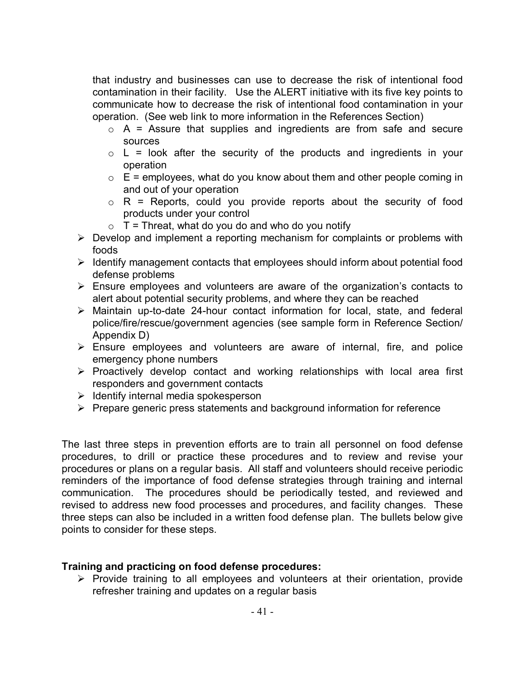that industry and businesses can use to decrease the risk of intentional food contamination in their facility. Use the ALERT initiative with its five key points to communicate how to decrease the risk of intentional food contamination in your operation. (See web link to more information in the References Section)

- $\circ$  A = Assure that supplies and ingredients are from safe and secure sources
- $\circ$  L = look after the security of the products and ingredients in your operation
- $\circ$  E = employees, what do you know about them and other people coming in and out of your operation
- $\circ$  R = Reports, could you provide reports about the security of food products under your control
- $\circ$  T = Threat, what do you do and who do you notify
- $\triangleright$  Develop and implement a reporting mechanism for complaints or problems with foods
- $\triangleright$  Identify management contacts that employees should inform about potential food defense problems
- $\triangleright$  Ensure employees and volunteers are aware of the organization's contacts to alert about potential security problems, and where they can be reached
- $\triangleright$  Maintain up-to-date 24-hour contact information for local, state, and federal police/fire/rescue/government agencies (see sample form in Reference Section/ Appendix D)
- $\triangleright$  Ensure employees and volunteers are aware of internal, fire, and police emergency phone numbers
- $\triangleright$  Proactively develop contact and working relationships with local area first responders and government contacts
- $\triangleright$  Identify internal media spokesperson
- $\triangleright$  Prepare generic press statements and background information for reference

The last three steps in prevention efforts are to train all personnel on food defense procedures, to drill or practice these procedures and to review and revise your procedures or plans on a regular basis. All staff and volunteers should receive periodic reminders of the importance of food defense strategies through training and internal communication. The procedures should be periodically tested, and reviewed and revised to address new food processes and procedures, and facility changes. These three steps can also be included in a written food defense plan. The bullets below give points to consider for these steps.

## **Training and practicing on food defense procedures:**

 $\triangleright$  Provide training to all employees and volunteers at their orientation, provide refresher training and updates on a regular basis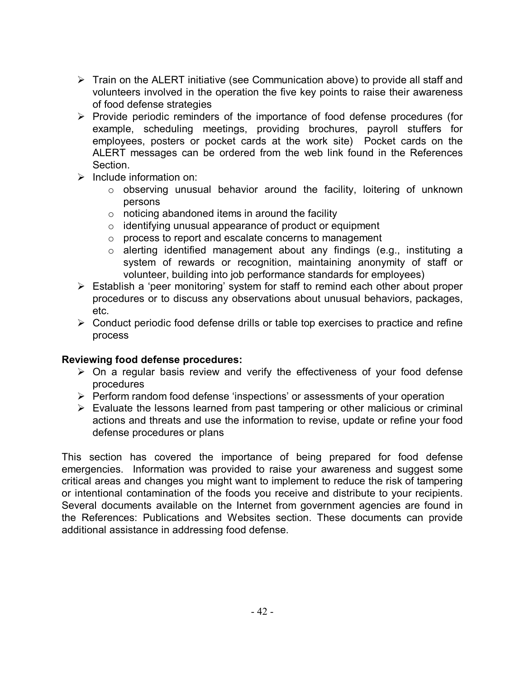- $\triangleright$  Train on the ALERT initiative (see Communication above) to provide all staff and volunteers involved in the operation the five key points to raise their awareness of food defense strategies
- $\triangleright$  Provide periodic reminders of the importance of food defense procedures (for example, scheduling meetings, providing brochures, payroll stuffers for employees, posters or pocket cards at the work site) Pocket cards on the ALERT messages can be ordered from the web link found in the References Section.
- $\triangleright$  Include information on:
	- $\circ$  observing unusual behavior around the facility, loitering of unknown persons
	- $\circ$  noticing abandoned items in around the facility
	- o identifying unusual appearance of product or equipment
	- o process to report and escalate concerns to management
	- o alerting identified management about any findings (e.g., instituting a system of rewards or recognition, maintaining anonymity of staff or volunteer, building into job performance standards for employees)
- $\triangleright$  Establish a 'peer monitoring' system for staff to remind each other about proper procedures or to discuss any observations about unusual behaviors, packages, etc.
- $\triangleright$  Conduct periodic food defense drills or table top exercises to practice and refine process

## **Reviewing food defense procedures:**

- $\triangleright$  On a regular basis review and verify the effectiveness of your food defense procedures
- $\triangleright$  Perform random food defense 'inspections' or assessments of your operation
- $\triangleright$  Evaluate the lessons learned from past tampering or other malicious or criminal actions and threats and use the information to revise, update or refine your food defense procedures or plans

This section has covered the importance of being prepared for food defense emergencies. Information was provided to raise your awareness and suggest some critical areas and changes you might want to implement to reduce the risk of tampering or intentional contamination of the foods you receive and distribute to your recipients. Several documents available on the Internet from government agencies are found in the References: Publications and Websites section. These documents can provide additional assistance in addressing food defense.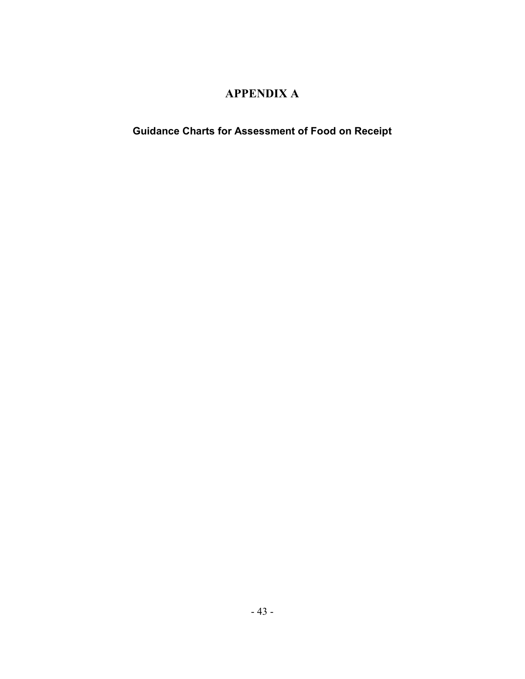# **APPENDIX A**

# **Guidance Charts for Assessment of Food on Receipt**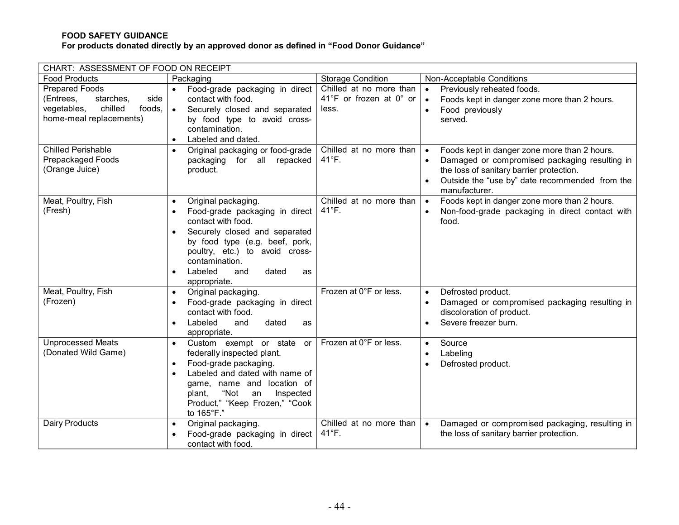## **FOOD SAFETY GUIDANCE**

**For products donated directly by an approved donor as defined in "Food Donor Guidance"**

| CHART: ASSESSMENT OF FOOD ON RECEIPT                                                                                   |                                                                                                                                                                                                                                                                  |                                                             |                                                                                                                                                                                                                           |
|------------------------------------------------------------------------------------------------------------------------|------------------------------------------------------------------------------------------------------------------------------------------------------------------------------------------------------------------------------------------------------------------|-------------------------------------------------------------|---------------------------------------------------------------------------------------------------------------------------------------------------------------------------------------------------------------------------|
| <b>Food Products</b>                                                                                                   | Packaging                                                                                                                                                                                                                                                        | <b>Storage Condition</b>                                    | Non-Acceptable Conditions                                                                                                                                                                                                 |
| <b>Prepared Foods</b><br>(Entrees,<br>starches,<br>side<br>chilled<br>vegetables,<br>foods,<br>home-meal replacements) | Food-grade packaging in direct<br>$\bullet$<br>contact with food.<br>Securely closed and separated<br>$\bullet$<br>by food type to avoid cross-<br>contamination.<br>Labeled and dated.<br>$\bullet$                                                             | Chilled at no more than<br>41°F or frozen at 0° or<br>less. | Previously reheated foods.<br>$\bullet$<br>Foods kept in danger zone more than 2 hours.<br>Food previously<br>served.                                                                                                     |
| <b>Chilled Perishable</b><br>Prepackaged Foods<br>(Orange Juice)                                                       | Original packaging or food-grade<br>packaging for all repacked<br>product.                                                                                                                                                                                       | Chilled at no more than<br>$41^{\circ}$ F.                  | Foods kept in danger zone more than 2 hours.<br>$\bullet$<br>Damaged or compromised packaging resulting in<br>the loss of sanitary barrier protection.<br>Outside the "use by" date recommended from the<br>manufacturer. |
| Meat, Poultry, Fish<br>(Fresh)                                                                                         | Original packaging.<br>$\bullet$<br>Food-grade packaging in direct<br>contact with food.<br>Securely closed and separated<br>by food type (e.g. beef, pork,<br>poultry, etc.) to avoid cross-<br>contamination.<br>Labeled<br>and<br>dated<br>as<br>appropriate. | Chilled at no more than<br>41°F.                            | Foods kept in danger zone more than 2 hours.<br>$\bullet$<br>Non-food-grade packaging in direct contact with<br>food.                                                                                                     |
| Meat, Poultry, Fish<br>(Frozen)                                                                                        | Original packaging.<br>$\bullet$<br>Food-grade packaging in direct<br>contact with food.<br>Labeled<br>dated<br>and<br>as<br>$\bullet$<br>appropriate.                                                                                                           | Frozen at 0°F or less.                                      | Defrosted product.<br>$\bullet$<br>Damaged or compromised packaging resulting in<br>discoloration of product.<br>Severe freezer burn.                                                                                     |
| <b>Unprocessed Meats</b><br>(Donated Wild Game)                                                                        | Custom exempt or state<br><b>or</b><br>$\bullet$<br>federally inspected plant.<br>Food-grade packaging.<br>Labeled and dated with name of<br>game, name and location of<br>"Not<br>Inspected<br>plant,<br>an<br>Product," "Keep Frozen," "Cook<br>to 165°F."     | Frozen at 0°F or less.                                      | Source<br>Labeling<br>Defrosted product.                                                                                                                                                                                  |
| Dairy Products                                                                                                         | Original packaging.<br>$\bullet$<br>Food-grade packaging in direct<br>contact with food.                                                                                                                                                                         | Chilled at no more than<br>41°F.                            | Damaged or compromised packaging, resulting in<br>$\bullet$<br>the loss of sanitary barrier protection.                                                                                                                   |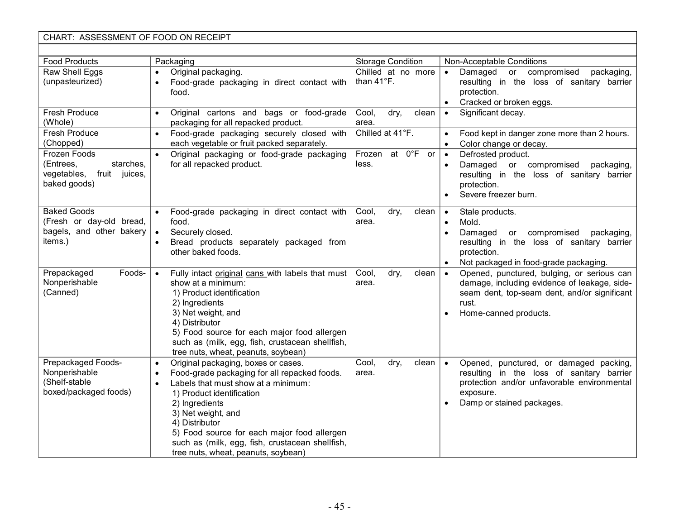| CHART: ASSESSMENT OF FOOD ON RECEIPT                                                   |                                                                                                                                                                                                                                                                                                                                                                                                   |                                  |                                                                                                                                                                                                        |
|----------------------------------------------------------------------------------------|---------------------------------------------------------------------------------------------------------------------------------------------------------------------------------------------------------------------------------------------------------------------------------------------------------------------------------------------------------------------------------------------------|----------------------------------|--------------------------------------------------------------------------------------------------------------------------------------------------------------------------------------------------------|
|                                                                                        |                                                                                                                                                                                                                                                                                                                                                                                                   |                                  |                                                                                                                                                                                                        |
| <b>Food Products</b>                                                                   | Packaging                                                                                                                                                                                                                                                                                                                                                                                         | <b>Storage Condition</b>         | Non-Acceptable Conditions                                                                                                                                                                              |
| Raw Shell Eggs<br>(unpasteurized)                                                      | Original packaging.<br>$\bullet$<br>Food-grade packaging in direct contact with<br>$\bullet$<br>food.                                                                                                                                                                                                                                                                                             | Chilled at no more<br>than 41°F. | Damaged or compromised<br>packaging,<br>$\bullet$<br>resulting in the loss of sanitary barrier<br>protection.<br>Cracked or broken eggs.<br>$\bullet$                                                  |
| <b>Fresh Produce</b><br>(Whole)                                                        | Original cartons and bags or food-grade<br>$\bullet$<br>packaging for all repacked product.                                                                                                                                                                                                                                                                                                       | Cool,<br>dry,<br>clean<br>area.  | Significant decay.<br>$\bullet$                                                                                                                                                                        |
| <b>Fresh Produce</b><br>(Chopped)                                                      | Food-grade packaging securely closed with<br>$\bullet$<br>each vegetable or fruit packed separately.                                                                                                                                                                                                                                                                                              | Chilled at 41°F.                 | Food kept in danger zone more than 2 hours.<br>$\bullet$<br>Color change or decay.<br>$\bullet$                                                                                                        |
| Frozen Foods<br>starches,<br>(Entrees,<br>fruit juices,<br>vegetables,<br>baked goods) | Original packaging or food-grade packaging<br>$\bullet$<br>for all repacked product.                                                                                                                                                                                                                                                                                                              | Frozen at 0°F or<br>less.        | Defrosted product.<br>$\bullet$<br>Damaged or compromised<br>packaging,<br>resulting in the loss of sanitary barrier<br>protection.<br>Severe freezer burn.                                            |
| <b>Baked Goods</b><br>(Fresh or day-old bread,<br>bagels, and other bakery<br>items.)  | Food-grade packaging in direct contact with<br>food.<br>Securely closed.<br>$\bullet$<br>Bread products separately packaged from<br>$\bullet$<br>other baked foods.                                                                                                                                                                                                                               | Cool,<br>dry,<br>clean<br>area.  | Stale products.<br>$\bullet$<br>Mold.<br>$\bullet$<br>Damaged<br>or compromised<br>packaging,<br>resulting in the loss of sanitary barrier<br>protection.<br>Not packaged in food-grade packaging.     |
| Prepackaged<br>Foods-<br>Nonperishable<br>(Canned)                                     | Fully intact original cans with labels that must<br>$\bullet$<br>show at a minimum:<br>1) Product identification<br>2) Ingredients<br>3) Net weight, and<br>4) Distributor<br>5) Food source for each major food allergen<br>such as (milk, egg, fish, crustacean shellfish,<br>tree nuts, wheat, peanuts, soybean)                                                                               | Cool,<br>dry,<br>clean<br>area.  | Opened, punctured, bulging, or serious can<br>$\bullet$<br>damage, including evidence of leakage, side-<br>seam dent, top-seam dent, and/or significant<br>rust.<br>Home-canned products.              |
| Prepackaged Foods-<br>Nonperishable<br>(Shelf-stable<br>boxed/packaged foods)          | Original packaging, boxes or cases.<br>$\bullet$<br>Food-grade packaging for all repacked foods.<br>$\bullet$<br>Labels that must show at a minimum:<br>$\bullet$<br>1) Product identification<br>2) Ingredients<br>3) Net weight, and<br>4) Distributor<br>5) Food source for each major food allergen<br>such as (milk, egg, fish, crustacean shellfish,<br>tree nuts, wheat, peanuts, soybean) | Cool,<br>dry,<br>clean<br>area.  | Opened, punctured, or damaged packing,<br>$\bullet$<br>resulting in the loss of sanitary barrier<br>protection and/or unfavorable environmental<br>exposure.<br>Damp or stained packages.<br>$\bullet$ |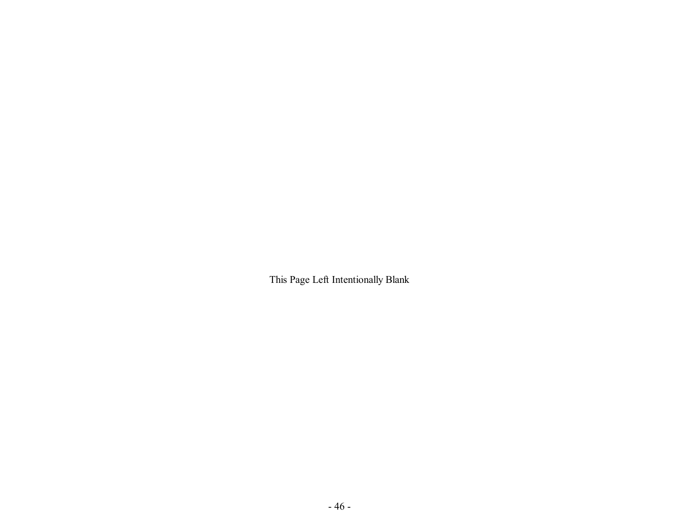This Page Left Intentionally Blank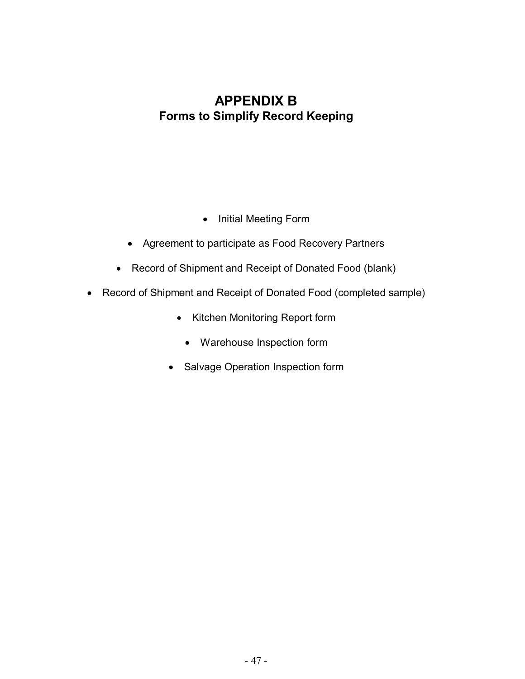# **APPENDIX B Forms to Simplify Record Keeping**

- · Initial Meeting Form
- · Agreement to participate as Food Recovery Partners
- · Record of Shipment and Receipt of Donated Food (blank)
- · Record of Shipment and Receipt of Donated Food (completed sample)
	- · Kitchen Monitoring Report form
		- · Warehouse Inspection form
	- · Salvage Operation Inspection form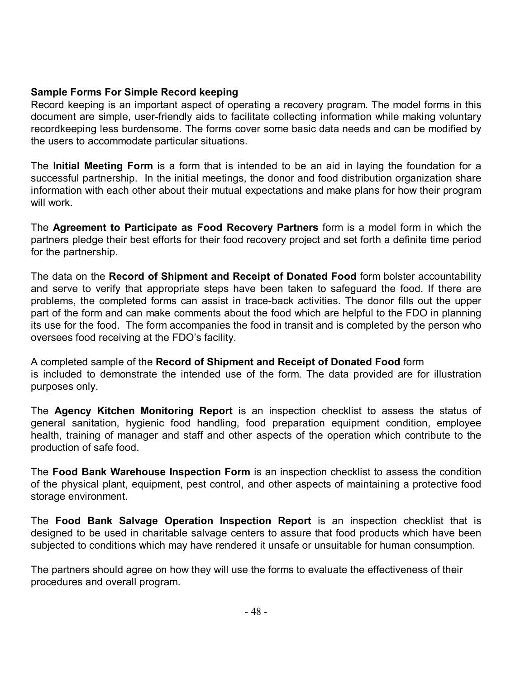## **Sample Forms For Simple Record keeping**

Record keeping is an important aspect of operating a recovery program. The model forms in this document are simple, user-friendly aids to facilitate collecting information while making voluntary recordkeeping less burdensome. The forms cover some basic data needs and can be modified by the users to accommodate particular situations.

The **Initial Meeting Form** is a form that is intended to be an aid in laying the foundation for a successful partnership. In the initial meetings, the donor and food distribution organization share information with each other about their mutual expectations and make plans for how their program will work.

The **Agreement to Participate as Food Recovery Partners** form is a model form in which the partners pledge their best efforts for their food recovery project and set forth a definite time period for the partnership.

The data on the **Record of Shipment and Receipt of Donated Food** form bolster accountability and serve to verify that appropriate steps have been taken to safeguard the food. If there are problems, the completed forms can assist in trace-back activities. The donor fills out the upper part of the form and can make comments about the food which are helpful to the FDO in planning its use for the food. The form accompanies the food in transit and is completed by the person who oversees food receiving at the FDO's facility.

A completed sample of the **Record of Shipment and Receipt of Donated Food** form is included to demonstrate the intended use of the form. The data provided are for illustration purposes only.

The **Agency Kitchen Monitoring Report** is an inspection checklist to assess the status of general sanitation, hygienic food handling, food preparation equipment condition, employee health, training of manager and staff and other aspects of the operation which contribute to the production of safe food.

The **Food Bank Warehouse Inspection Form** is an inspection checklist to assess the condition of the physical plant, equipment, pest control, and other aspects of maintaining a protective food storage environment.

The **Food Bank Salvage Operation Inspection Report** is an inspection checklist that is designed to be used in charitable salvage centers to assure that food products which have been subjected to conditions which may have rendered it unsafe or unsuitable for human consumption.

The partners should agree on how they will use the forms to evaluate the effectiveness of their procedures and overall program.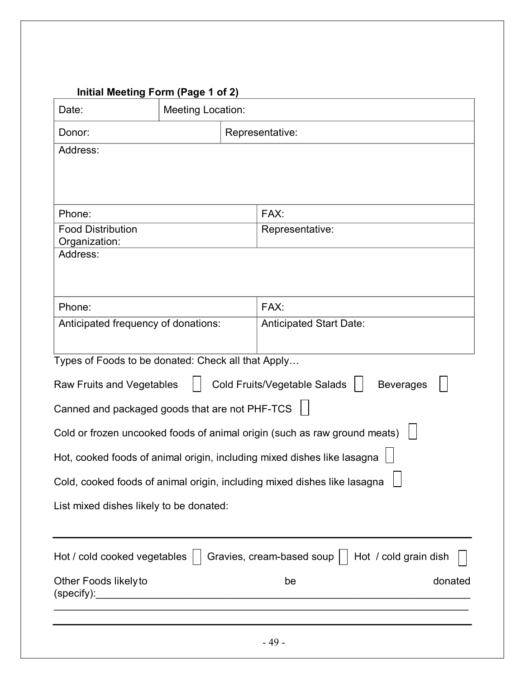| Date:                                              |                       | <b>Meeting Location:</b> |                                                                           |         |  |  |  |  |  |
|----------------------------------------------------|-----------------------|--------------------------|---------------------------------------------------------------------------|---------|--|--|--|--|--|
| Donor:                                             |                       |                          | Representative:                                                           |         |  |  |  |  |  |
| Address:                                           |                       |                          |                                                                           |         |  |  |  |  |  |
|                                                    |                       |                          |                                                                           |         |  |  |  |  |  |
|                                                    |                       |                          |                                                                           |         |  |  |  |  |  |
| Phone:<br><b>Food Distribution</b>                 |                       |                          | FAX:<br>Representative:                                                   |         |  |  |  |  |  |
| Organization:                                      |                       |                          |                                                                           |         |  |  |  |  |  |
| Address:                                           |                       |                          |                                                                           |         |  |  |  |  |  |
|                                                    |                       |                          |                                                                           |         |  |  |  |  |  |
| FAX:<br>Phone:                                     |                       |                          |                                                                           |         |  |  |  |  |  |
| Anticipated frequency of donations:                |                       |                          | <b>Anticipated Start Date:</b>                                            |         |  |  |  |  |  |
|                                                    |                       |                          |                                                                           |         |  |  |  |  |  |
| Types of Foods to be donated: Check all that Apply |                       |                          |                                                                           |         |  |  |  |  |  |
| <b>Raw Fruits and Vegetables</b>                   |                       |                          | Cold Fruits/Vegetable Salads<br><b>Beverages</b>                          |         |  |  |  |  |  |
| Canned and packaged goods that are not PHF-TCS     |                       |                          |                                                                           |         |  |  |  |  |  |
|                                                    |                       |                          | Cold or frozen uncooked foods of animal origin (such as raw ground meats) |         |  |  |  |  |  |
|                                                    |                       |                          | Hot, cooked foods of animal origin, including mixed dishes like lasagna   |         |  |  |  |  |  |
|                                                    |                       |                          | Cold, cooked foods of animal origin, including mixed dishes like lasagna  |         |  |  |  |  |  |
| List mixed dishes likely to be donated:            |                       |                          |                                                                           |         |  |  |  |  |  |
|                                                    |                       |                          |                                                                           |         |  |  |  |  |  |
| Hot / cold cooked vegetables                       |                       |                          | Gravies, cream-based soup     Hot / cold grain dish                       |         |  |  |  |  |  |
|                                                    | Other Foods likely to |                          | be                                                                        | donated |  |  |  |  |  |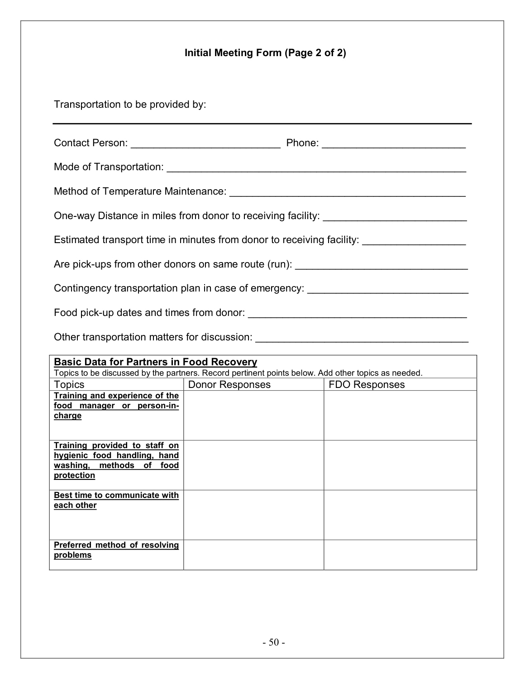# **Initial Meeting Form (Page 2 of 2)**

Transportation to be provided by:

| One-way Distance in miles from donor to receiving facility: _____________________       |  |
|-----------------------------------------------------------------------------------------|--|
| Estimated transport time in minutes from donor to receiving facility: _________________ |  |
| Are pick-ups from other donors on same route (run): _____________________________       |  |
| Contingency transportation plan in case of emergency: __________________________        |  |
|                                                                                         |  |
| Other transportation matters for discussion: ___________________________________        |  |

| <b>Basic Data for Partners in Food Recovery</b> |                                                                                                    |                      |  |  |  |  |  |  |  |  |
|-------------------------------------------------|----------------------------------------------------------------------------------------------------|----------------------|--|--|--|--|--|--|--|--|
|                                                 | Topics to be discussed by the partners. Record pertinent points below. Add other topics as needed. |                      |  |  |  |  |  |  |  |  |
| <b>Topics</b>                                   | <b>Donor Responses</b>                                                                             | <b>FDO Responses</b> |  |  |  |  |  |  |  |  |
| Training and experience of the                  |                                                                                                    |                      |  |  |  |  |  |  |  |  |
| <u>food manager or person-in-</u>               |                                                                                                    |                      |  |  |  |  |  |  |  |  |
| charge                                          |                                                                                                    |                      |  |  |  |  |  |  |  |  |
|                                                 |                                                                                                    |                      |  |  |  |  |  |  |  |  |
| Training provided to staff on                   |                                                                                                    |                      |  |  |  |  |  |  |  |  |
| hygienic food handling, hand                    |                                                                                                    |                      |  |  |  |  |  |  |  |  |
| methods<br>washing,<br>of<br>food               |                                                                                                    |                      |  |  |  |  |  |  |  |  |
| protection                                      |                                                                                                    |                      |  |  |  |  |  |  |  |  |
| Best time to communicate with                   |                                                                                                    |                      |  |  |  |  |  |  |  |  |
| each other                                      |                                                                                                    |                      |  |  |  |  |  |  |  |  |
|                                                 |                                                                                                    |                      |  |  |  |  |  |  |  |  |
|                                                 |                                                                                                    |                      |  |  |  |  |  |  |  |  |
| <b>Preferred method of resolving</b>            |                                                                                                    |                      |  |  |  |  |  |  |  |  |
| problems                                        |                                                                                                    |                      |  |  |  |  |  |  |  |  |
|                                                 |                                                                                                    |                      |  |  |  |  |  |  |  |  |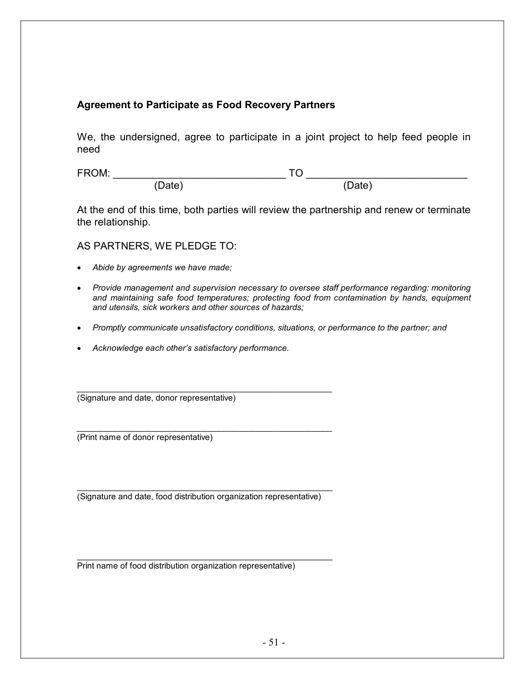## **Agreement to Participate as Food Recovery Partners**

We, the undersigned, agree to participate in a joint project to help feed people in need

FROM: \_\_\_\_\_\_\_\_\_\_\_\_\_\_\_\_\_\_\_\_\_\_\_\_\_\_\_\_\_\_ TO \_\_\_\_\_\_\_\_\_\_\_\_\_\_\_\_\_\_\_\_\_\_\_\_\_\_\_\_ (Date) (Date)

At the end of this time, both parties will review the partnership and renew or terminate the relationship.

AS PARTNERS, WE PLEDGE TO:

- · *Abide by agreements we have made;*
- · *Provide management and supervision necessary to oversee staff performance regarding: monitoring and maintaining safe food temperatures; protecting food from contamination by hands, equipment and utensils, sick workers and other sources of hazards;*
- · *Promptly communicate unsatisfactory conditions, situations, or performance to the partner; and*
- · *Acknowledge each other's satisfactory performance.*

*\_\_\_\_\_\_\_\_\_\_\_\_\_\_\_\_\_\_\_\_\_\_\_\_\_\_\_\_\_\_\_\_\_\_\_\_\_\_\_\_\_\_\_\_\_\_\_\_\_\_\_\_\_\_* (Signature and date, donor representative)

(Print name of donor representative)

\_\_\_\_\_\_\_\_\_\_\_\_\_\_\_\_\_\_\_\_\_\_\_\_\_\_\_\_\_\_\_\_\_\_\_\_\_\_\_\_\_\_\_\_\_\_\_\_\_\_\_\_\_\_ (Signature and date, food distribution organization representative)

*\_\_\_\_\_\_\_\_\_\_\_\_\_\_\_\_\_\_\_\_\_\_\_\_\_\_\_\_\_\_\_\_\_\_\_\_\_\_\_\_\_\_\_\_\_\_\_\_\_\_\_\_\_\_*

\_\_\_\_\_\_\_\_\_\_\_\_\_\_\_\_\_\_\_\_\_\_\_\_\_\_\_\_\_\_\_\_\_\_\_\_\_\_\_\_\_\_\_\_\_\_\_\_\_\_\_\_\_\_ Print name of food distribution organization representative)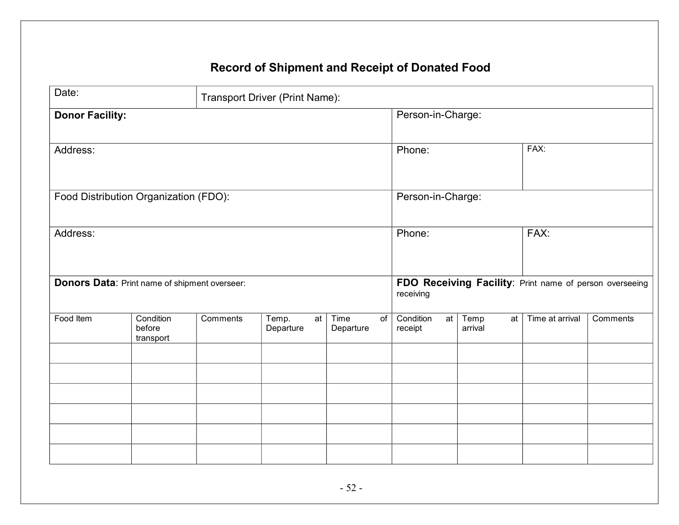# **Record of Shipment and Receipt of Donated Food**

| Date:                                                |                                  |          | Transport Driver (Print Name): |                   |    |                                                                      |                 |                       |          |  |
|------------------------------------------------------|----------------------------------|----------|--------------------------------|-------------------|----|----------------------------------------------------------------------|-----------------|-----------------------|----------|--|
| <b>Donor Facility:</b>                               |                                  |          |                                |                   |    | Person-in-Charge:                                                    |                 |                       |          |  |
| Address:                                             |                                  |          |                                |                   |    | Phone:                                                               | FAX:            |                       |          |  |
| Food Distribution Organization (FDO):                |                                  |          |                                | Person-in-Charge: |    |                                                                      |                 |                       |          |  |
| Address:                                             |                                  |          |                                | Phone:            |    | FAX:                                                                 |                 |                       |          |  |
| <b>Donors Data: Print name of shipment overseer:</b> |                                  |          |                                |                   |    | FDO Receiving Facility: Print name of person overseeing<br>receiving |                 |                       |          |  |
| Food Item                                            | Condition<br>before<br>transport | Comments | Temp.<br>at<br>Departure       | Time<br>Departure | of | Condition<br>at<br>receipt                                           | Temp<br>arrival | Time at arrival<br>at | Comments |  |
|                                                      |                                  |          |                                |                   |    |                                                                      |                 |                       |          |  |
|                                                      |                                  |          |                                |                   |    |                                                                      |                 |                       |          |  |
|                                                      |                                  |          |                                |                   |    |                                                                      |                 |                       |          |  |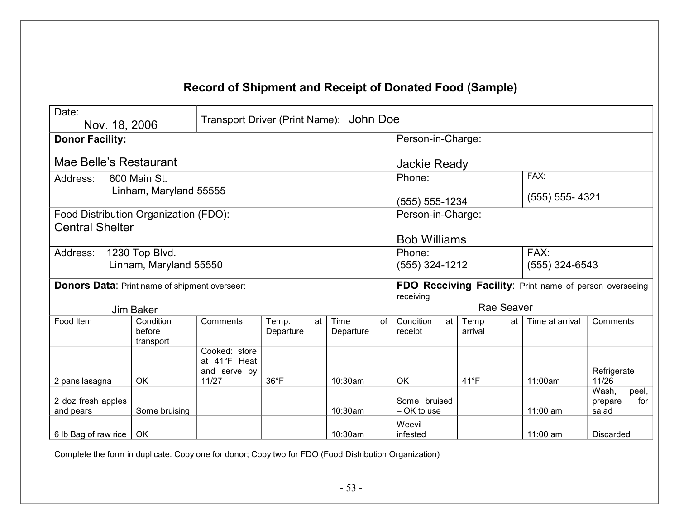# **Record of Shipment and Receipt of Donated Food (Sample)**

| Date:<br>Nov. 18, 2006                               |                                  | Transport Driver (Print Name): John Doe       |                            |                   |                |                                                                      |                       |                  |                                           |  |  |  |
|------------------------------------------------------|----------------------------------|-----------------------------------------------|----------------------------|-------------------|----------------|----------------------------------------------------------------------|-----------------------|------------------|-------------------------------------------|--|--|--|
| <b>Donor Facility:</b>                               |                                  |                                               |                            |                   |                | Person-in-Charge:                                                    |                       |                  |                                           |  |  |  |
|                                                      | Mae Belle's Restaurant           |                                               |                            |                   |                |                                                                      |                       | Jackie Ready     |                                           |  |  |  |
| Address:                                             | 600 Main St.                     |                                               | Phone:                     |                   | FAX:           |                                                                      |                       |                  |                                           |  |  |  |
|                                                      | Linham, Maryland 55555           |                                               | $(555) 555 - 1234$         |                   | (555) 555-4321 |                                                                      |                       |                  |                                           |  |  |  |
| Food Distribution Organization (FDO):                |                                  |                                               | Person-in-Charge:          |                   |                |                                                                      |                       |                  |                                           |  |  |  |
| <b>Central Shelter</b>                               |                                  |                                               |                            |                   |                | <b>Bob Williams</b>                                                  |                       |                  |                                           |  |  |  |
| Address:                                             | 1230 Top Blvd.                   |                                               |                            |                   |                | Phone:                                                               |                       | FAX:             |                                           |  |  |  |
|                                                      | Linham, Maryland 55550           |                                               |                            |                   |                | $(555)$ 324-1212                                                     |                       | $(555)$ 324-6543 |                                           |  |  |  |
| <b>Donors Data: Print name of shipment overseer:</b> |                                  |                                               |                            |                   |                | FDO Receiving Facility: Print name of person overseeing<br>receiving |                       |                  |                                           |  |  |  |
|                                                      | Jim Baker                        |                                               |                            |                   |                | Rae Seaver                                                           |                       |                  |                                           |  |  |  |
| Food Item                                            | Condition<br>before<br>transport | Comments                                      | Temp.<br>at l<br>Departure | Time<br>Departure | of             | Condition<br>at l<br>receipt                                         | Temp<br>at<br>arrival | Time at arrival  | Comments                                  |  |  |  |
|                                                      |                                  | Cooked: store<br>at 41°F Heat<br>and serve by |                            |                   |                |                                                                      |                       |                  | Refrigerate                               |  |  |  |
| 2 pans lasagna                                       | <b>OK</b>                        | 11/27                                         | $36^{\circ}F$              | 10:30am           |                | <b>OK</b>                                                            | $41^{\circ}F$         | 11:00am          | 11/26                                     |  |  |  |
| 2 doz fresh apples<br>and pears                      | Some bruising                    |                                               |                            | 10:30am           |                | Some bruised<br>- OK to use                                          |                       | 11:00 am         | Wash,<br>peel,<br>for<br>prepare<br>salad |  |  |  |
| 6 lb Bag of raw rice                                 | OK                               |                                               |                            | 10:30am           |                | Weevil<br>infested                                                   |                       | 11:00 am         | <b>Discarded</b>                          |  |  |  |

Complete the form in duplicate. Copy one for donor; Copy two for FDO (Food Distribution Organization)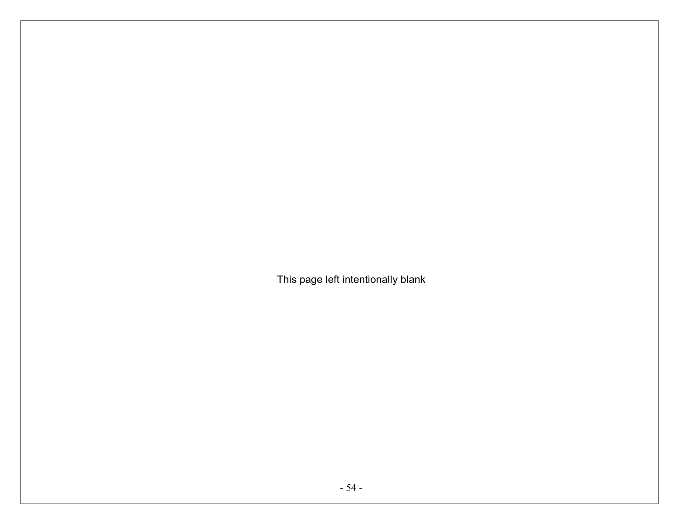This page left intentionally blank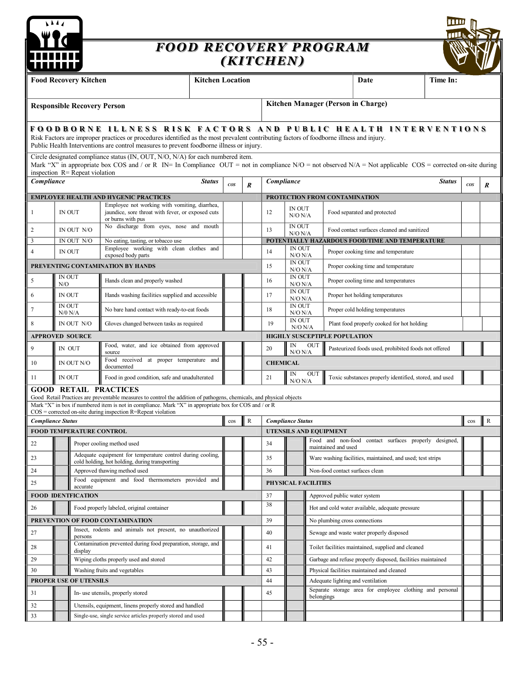

# **FOOD RECOVERY PROGRAM** *(KITCHEN)*

THE

|                          | <b>Food Recovery Kitchen</b>                                             |                                    |                                                                                                                                                                                                                                                                                                        |               | <b>Kitchen Location</b>                                                                                                                                     |                                                  |                                         |                                                                                |                                                    | Date                                                        | Time In:      |        |              |
|--------------------------|--------------------------------------------------------------------------|------------------------------------|--------------------------------------------------------------------------------------------------------------------------------------------------------------------------------------------------------------------------------------------------------------------------------------------------------|---------------|-------------------------------------------------------------------------------------------------------------------------------------------------------------|--------------------------------------------------|-----------------------------------------|--------------------------------------------------------------------------------|----------------------------------------------------|-------------------------------------------------------------|---------------|--------|--------------|
|                          |                                                                          | <b>Responsible Recovery Person</b> |                                                                                                                                                                                                                                                                                                        |               |                                                                                                                                                             |                                                  |                                         |                                                                                | Kitchen Manager (Person in Charge)                 |                                                             |               |        |              |
|                          |                                                                          |                                    | FOODBORNE ILLNESS RISK FACTORS AND PUBLIC HEALTH INTERVENTIONS<br>Risk Factors are improper practices or procedures identified as the most prevalent contributing factors of foodborne illness and injury.<br>Public Health Interventions are control measures to prevent foodborne illness or injury. |               |                                                                                                                                                             |                                                  |                                         |                                                                                |                                                    |                                                             |               |        |              |
|                          |                                                                          | inspection R= Repeat violation     | Circle designated compliance status (IN, OUT, N/O, N/A) for each numbered item.                                                                                                                                                                                                                        |               | Mark "X" in appropriate box COS and / or R IN= In Compliance OUT = not in compliance N/O = not observed N/A = Not applicable COS = corrected on-site during |                                                  |                                         |                                                                                |                                                    |                                                             |               |        |              |
| Compliance               |                                                                          |                                    |                                                                                                                                                                                                                                                                                                        | <b>Status</b> | cos                                                                                                                                                         | $\boldsymbol{R}$                                 | Compliance                              |                                                                                |                                                    |                                                             | <b>Status</b> | cos    | R            |
|                          |                                                                          |                                    | <b>EMPLOYEE HEALTH AND HYGENIC PRACTICES</b>                                                                                                                                                                                                                                                           |               |                                                                                                                                                             |                                                  |                                         |                                                                                | PROTECTION FROM CONTAMINATION                      |                                                             |               |        |              |
| $\mathbf{1}$             | IN OUT                                                                   |                                    | Employee not working with vomiting, diarrhea,<br>jaundice, sore throat with fever, or exposed cuts<br>or burns with pus                                                                                                                                                                                |               |                                                                                                                                                             |                                                  | 12                                      | IN OUT<br>N/O N/A                                                              |                                                    | Food separated and protected                                |               |        |              |
| 2                        |                                                                          | IN OUT N/O                         | No discharge from eyes, nose and mouth                                                                                                                                                                                                                                                                 |               |                                                                                                                                                             |                                                  | 13                                      | IN OUT<br>N/O N/A                                                              |                                                    | Food contact surfaces cleaned and sanitized                 |               |        |              |
| $\overline{\mathbf{3}}$  |                                                                          | IN OUT N/O                         | No eating, tasting, or tobacco use                                                                                                                                                                                                                                                                     |               |                                                                                                                                                             |                                                  |                                         |                                                                                |                                                    | POTENTIALLY HAZARDOUS FOOD/TIME AND TEMPERATURE             |               |        |              |
| $\overline{4}$           | IN OUT                                                                   |                                    | Employee working with clean clothes and<br>exposed body parts                                                                                                                                                                                                                                          |               |                                                                                                                                                             |                                                  | 14                                      | <b>IN OUT</b><br>N/O N/A                                                       |                                                    | Proper cooking time and temperature                         |               |        |              |
|                          |                                                                          |                                    | PREVENTING CONTAMINATION BY HANDS                                                                                                                                                                                                                                                                      |               |                                                                                                                                                             |                                                  | 15                                      | <b>IN OUT</b><br>N/O N/A                                                       |                                                    | Proper cooking time and temperature                         |               |        |              |
| 5                        | <b>IN OUT</b><br>N/O                                                     |                                    | Hands clean and properly washed                                                                                                                                                                                                                                                                        |               |                                                                                                                                                             |                                                  | 16                                      | IN OUT<br>N/O N/A                                                              |                                                    | Proper cooling time and temperatures                        |               |        |              |
| 6                        | IN OUT                                                                   |                                    | Hands washing facilities supplied and accessible                                                                                                                                                                                                                                                       |               |                                                                                                                                                             |                                                  | 17                                      | <b>IN OUT</b><br>N/O N/A                                                       |                                                    | Proper hot holding temperatures                             |               |        |              |
| $\tau$                   | IN OUT<br>N/0 N/A                                                        |                                    | No bare hand contact with ready-to-eat foods                                                                                                                                                                                                                                                           |               |                                                                                                                                                             |                                                  | 18                                      | <b>IN OUT</b><br>N/O N/A                                                       |                                                    | Proper cold holding temperatures                            |               |        |              |
| $\,$ 8 $\,$              |                                                                          | IN OUT N/O                         | Gloves changed between tasks as required                                                                                                                                                                                                                                                               |               |                                                                                                                                                             |                                                  | 19                                      | <b>IN OUT</b><br>N/O N/A                                                       |                                                    | Plant food properly cooked for hot holding                  |               |        |              |
| <b>APPROVED SOURCE</b>   |                                                                          |                                    |                                                                                                                                                                                                                                                                                                        |               |                                                                                                                                                             |                                                  |                                         |                                                                                | <b>HIGHLY SUSCEPTIPLE POPULATION</b>               |                                                             |               |        |              |
| 9                        | IN OUT                                                                   |                                    | Food, water, and ice obtained from approved                                                                                                                                                                                                                                                            |               |                                                                                                                                                             |                                                  | 20                                      | IN                                                                             | OUT                                                | Pasteurized foods used, prohibited foods not offered        |               |        |              |
| 10                       |                                                                          | IN OUT N/O                         | source<br>Food received at proper temperature and<br>documented                                                                                                                                                                                                                                        |               |                                                                                                                                                             |                                                  | <b>CHEMICAL</b>                         | N/O N/A                                                                        |                                                    |                                                             |               |        |              |
| 11                       | IN OUT                                                                   |                                    | Food in good condition, safe and unadulterated                                                                                                                                                                                                                                                         |               |                                                                                                                                                             |                                                  | 21                                      | OUT<br>IN<br>Toxic substances properly identified, stored, and used<br>N/O N/A |                                                    |                                                             |               |        |              |
|                          |                                                                          |                                    | <b>GOOD RETAIL PRACTICES</b>                                                                                                                                                                                                                                                                           |               |                                                                                                                                                             |                                                  |                                         |                                                                                |                                                    |                                                             |               |        |              |
|                          |                                                                          |                                    | Good Retail Practices are preventable measures to control the addition of pathogens, chemicals, and physical objects                                                                                                                                                                                   |               |                                                                                                                                                             |                                                  |                                         |                                                                                |                                                    |                                                             |               |        |              |
|                          |                                                                          |                                    | Mark "X" in box if numbered item is not in compliance. Mark "X" in appropriate box for COS and / or R<br>$\cos$ = corrected on-site during inspection R=Repeat violation                                                                                                                               |               |                                                                                                                                                             |                                                  |                                         |                                                                                |                                                    |                                                             |               |        |              |
| <b>Compliance Status</b> |                                                                          |                                    |                                                                                                                                                                                                                                                                                                        |               | cos                                                                                                                                                         | $\mathbb{R}$                                     |                                         | <b>Compliance Status</b>                                                       |                                                    |                                                             |               | $\cos$ | $\mathbb{R}$ |
|                          |                                                                          | <b>FOOD TEMPERATURE CONTROL</b>    |                                                                                                                                                                                                                                                                                                        |               |                                                                                                                                                             |                                                  |                                         |                                                                                | UTENSILS AND EQUIPMENT                             |                                                             |               |        |              |
| 22                       |                                                                          |                                    | Proper cooling method used                                                                                                                                                                                                                                                                             |               |                                                                                                                                                             |                                                  | 34                                      |                                                                                | maintained and used                                | Food and non-food contact surfaces properly designed,       |               |        |              |
| 23                       |                                                                          |                                    | Adequate equipment for temperature control during cooling,<br>cold holding, hot holding, during transporting                                                                                                                                                                                           |               |                                                                                                                                                             |                                                  | 35                                      |                                                                                |                                                    | Ware washing facilities, maintained, and used; test strips  |               |        |              |
| 24                       |                                                                          |                                    | Approved thawing method used                                                                                                                                                                                                                                                                           |               |                                                                                                                                                             |                                                  | 36                                      |                                                                                | Non-food contact surfaces clean                    |                                                             |               |        |              |
| 25                       |                                                                          | accurate                           | Food equipment and food thermometers provided and                                                                                                                                                                                                                                                      |               |                                                                                                                                                             |                                                  |                                         |                                                                                | PHYSICAL FACILITIES                                |                                                             |               |        |              |
|                          |                                                                          | <b>FOOD IDENTFICATION</b>          |                                                                                                                                                                                                                                                                                                        |               |                                                                                                                                                             |                                                  | 37                                      |                                                                                | Approved public water system                       |                                                             |               |        |              |
| 26                       |                                                                          |                                    | Food properly labeled, original container                                                                                                                                                                                                                                                              |               |                                                                                                                                                             |                                                  | 38                                      |                                                                                |                                                    | Hot and cold water available, adequate pressure             |               |        |              |
|                          |                                                                          |                                    | PREVENTION OF FOOD CONTAMINATION                                                                                                                                                                                                                                                                       |               |                                                                                                                                                             |                                                  | 39                                      |                                                                                | No plumbing cross connections                      |                                                             |               |        |              |
| 27                       |                                                                          | persons                            | Insect, rodents and animals not present, no unauthorized                                                                                                                                                                                                                                               |               |                                                                                                                                                             |                                                  | 40                                      |                                                                                |                                                    | Sewage and waste water properly disposed                    |               |        |              |
| 28                       | Contamination prevented during food preparation, storage, and<br>display |                                    |                                                                                                                                                                                                                                                                                                        |               |                                                                                                                                                             | 41                                               |                                         |                                                                                | Toilet facilities maintained, supplied and cleaned |                                                             |               |        |              |
| 29                       | Wiping cloths properly used and stored                                   |                                    |                                                                                                                                                                                                                                                                                                        |               |                                                                                                                                                             |                                                  | 42                                      |                                                                                |                                                    | Garbage and refuse properly disposed, facilities maintained |               |        |              |
| 30                       | Washing fruits and vegetables                                            |                                    |                                                                                                                                                                                                                                                                                                        |               |                                                                                                                                                             | 43<br>Physical facilities maintained and cleaned |                                         |                                                                                |                                                    |                                                             |               |        |              |
|                          |                                                                          | PROPER USE OF UTENSILS             |                                                                                                                                                                                                                                                                                                        |               |                                                                                                                                                             |                                                  | 44<br>Adequate lighting and ventilation |                                                                                |                                                    |                                                             |               |        |              |
| 31                       |                                                                          |                                    | In- use utensils, properly stored                                                                                                                                                                                                                                                                      |               |                                                                                                                                                             |                                                  | 45                                      |                                                                                | belongings                                         | Separate storage area for employee clothing and personal    |               |        |              |
| 32                       |                                                                          |                                    | Utensils, equipment, linens properly stored and handled                                                                                                                                                                                                                                                |               |                                                                                                                                                             |                                                  |                                         |                                                                                |                                                    |                                                             |               |        |              |
| 33                       |                                                                          |                                    | Single-use, single service articles properly stored and used                                                                                                                                                                                                                                           |               |                                                                                                                                                             |                                                  |                                         |                                                                                |                                                    |                                                             |               |        |              |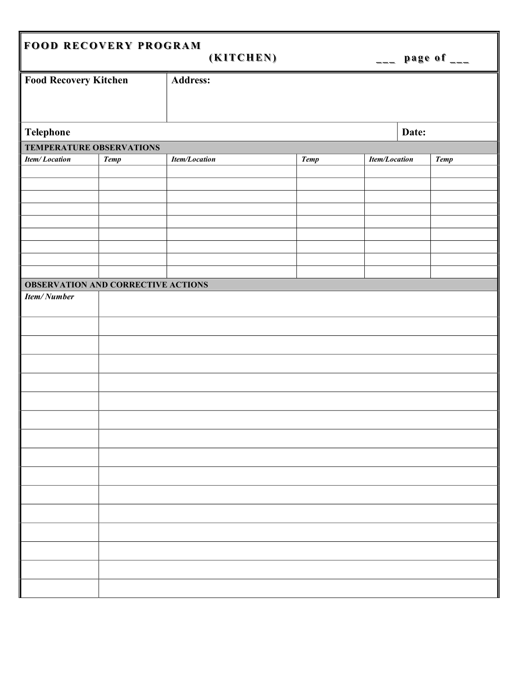| <b>FOOD RECOVERY PROGRAM</b>       |             | (KITCHEN)            |      | $_{---}$ page of $_{---}$ |             |
|------------------------------------|-------------|----------------------|------|---------------------------|-------------|
| <b>Food Recovery Kitchen</b>       |             | <b>Address:</b>      |      |                           |             |
| Telephone                          |             |                      |      | Date:                     |             |
| <b>TEMPERATURE OBSERVATIONS</b>    |             |                      |      |                           |             |
| <b>Item/Location</b>               | <b>Temp</b> | <b>Item/Location</b> | Temp | <b>Item/Location</b>      | <b>Temp</b> |
|                                    |             |                      |      |                           |             |
|                                    |             |                      |      |                           |             |
|                                    |             |                      |      |                           |             |
|                                    |             |                      |      |                           |             |
|                                    |             |                      |      |                           |             |
|                                    |             |                      |      |                           |             |
|                                    |             |                      |      |                           |             |
|                                    |             |                      |      |                           |             |
| OBSERVATION AND CORRECTIVE ACTIONS |             |                      |      |                           |             |
| <b>Item/Number</b>                 |             |                      |      |                           |             |
|                                    |             |                      |      |                           |             |
|                                    |             |                      |      |                           |             |
|                                    |             |                      |      |                           |             |
|                                    |             |                      |      |                           |             |
|                                    |             |                      |      |                           |             |
|                                    |             |                      |      |                           |             |
|                                    |             |                      |      |                           |             |
|                                    |             |                      |      |                           |             |
|                                    |             |                      |      |                           |             |
|                                    |             |                      |      |                           |             |
|                                    |             |                      |      |                           |             |
|                                    |             |                      |      |                           |             |
|                                    |             |                      |      |                           |             |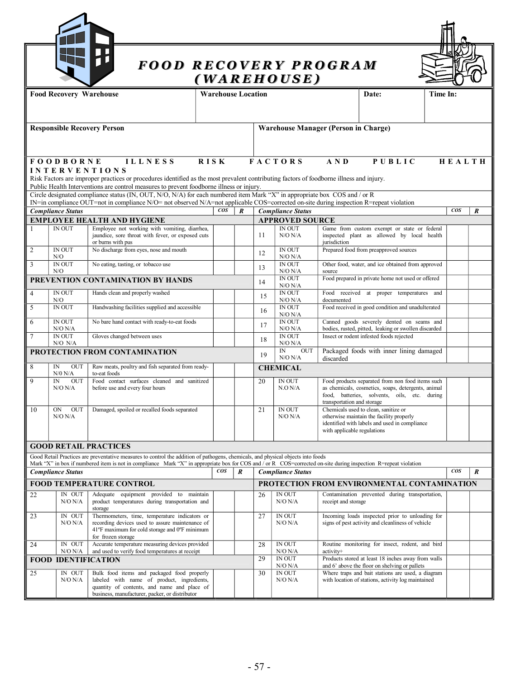|                                                                                                                                                                                                                                                                     |                                                                                          | <b>FOOD RECOVERY PROGRAM</b>                                                                                                                                                                                                                                                                        |                           |                  |                                             | (WAREHOUSE)                      |                                                                                                  |                                                                                                                                                        |          |            |                  |  |  |
|---------------------------------------------------------------------------------------------------------------------------------------------------------------------------------------------------------------------------------------------------------------------|------------------------------------------------------------------------------------------|-----------------------------------------------------------------------------------------------------------------------------------------------------------------------------------------------------------------------------------------------------------------------------------------------------|---------------------------|------------------|---------------------------------------------|----------------------------------|--------------------------------------------------------------------------------------------------|--------------------------------------------------------------------------------------------------------------------------------------------------------|----------|------------|------------------|--|--|
|                                                                                                                                                                                                                                                                     | <b>Food Recovery Warehouse</b>                                                           |                                                                                                                                                                                                                                                                                                     | <b>Warehouse Location</b> |                  |                                             |                                  |                                                                                                  | Date:                                                                                                                                                  | Time In: |            |                  |  |  |
|                                                                                                                                                                                                                                                                     |                                                                                          |                                                                                                                                                                                                                                                                                                     |                           |                  |                                             |                                  |                                                                                                  |                                                                                                                                                        |          |            |                  |  |  |
|                                                                                                                                                                                                                                                                     | <b>Responsible Recovery Person</b>                                                       |                                                                                                                                                                                                                                                                                                     |                           |                  | <b>Warehouse Manager (Person in Charge)</b> |                                  |                                                                                                  |                                                                                                                                                        |          |            |                  |  |  |
|                                                                                                                                                                                                                                                                     | <b>FOODBORNE</b>                                                                         | <b>ILLNESS</b>                                                                                                                                                                                                                                                                                      | <b>RISK</b>               |                  |                                             | <b>FACTORS</b>                   | AND                                                                                              | PUBLIC                                                                                                                                                 | HEALTH   |            |                  |  |  |
| <b>INTERVENTIONS</b><br>Risk Factors are improper practices or procedures identified as the most prevalent contributing factors of foodborne illness and injury.                                                                                                    |                                                                                          |                                                                                                                                                                                                                                                                                                     |                           |                  |                                             |                                  |                                                                                                  |                                                                                                                                                        |          |            |                  |  |  |
|                                                                                                                                                                                                                                                                     | Public Health Interventions are control measures to prevent foodborne illness or injury. |                                                                                                                                                                                                                                                                                                     |                           |                  |                                             |                                  |                                                                                                  |                                                                                                                                                        |          |            |                  |  |  |
| Circle designated compliance status (IN, OUT, N/O, N/A) for each numbered item Mark "X" in appropriate box COS and / or R<br>IN=in compliance OUT=not in compliance N/O= not observed N/A=not applicable COS=corrected on-site during inspection R=repeat violation |                                                                                          |                                                                                                                                                                                                                                                                                                     |                           |                  |                                             |                                  |                                                                                                  |                                                                                                                                                        |          |            |                  |  |  |
|                                                                                                                                                                                                                                                                     | <b>Compliance Status</b>                                                                 |                                                                                                                                                                                                                                                                                                     | <b>COS</b>                | $\boldsymbol{R}$ |                                             | <b>Compliance Status</b>         |                                                                                                  |                                                                                                                                                        |          | cos        | $\boldsymbol{R}$ |  |  |
| 1                                                                                                                                                                                                                                                                   | IN OUT                                                                                   | <b>EMPLOYEE HEALTH AND HYGIENE</b><br>Employee not working with vomiting, diarrhea,                                                                                                                                                                                                                 |                           |                  |                                             | <b>APPROVED SOURCE</b><br>IN OUT |                                                                                                  | Game from custom exempt or state or federal                                                                                                            |          |            |                  |  |  |
|                                                                                                                                                                                                                                                                     |                                                                                          | jaundice, sore throat with fever, or exposed cuts<br>or burns with pus                                                                                                                                                                                                                              |                           |                  | 11                                          | N/O N/A                          | jurisdiction                                                                                     | inspected plant as allowed by local health                                                                                                             |          |            |                  |  |  |
| $\overline{c}$                                                                                                                                                                                                                                                      | IN OUT<br>N/O                                                                            | No discharge from eyes, nose and mouth                                                                                                                                                                                                                                                              |                           |                  | 12                                          | <b>IN OUT</b><br>N/O N/A         |                                                                                                  | Prepared food from preapproved sources                                                                                                                 |          |            |                  |  |  |
| $\overline{3}$                                                                                                                                                                                                                                                      | IN OUT<br>N/O                                                                            | No eating, tasting, or tobacco use                                                                                                                                                                                                                                                                  |                           |                  | 13                                          | IN OUT<br>N/O N/A                | source                                                                                           | Other food, water, and ice obtained from approved                                                                                                      |          |            |                  |  |  |
|                                                                                                                                                                                                                                                                     |                                                                                          | PREVENTION CONTAMINATION BY HANDS                                                                                                                                                                                                                                                                   |                           |                  | 14                                          | IN OUT                           |                                                                                                  | Food prepared in private home not used or offered                                                                                                      |          |            |                  |  |  |
| 4                                                                                                                                                                                                                                                                   | IN OUT                                                                                   | Hands clean and properly washed                                                                                                                                                                                                                                                                     |                           |                  | 15                                          | N/O N/A<br><b>IN OUT</b>         |                                                                                                  | Food received at proper temperatures and                                                                                                               |          |            |                  |  |  |
| 5                                                                                                                                                                                                                                                                   | N/O<br>IN OUT                                                                            | Handwashing facilities supplied and accessible                                                                                                                                                                                                                                                      |                           |                  | 16                                          | N/O N/A<br>IN OUT                | documented                                                                                       | Food received in good condition and unadulterated                                                                                                      |          |            |                  |  |  |
| 6                                                                                                                                                                                                                                                                   | <b>IN OUT</b><br>N/O N/A                                                                 | No bare hand contact with ready-to-eat foods                                                                                                                                                                                                                                                        |                           |                  | 17                                          | N/O N/A<br>IN OUT<br>N/O N/A     |                                                                                                  | Canned goods severely dented on seams and                                                                                                              |          |            |                  |  |  |
| $\overline{7}$                                                                                                                                                                                                                                                      | IN OUT<br>N/O N/A                                                                        | Gloves changed between uses                                                                                                                                                                                                                                                                         |                           |                  | 18                                          | IN OUT<br>N/O N/A                | bodies, rusted, pitted, leaking or swollen discarded<br>Insect or rodent infested foods rejected |                                                                                                                                                        |          |            |                  |  |  |
|                                                                                                                                                                                                                                                                     |                                                                                          | PROTECTION FROM CONTAMINATION                                                                                                                                                                                                                                                                       |                           |                  | 19                                          | IN<br><b>OUT</b>                 |                                                                                                  | Packaged foods with inner lining damaged                                                                                                               |          |            |                  |  |  |
| 8                                                                                                                                                                                                                                                                   | $\overline{N}$<br><b>OUT</b>                                                             | Raw meats, poultry and fish separated from ready-                                                                                                                                                                                                                                                   |                           |                  | N/O N/A<br>discarded<br><b>CHEMICAL</b>     |                                  |                                                                                                  |                                                                                                                                                        |          |            |                  |  |  |
| 9                                                                                                                                                                                                                                                                   | N/0 N/A<br><b>OUT</b><br>IN<br>N/O N/A                                                   | to-eat foods<br>Food contact surfaces cleaned and sanitized<br>before use and every four hours                                                                                                                                                                                                      |                           |                  | 20                                          | <b>IN OUT</b><br>N.O N/A         | transportation and storage                                                                       | Food products separated from non food items such<br>as chemicals, cosmetics, soaps, detergents, animal<br>food, batteries, solvents, oils, etc. during |          |            |                  |  |  |
| 10                                                                                                                                                                                                                                                                  | <b>ON</b><br><b>OUT</b><br>N/O N/A                                                       | Damaged, spoiled or recalled foods separated                                                                                                                                                                                                                                                        |                           |                  | 21                                          | IN OUT<br>N/O N/A                | with applicable regulations                                                                      | Chemicals used to clean, sanitize or<br>otherwise maintain the facility properly<br>identified with labels and used in compliance                      |          |            |                  |  |  |
|                                                                                                                                                                                                                                                                     |                                                                                          | <b>GOOD RETAIL PRACTICES</b>                                                                                                                                                                                                                                                                        |                           |                  |                                             |                                  |                                                                                                  |                                                                                                                                                        |          |            |                  |  |  |
|                                                                                                                                                                                                                                                                     |                                                                                          | Good Retail Practices are preventative measures to control the addition of pathogens, chemicals, and physical objects into foods<br>Mark "X" in box if numbered item is not in compliance Mark "X" in appropriate box for COS and / or R COS=corrected on-site during inspection R=repeat violation |                           |                  |                                             |                                  |                                                                                                  |                                                                                                                                                        |          |            |                  |  |  |
|                                                                                                                                                                                                                                                                     | <b>Compliance Status</b>                                                                 |                                                                                                                                                                                                                                                                                                     | cos                       | $\boldsymbol{R}$ |                                             | <b>Compliance Status</b>         |                                                                                                  |                                                                                                                                                        |          | <b>COS</b> | $\boldsymbol{R}$ |  |  |
|                                                                                                                                                                                                                                                                     |                                                                                          | <b>FOOD TEMPERATURE CONTROL</b>                                                                                                                                                                                                                                                                     |                           |                  |                                             |                                  |                                                                                                  | PROTECTION FROM ENVIRONMENTAL CONTAMINATION                                                                                                            |          |            |                  |  |  |
| 22                                                                                                                                                                                                                                                                  | IN OUT<br>N/O N/A                                                                        | Adequate equipment provided to maintain<br>product temperatures during transportation and                                                                                                                                                                                                           |                           |                  | 26                                          | IN OUT<br>N/O N/A                | receipt and storage                                                                              | Contamination prevented during transportation,                                                                                                         |          |            |                  |  |  |
| 23                                                                                                                                                                                                                                                                  | IN OUT<br>N/O N/A                                                                        | storage<br>Thermometers, time, temperature indicators or<br>recording devices used to assure maintenance of<br>41°F maximum for cold storage and 0°F minimum<br>for frozen storage                                                                                                                  |                           |                  | 27                                          | IN OUT<br>N/O N/A                |                                                                                                  | Incoming loads inspected prior to unloading for<br>signs of pest activity and cleanliness of vehicle                                                   |          |            |                  |  |  |
| 24                                                                                                                                                                                                                                                                  | IN OUT<br>N/O N/A                                                                        | Accurate temperature measuring devices provided<br>and used to verify food temperatures at receipt                                                                                                                                                                                                  |                           |                  | 28                                          | IN OUT<br>N/O N/A                | activity+                                                                                        | Routine monitoring for insect, rodent, and bird                                                                                                        |          |            |                  |  |  |
|                                                                                                                                                                                                                                                                     | <b>FOOD IDENTIFICATION</b>                                                               |                                                                                                                                                                                                                                                                                                     |                           |                  | 29                                          | IN OUT<br>N/O N/A                |                                                                                                  | Products stored at least 18 inches away from walls<br>and 6' above the floor on shelving or pallets                                                    |          |            |                  |  |  |
| 25                                                                                                                                                                                                                                                                  | IN OUT<br>N/O N/A                                                                        | Bulk food items and packaged food properly<br>labeled with name of product, ingredients,<br>quantity of contents, and name and place of<br>business, manufacturer, packer, or distributor                                                                                                           |                           |                  | 30                                          | IN OUT<br>N/O N/A                |                                                                                                  | Where traps and bait stations are used, a diagram<br>with location of stations, activity log maintained                                                |          |            |                  |  |  |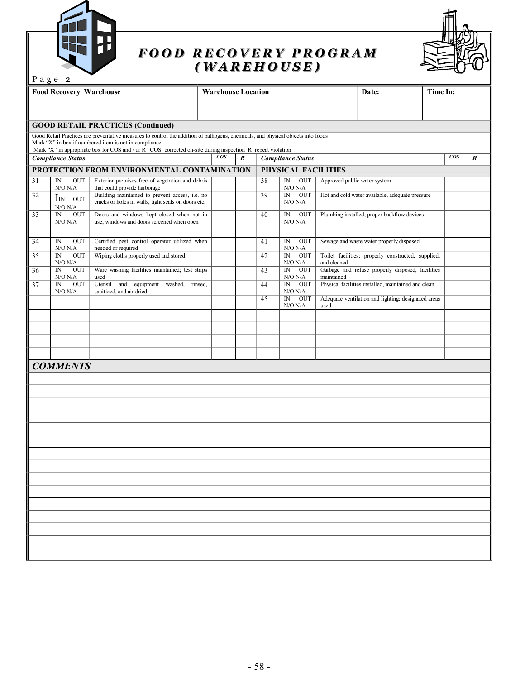

# *F O O D R E C O V E R Y P R O G R A M ( W A R E H O U S E )*



|    | <b>Food Recovery Warehouse</b>         |                                                                                                                                                                                           | <b>Warehouse Location</b> |                  |    |                                                   |             | Date:                                               | Time In: |            |                  |
|----|----------------------------------------|-------------------------------------------------------------------------------------------------------------------------------------------------------------------------------------------|---------------------------|------------------|----|---------------------------------------------------|-------------|-----------------------------------------------------|----------|------------|------------------|
|    |                                        |                                                                                                                                                                                           |                           |                  |    |                                                   |             |                                                     |          |            |                  |
|    |                                        | <b>GOOD RETAIL PRACTICES (Continued)</b>                                                                                                                                                  |                           |                  |    |                                                   |             |                                                     |          |            |                  |
|    |                                        | Good Retail Practices are preventative measures to control the addition of pathogens, chemicals, and physical objects into foods<br>Mark "X" in box if numbered item is not in compliance |                           |                  |    |                                                   |             |                                                     |          |            |                  |
|    |                                        | Mark "X" in appropriate box for COS and / or R COS=corrected on-site during inspection R=repeat violation                                                                                 |                           |                  |    |                                                   |             |                                                     |          |            |                  |
|    | <b>Compliance Status</b>               |                                                                                                                                                                                           | cos                       | $\boldsymbol{R}$ |    | <b>Compliance Status</b>                          |             |                                                     |          | <b>COS</b> | $\boldsymbol{R}$ |
|    |                                        | PROTECTION FROM ENVIRONMENTAL CONTAMINATION                                                                                                                                               |                           |                  |    | PHYSICAL FACILITIES                               |             |                                                     |          |            |                  |
| 31 | IN<br><b>OUT</b><br>N/O N/A            | Exterior premises free of vegetation and debris<br>that could provide harborage                                                                                                           |                           |                  | 38 | $\ensuremath{\mathsf{IN}}$<br>OUT<br>N/O N/A      |             | Approved public water system                        |          |            |                  |
| 32 | $\text{Im}$<br>OUT<br>N/O N/A          | Building maintained to prevent access, i.e. no<br>cracks or holes in walls, tight seals on doors etc.                                                                                     |                           |                  | 39 | $\ensuremath{\text{IN}}$<br>OUT<br>N/O N/A        |             | Hot and cold water available, adequate pressure     |          |            |                  |
| 33 | IN<br><b>OUT</b><br>N/O N/A            | Doors and windows kept closed when not in<br>use; windows and doors screened when open                                                                                                    |                           |                  | 40 | IN<br>OUT<br>N/O N/A                              |             | Plumbing installed; proper backflow devices         |          |            |                  |
| 34 | <b>OUT</b><br>$\mathbf{IN}$<br>N/O N/A | Certified pest control operator utilized when<br>needed or required                                                                                                                       |                           |                  | 41 | $\ensuremath{\text{IN}}$<br>OUT<br>N/O N/A        |             | Sewage and waste water properly disposed            |          |            |                  |
| 35 | $\mathbf{IN}$<br>OUT<br>N/O N/A        | Wiping cloths properly used and stored                                                                                                                                                    |                           |                  | 42 | $\ensuremath{\text{IN}}$<br>OUT<br>N/O N/A        | and cleaned | Toilet facilities; properly constructed, supplied,  |          |            |                  |
| 36 | <b>OUT</b><br>$\mathbf{IN}$<br>N/O N/A | Ware washing facilities maintained; test strips<br>used                                                                                                                                   |                           |                  | 43 | IN<br>OUT<br>N/O N/A                              | maintained  | Garbage and refuse properly disposed, facilities    |          |            |                  |
| 37 | OUT<br>IN<br>N/O N/A                   | Utensil and<br>equipment washed,<br>sanitized, and air dried                                                                                                                              | rinsed.                   |                  | 44 | $\ensuremath{\text{IN}}$<br><b>OUT</b><br>N/O N/A |             | Physical facilities installed, maintained and clean |          |            |                  |
|    |                                        |                                                                                                                                                                                           |                           |                  | 45 | IN<br>OUT<br>N/O N/A                              | used        | Adequate ventilation and lighting; designated areas |          |            |                  |
|    |                                        |                                                                                                                                                                                           |                           |                  |    |                                                   |             |                                                     |          |            |                  |
|    |                                        |                                                                                                                                                                                           |                           |                  |    |                                                   |             |                                                     |          |            |                  |
|    |                                        |                                                                                                                                                                                           |                           |                  |    |                                                   |             |                                                     |          |            |                  |
|    | <b>COMMENTS</b>                        |                                                                                                                                                                                           |                           |                  |    |                                                   |             |                                                     |          |            |                  |
|    |                                        |                                                                                                                                                                                           |                           |                  |    |                                                   |             |                                                     |          |            |                  |
|    |                                        |                                                                                                                                                                                           |                           |                  |    |                                                   |             |                                                     |          |            |                  |
|    |                                        |                                                                                                                                                                                           |                           |                  |    |                                                   |             |                                                     |          |            |                  |
|    |                                        |                                                                                                                                                                                           |                           |                  |    |                                                   |             |                                                     |          |            |                  |
|    |                                        |                                                                                                                                                                                           |                           |                  |    |                                                   |             |                                                     |          |            |                  |
|    |                                        |                                                                                                                                                                                           |                           |                  |    |                                                   |             |                                                     |          |            |                  |
|    |                                        |                                                                                                                                                                                           |                           |                  |    |                                                   |             |                                                     |          |            |                  |
|    |                                        |                                                                                                                                                                                           |                           |                  |    |                                                   |             |                                                     |          |            |                  |
|    |                                        |                                                                                                                                                                                           |                           |                  |    |                                                   |             |                                                     |          |            |                  |
|    |                                        |                                                                                                                                                                                           |                           |                  |    |                                                   |             |                                                     |          |            |                  |
|    |                                        |                                                                                                                                                                                           |                           |                  |    |                                                   |             |                                                     |          |            |                  |
|    |                                        |                                                                                                                                                                                           |                           |                  |    |                                                   |             |                                                     |          |            |                  |
|    |                                        |                                                                                                                                                                                           |                           |                  |    |                                                   |             |                                                     |          |            |                  |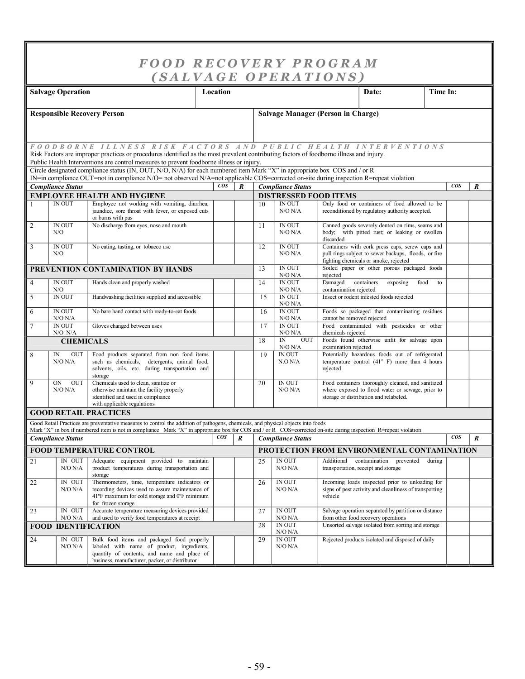|                | FOOD RECOVERY PROGRAM              |                                                                                                                                                                                                                                                                                                     |          |                  |                                           |                              |                                                                                                                                                 |     |                  |  |  |  |  |
|----------------|------------------------------------|-----------------------------------------------------------------------------------------------------------------------------------------------------------------------------------------------------------------------------------------------------------------------------------------------------|----------|------------------|-------------------------------------------|------------------------------|-------------------------------------------------------------------------------------------------------------------------------------------------|-----|------------------|--|--|--|--|
|                |                                    |                                                                                                                                                                                                                                                                                                     |          |                  |                                           |                              | (SALVAGE OPERATIONS)                                                                                                                            |     |                  |  |  |  |  |
|                |                                    |                                                                                                                                                                                                                                                                                                     |          |                  |                                           |                              |                                                                                                                                                 |     |                  |  |  |  |  |
|                | <b>Salvage Operation</b>           |                                                                                                                                                                                                                                                                                                     | Location |                  | Time In:<br>Date:                         |                              |                                                                                                                                                 |     |                  |  |  |  |  |
|                | <b>Responsible Recovery Person</b> |                                                                                                                                                                                                                                                                                                     |          |                  | <b>Salvage Manager (Person in Charge)</b> |                              |                                                                                                                                                 |     |                  |  |  |  |  |
|                |                                    |                                                                                                                                                                                                                                                                                                     |          |                  |                                           |                              |                                                                                                                                                 |     |                  |  |  |  |  |
|                |                                    |                                                                                                                                                                                                                                                                                                     |          |                  |                                           |                              | FOODBORNE ILLNESS RISK FACTORS AND PUBLIC HEALTH INTERVENTIONS                                                                                  |     |                  |  |  |  |  |
|                |                                    | Risk Factors are improper practices or procedures identified as the most prevalent contributing factors of foodborne illness and injury.                                                                                                                                                            |          |                  |                                           |                              |                                                                                                                                                 |     |                  |  |  |  |  |
|                |                                    | Public Health Interventions are control measures to prevent foodborne illness or injury.<br>Circle designated compliance status (IN, OUT, N/O, N/A) for each numbered item Mark "X" in appropriate box COS and / or R                                                                               |          |                  |                                           |                              |                                                                                                                                                 |     |                  |  |  |  |  |
|                |                                    | IN=in compliance OUT=not in compliance N/O= not observed N/A=not applicable COS=corrected on-site during inspection R=repeat violation                                                                                                                                                              |          |                  |                                           |                              |                                                                                                                                                 |     |                  |  |  |  |  |
|                | <b>Compliance Status</b>           |                                                                                                                                                                                                                                                                                                     | cos      | $\boldsymbol{R}$ |                                           | <b>Compliance Status</b>     |                                                                                                                                                 | cos | $\boldsymbol{R}$ |  |  |  |  |
|                |                                    | <b>EMPLOYEE HEALTH AND HYGIENE</b>                                                                                                                                                                                                                                                                  |          |                  |                                           | <b>DISTRESSED FOOD ITEMS</b> |                                                                                                                                                 |     |                  |  |  |  |  |
| $\mathbf{1}$   | <b>IN OUT</b>                      | Employee not working with vomiting, diarrhea,<br>jaundice, sore throat with fever, or exposed cuts<br>or burns with pus                                                                                                                                                                             |          |                  | 10                                        | <b>IN OUT</b><br>N/O N/A     | Only food or containers of food allowed to be<br>reconditioned by regulatory authority accepted.                                                |     |                  |  |  |  |  |
| $\overline{2}$ | IN OUT<br>N/O                      | No discharge from eyes, nose and mouth                                                                                                                                                                                                                                                              |          |                  | 11                                        | IN OUT<br>N/O N/A            | Canned goods severely dented on rims, seams and<br>body; with pitted rust; or leaking or swollen<br>discarded                                   |     |                  |  |  |  |  |
| 3              | IN OUT<br>N/O                      | No eating, tasting, or tobacco use                                                                                                                                                                                                                                                                  |          |                  | 12                                        | IN OUT<br>N/O N/A            | Containers with cork press caps, screw caps and<br>pull rings subject to sewer backups, floods, or fire                                         |     |                  |  |  |  |  |
|                |                                    | PREVENTION CONTAMINATION BY HANDS                                                                                                                                                                                                                                                                   |          |                  | 13                                        | <b>IN OUT</b>                | fighting chemicals or smoke, rejected<br>Soiled paper or other porous packaged foods                                                            |     |                  |  |  |  |  |
| $\overline{4}$ | IN OUT                             | Hands clean and properly washed                                                                                                                                                                                                                                                                     |          |                  | 14                                        | N/O N/A<br><b>IN OUT</b>     | rejected<br>Damaged<br>containers<br>exposing<br>food<br>to                                                                                     |     |                  |  |  |  |  |
|                | N/O                                |                                                                                                                                                                                                                                                                                                     |          |                  |                                           | N/O N/A                      | contamination rejected                                                                                                                          |     |                  |  |  |  |  |
| 5              | IN OUT                             | Handwashing facilities supplied and accessible                                                                                                                                                                                                                                                      |          |                  | 15                                        | <b>IN OUT</b><br>N/O N/A     | Insect or rodent infested foods rejected                                                                                                        |     |                  |  |  |  |  |
| 6              | IN OUT<br>N/O N/A                  | No bare hand contact with ready-to-eat foods                                                                                                                                                                                                                                                        |          |                  | 16                                        | <b>IN OUT</b><br>N/O N/A     | Foods so packaged that contaminating residues<br>cannot be removed rejected                                                                     |     |                  |  |  |  |  |
| 7              | <b>IN OUT</b><br>N/O N/A           | Gloves changed between uses                                                                                                                                                                                                                                                                         |          |                  | 17                                        | <b>IN OUT</b><br>N/O N/A     | Food contaminated with pesticides or other<br>chemicals rejected                                                                                |     |                  |  |  |  |  |
|                | <b>CHEMICALS</b>                   |                                                                                                                                                                                                                                                                                                     |          |                  | 18                                        | IN<br><b>OUT</b><br>N/O N/A  | Foods found otherwise unfit for salvage upon<br>examination rejected                                                                            |     |                  |  |  |  |  |
| 8              | <b>OUT</b><br>IN<br>N/O N/A        | Food products separated from non food items<br>such as chemicals, detergents, animal food,<br>solvents, oils, etc. during transportation and<br>storage                                                                                                                                             |          |                  | 19                                        | IN OUT<br>N.O N/A            | Potentially hazardous foods out of refrigerated<br>temperature control (41° F) more than 4 hours<br>rejected                                    |     |                  |  |  |  |  |
| 9              | <b>OUT</b><br><b>ON</b><br>N/O N/A | Chemicals used to clean, sanitize or<br>otherwise maintain the facility properly<br>identified and used in compliance<br>with applicable regulations                                                                                                                                                |          |                  | 20                                        | IN OUT<br>N/O N/A            | Food containers thoroughly cleaned, and sanitized<br>where exposed to flood water or sewage, prior to<br>storage or distribution and relabeled. |     |                  |  |  |  |  |
|                |                                    | <b>GOOD RETAIL PRACTICES</b>                                                                                                                                                                                                                                                                        |          |                  |                                           |                              |                                                                                                                                                 |     |                  |  |  |  |  |
|                |                                    | Good Retail Practices are preventative measures to control the addition of pathogens, chemicals, and physical objects into foods<br>Mark "X" in box if numbered item is not in compliance Mark "X" in appropriate box for COS and / or R COS=corrected on-site during inspection R=repeat violation |          |                  |                                           |                              |                                                                                                                                                 |     |                  |  |  |  |  |
|                | <b>Compliance Status</b>           |                                                                                                                                                                                                                                                                                                     | cos      | $\boldsymbol{R}$ |                                           | <b>Compliance Status</b>     |                                                                                                                                                 | cos | $\boldsymbol{R}$ |  |  |  |  |
|                |                                    | FOOD TEMPERATURE CONTROL                                                                                                                                                                                                                                                                            |          |                  |                                           |                              | PROTECTION FROM ENVIRONMENTAL CONTAMINATION                                                                                                     |     |                  |  |  |  |  |
| 21             | IN OUT<br>N/O N/A                  | Adequate equipment provided to maintain<br>product temperatures during transportation and                                                                                                                                                                                                           |          |                  | 25                                        | IN OUT<br>N/O N/A            | contamination<br>Additional<br>prevented<br>during<br>transportation, receipt and storage                                                       |     |                  |  |  |  |  |
| 22             | IN OUT                             | storage<br>Thermometers, time, temperature indicators or                                                                                                                                                                                                                                            |          |                  | 26                                        | IN OUT                       | Incoming loads inspected prior to unloading for                                                                                                 |     |                  |  |  |  |  |
|                | N/O N/A                            | recording devices used to assure maintenance of<br>41°F maximum for cold storage and 0°F minimum<br>for frozen storage                                                                                                                                                                              |          |                  |                                           | N/O N/A                      | signs of pest activity and cleanliness of transporting<br>vehicle                                                                               |     |                  |  |  |  |  |
| 23             | IN OUT<br>N/O N/A                  | Accurate temperature measuring devices provided<br>and used to verify food temperatures at receipt                                                                                                                                                                                                  |          |                  | 27                                        | IN OUT<br>N/O N/A            | Salvage operation separated by partition or distance                                                                                            |     |                  |  |  |  |  |
|                | <b>FOOD IDENTIFICATION</b>         |                                                                                                                                                                                                                                                                                                     |          |                  | 28                                        | IN OUT<br>N/O N/A            | from other food recovery operations<br>Unsorted salvage isolated from sorting and storage                                                       |     |                  |  |  |  |  |
| 24             | IN OUT<br>N/O N/A                  | Bulk food items and packaged food properly<br>labeled with name of product, ingredients,<br>quantity of contents, and name and place of<br>business, manufacturer, packer, or distributor                                                                                                           |          |                  | 29                                        | IN OUT<br>N/O N/A            | Rejected products isolated and disposed of daily                                                                                                |     |                  |  |  |  |  |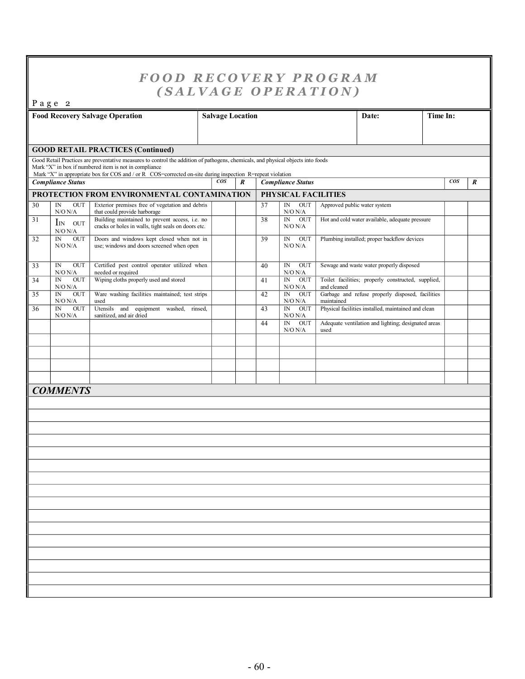| FOOD RECOVERY PROGRAM<br>(SALVAGE OPERATION)                                           |                                                                                                                                                                                                     |                                                                                                       |  |  |    |                                                   |             |                                                     |  |  |  |
|----------------------------------------------------------------------------------------|-----------------------------------------------------------------------------------------------------------------------------------------------------------------------------------------------------|-------------------------------------------------------------------------------------------------------|--|--|----|---------------------------------------------------|-------------|-----------------------------------------------------|--|--|--|
| Page 2                                                                                 |                                                                                                                                                                                                     |                                                                                                       |  |  |    |                                                   |             |                                                     |  |  |  |
| <b>Food Recovery Salvage Operation</b><br>Time In:<br><b>Salvage Location</b><br>Date: |                                                                                                                                                                                                     |                                                                                                       |  |  |    |                                                   |             |                                                     |  |  |  |
|                                                                                        |                                                                                                                                                                                                     |                                                                                                       |  |  |    |                                                   |             |                                                     |  |  |  |
|                                                                                        | <b>GOOD RETAIL PRACTICES (Continued)</b>                                                                                                                                                            |                                                                                                       |  |  |    |                                                   |             |                                                     |  |  |  |
|                                                                                        | Good Retail Practices are preventative measures to control the addition of pathogens, chemicals, and physical objects into foods                                                                    |                                                                                                       |  |  |    |                                                   |             |                                                     |  |  |  |
|                                                                                        | Mark "X" in box if numbered item is not in compliance<br>Mark "X" in appropriate box for COS and / or R COS=corrected on-site during inspection R=repeat violation                                  |                                                                                                       |  |  |    |                                                   |             |                                                     |  |  |  |
|                                                                                        | cos<br><b>Compliance Status</b><br><b>COS</b><br><b>Compliance Status</b><br>$\boldsymbol{R}$<br>R                                                                                                  |                                                                                                       |  |  |    |                                                   |             |                                                     |  |  |  |
| 30                                                                                     | PROTECTION FROM ENVIRONMENTAL CONTAMINATION<br>PHYSICAL FACILITIES<br>Exterior premises free of vegetation and debris<br>IN<br><b>OUT</b><br>IN<br><b>OUT</b><br>Approved public water system<br>37 |                                                                                                       |  |  |    |                                                   |             |                                                     |  |  |  |
|                                                                                        | N/O N/A                                                                                                                                                                                             | that could provide harborage                                                                          |  |  |    | N/O N/A                                           |             |                                                     |  |  |  |
| 31                                                                                     | I <sub>IN</sub> out<br>N/O N/A                                                                                                                                                                      | Building maintained to prevent access, i.e. no<br>cracks or holes in walls, tight seals on doors etc. |  |  | 38 | IN<br><b>OUT</b><br>N/O N/A                       |             | Hot and cold water available, adequate pressure     |  |  |  |
| $\overline{32}$                                                                        | OUT<br>IN<br>N/O N/A                                                                                                                                                                                | Doors and windows kept closed when not in<br>use; windows and doors screened when open                |  |  | 39 | <b>OUT</b><br>IN<br>N/O N/A                       |             | Plumbing installed; proper backflow devices         |  |  |  |
| 33                                                                                     | $\rm{IN}$<br><b>OUT</b><br>N/O N/A                                                                                                                                                                  | Certified pest control operator utilized when<br>needed or required                                   |  |  | 40 | $\ensuremath{\text{IN}}$<br><b>OUT</b><br>N/O N/A |             | Sewage and waste water properly disposed            |  |  |  |
| 34                                                                                     | <b>OUT</b><br>IN<br>N/O N/A                                                                                                                                                                         | Wiping cloths properly used and stored                                                                |  |  | 41 | IN<br><b>OUT</b><br>N/O N/A                       | and cleaned | Toilet facilities; properly constructed, supplied,  |  |  |  |
| 35                                                                                     | <b>OUT</b><br>IN<br>N/O N/A                                                                                                                                                                         | Ware washing facilities maintained; test strips<br>used                                               |  |  | 42 | IN<br><b>OUT</b><br>N/O N/A                       | maintained  | Garbage and refuse properly disposed, facilities    |  |  |  |
| 36                                                                                     | <b>OUT</b><br>IN<br>N/O N/A                                                                                                                                                                         | Utensils and equipment washed, rinsed,<br>sanitized, and air dried                                    |  |  | 43 | IN<br>OUT<br>N/O N/A                              |             | Physical facilities installed, maintained and clean |  |  |  |
|                                                                                        |                                                                                                                                                                                                     |                                                                                                       |  |  | 44 | IN<br><b>OUT</b><br>N/O N/A                       | used        | Adequate ventilation and lighting; designated areas |  |  |  |
|                                                                                        |                                                                                                                                                                                                     |                                                                                                       |  |  |    |                                                   |             |                                                     |  |  |  |
|                                                                                        |                                                                                                                                                                                                     |                                                                                                       |  |  |    |                                                   |             |                                                     |  |  |  |
|                                                                                        |                                                                                                                                                                                                     |                                                                                                       |  |  |    |                                                   |             |                                                     |  |  |  |
|                                                                                        | <b>COMMENTS</b>                                                                                                                                                                                     |                                                                                                       |  |  |    |                                                   |             |                                                     |  |  |  |
|                                                                                        |                                                                                                                                                                                                     |                                                                                                       |  |  |    |                                                   |             |                                                     |  |  |  |
|                                                                                        |                                                                                                                                                                                                     |                                                                                                       |  |  |    |                                                   |             |                                                     |  |  |  |
|                                                                                        |                                                                                                                                                                                                     |                                                                                                       |  |  |    |                                                   |             |                                                     |  |  |  |
|                                                                                        |                                                                                                                                                                                                     |                                                                                                       |  |  |    |                                                   |             |                                                     |  |  |  |
|                                                                                        |                                                                                                                                                                                                     |                                                                                                       |  |  |    |                                                   |             |                                                     |  |  |  |
|                                                                                        |                                                                                                                                                                                                     |                                                                                                       |  |  |    |                                                   |             |                                                     |  |  |  |
|                                                                                        |                                                                                                                                                                                                     |                                                                                                       |  |  |    |                                                   |             |                                                     |  |  |  |
|                                                                                        |                                                                                                                                                                                                     |                                                                                                       |  |  |    |                                                   |             |                                                     |  |  |  |
|                                                                                        |                                                                                                                                                                                                     |                                                                                                       |  |  |    |                                                   |             |                                                     |  |  |  |
|                                                                                        |                                                                                                                                                                                                     |                                                                                                       |  |  |    |                                                   |             |                                                     |  |  |  |
|                                                                                        |                                                                                                                                                                                                     |                                                                                                       |  |  |    |                                                   |             |                                                     |  |  |  |
|                                                                                        |                                                                                                                                                                                                     |                                                                                                       |  |  |    |                                                   |             |                                                     |  |  |  |
|                                                                                        |                                                                                                                                                                                                     |                                                                                                       |  |  |    |                                                   |             |                                                     |  |  |  |
|                                                                                        |                                                                                                                                                                                                     |                                                                                                       |  |  |    |                                                   |             |                                                     |  |  |  |
|                                                                                        |                                                                                                                                                                                                     |                                                                                                       |  |  |    |                                                   |             |                                                     |  |  |  |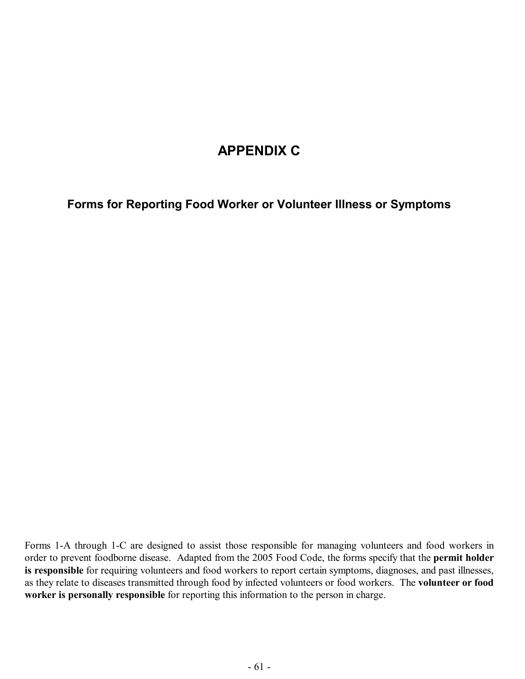# **APPENDIX C**

**Forms for Reporting Food Worker or Volunteer Illness or Symptoms**

Forms 1-A through 1-C are designed to assist those responsible for managing volunteers and food workers in order to prevent foodborne disease. Adapted from the 2005 Food Code, the forms specify that the **permit holder is responsible** for requiring volunteers and food workers to report certain symptoms, diagnoses, and past illnesses, as they relate to diseases transmitted through food by infected volunteers or food workers. The **volunteer or food worker is personally responsible** for reporting this information to the person in charge.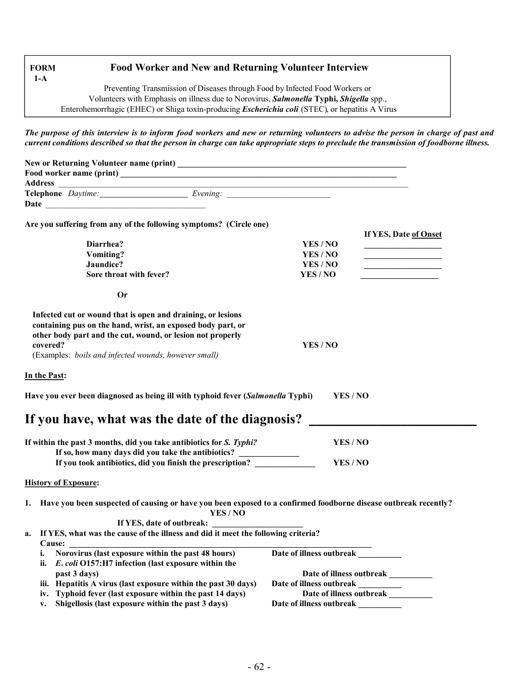**1A**

### **FORM Food Worker and New and Returning Volunteer Interview**

Preventing Transmission of Diseases through Food by Infected Food Workers or Volunteers with Emphasis on illness due to Norovirus, *Salmonella* **Typhi,** *Shigella* spp., Enterohemorrhagic (EHEC) or Shiga toxin-producing *Escherichia coli* (STEC), or hepatitis A Virus

*The purpose of this interview is to inform food workers and new or returning volunteers to advise the person in charge of past and current conditions described so that the person in charge can take appropriate steps to preclude the transmission of foodborne illness.*

**If YES, Date of Onset** 

|         | <b>New or Returning Volunteer name (print)</b> |                          |  |
|---------|------------------------------------------------|--------------------------|--|
|         |                                                |                          |  |
| Address |                                                |                          |  |
|         | Telephone Daytime: 1997                        | Evening: $\qquad \qquad$ |  |
| Date    |                                                |                          |  |

**Are you suffering from any of the following symptoms? (Circle one)**

| Diarrhea?                                                                                                                                                                                                                                                    | YES / NO                                                       |
|--------------------------------------------------------------------------------------------------------------------------------------------------------------------------------------------------------------------------------------------------------------|----------------------------------------------------------------|
| Vomiting?                                                                                                                                                                                                                                                    | YES / NO<br><u> 1989 - Johann Barbara, martxa alemani</u> ar a |
| Jaundice?                                                                                                                                                                                                                                                    | YES / NO<br><u> 1989 - Johann Barbara, martxa alemaniar a</u>  |
| Sore throat with fever?                                                                                                                                                                                                                                      | YES/NO                                                         |
| <b>Or</b>                                                                                                                                                                                                                                                    |                                                                |
| Infected cut or wound that is open and draining, or lesions<br>containing pus on the hand, wrist, an exposed body part, or<br>other body part and the cut, wound, or lesion not properly<br>covered?<br>(Examples: boils and infected wounds, however small) | YES / NO                                                       |
| In the Past:                                                                                                                                                                                                                                                 |                                                                |
| Have you ever been diagnosed as being ill with typhoid fever (Salmonella Typhi)                                                                                                                                                                              | YES / NO                                                       |
| If you have, what was the date of the diagnosis?                                                                                                                                                                                                             |                                                                |
|                                                                                                                                                                                                                                                              |                                                                |
| If within the past 3 months, did you take antibiotics for S. Typhi?                                                                                                                                                                                          | YES / NO                                                       |
| If so, how many days did you take the antibiotics?<br>If you took antibiotics, did you finish the prescription?                                                                                                                                              | YES / NO                                                       |
| <b>History of Exposure:</b>                                                                                                                                                                                                                                  |                                                                |
| Have you been suspected of causing or have you been exposed to a confirmed foodborne disease outbreak recently?<br>1.<br>YES / NO                                                                                                                            |                                                                |
| If YES, date of outbreak:                                                                                                                                                                                                                                    |                                                                |
| If YES, what was the cause of the illness and did it meet the following criteria?<br>a.                                                                                                                                                                      |                                                                |
| Cause:                                                                                                                                                                                                                                                       |                                                                |
| Norovirus (last exposure within the past 48 hours)<br>i.                                                                                                                                                                                                     | Date of illness outbreak                                       |
| E. coli O157:H7 infection (last exposure within the<br>ii.                                                                                                                                                                                                   |                                                                |
| past 3 days)                                                                                                                                                                                                                                                 | Date of illness outbreak                                       |
| Hepatitis A virus (last exposure within the past 30 days)<br>iii.                                                                                                                                                                                            | Date of illness outbreak                                       |
| Typhoid fever (last exposure within the past 14 days)<br>iv.<br>Shigellosis (last exposure within the past 3 days)<br>v.                                                                                                                                     | Date of illness outbreak<br>Date of illness outbreak           |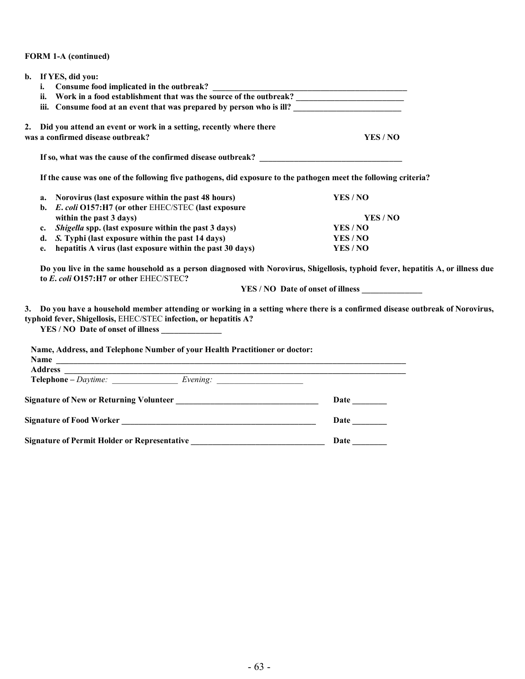#### **FORM 1-A (continued)**

|    | b. If YES, did you:                                                                                                                                                                                                                                                                                                                                                                                                                                          |                                   |  |
|----|--------------------------------------------------------------------------------------------------------------------------------------------------------------------------------------------------------------------------------------------------------------------------------------------------------------------------------------------------------------------------------------------------------------------------------------------------------------|-----------------------------------|--|
|    | Consume food implicated in the outbreak?<br>i.<br>ii.                                                                                                                                                                                                                                                                                                                                                                                                        |                                   |  |
|    | Work in a food establishment that was the source of the outbreak? __________________________________                                                                                                                                                                                                                                                                                                                                                         |                                   |  |
|    |                                                                                                                                                                                                                                                                                                                                                                                                                                                              |                                   |  |
| 2. | Did you attend an event or work in a setting, recently where there                                                                                                                                                                                                                                                                                                                                                                                           |                                   |  |
|    | was a confirmed disease outbreak?                                                                                                                                                                                                                                                                                                                                                                                                                            | YES / NO                          |  |
|    | If so, what was the cause of the confirmed disease outbreak?                                                                                                                                                                                                                                                                                                                                                                                                 |                                   |  |
|    | If the cause was one of the following five pathogens, did exposure to the pathogen meet the following criteria?                                                                                                                                                                                                                                                                                                                                              |                                   |  |
|    | Norovirus (last exposure within the past 48 hours)<br>a.                                                                                                                                                                                                                                                                                                                                                                                                     | YES / NO                          |  |
|    | E. coli O157:H7 (or other EHEC/STEC (last exposure<br>b.                                                                                                                                                                                                                                                                                                                                                                                                     |                                   |  |
|    | within the past 3 days)                                                                                                                                                                                                                                                                                                                                                                                                                                      | YES/NO                            |  |
|    | Shigella spp. (last exposure within the past 3 days)<br>c.                                                                                                                                                                                                                                                                                                                                                                                                   | YES/NO                            |  |
|    | S. Typhi (last exposure within the past 14 days)<br>d.                                                                                                                                                                                                                                                                                                                                                                                                       | YES / NO                          |  |
|    | hepatitis A virus (last exposure within the past 30 days)<br>e.                                                                                                                                                                                                                                                                                                                                                                                              | YES / NO                          |  |
|    | Do you live in the same household as a person diagnosed with Norovirus, Shigellosis, typhoid fever, hepatitis A, or illness due<br>to E. coli O157:H7 or other EHEC/STEC?                                                                                                                                                                                                                                                                                    |                                   |  |
|    |                                                                                                                                                                                                                                                                                                                                                                                                                                                              | YES / NO Date of onset of illness |  |
|    | 3. Do you have a household member attending or working in a setting where there is a confirmed disease outbreak of Norovirus,<br>typhoid fever, Shigellosis, EHEC/STEC infection, or hepatitis A?<br>YES / NO Date of onset of illness<br>Name, Address, and Telephone Number of your Health Practitioner or doctor:<br><b>Name</b><br><u> 1989 - Johann Barn, mars ann an t-Amhain ann an t-Amhain ann an t-Amhain an t-Amhain an t-Amhain an t-Amhain </u> |                                   |  |
|    |                                                                                                                                                                                                                                                                                                                                                                                                                                                              |                                   |  |
|    |                                                                                                                                                                                                                                                                                                                                                                                                                                                              |                                   |  |
|    |                                                                                                                                                                                                                                                                                                                                                                                                                                                              | Date $\qquad \qquad$              |  |
|    |                                                                                                                                                                                                                                                                                                                                                                                                                                                              |                                   |  |
|    | Signature of Permit Holder or Representative ___________________________________                                                                                                                                                                                                                                                                                                                                                                             | Date                              |  |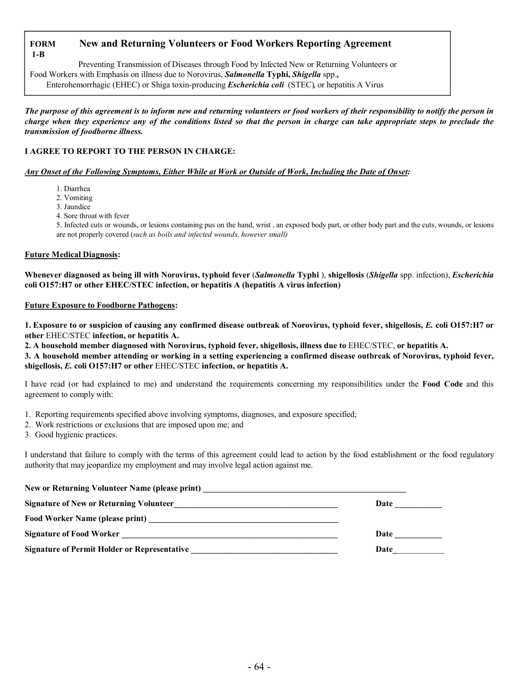#### **FORM New and Returning Volunteers or Food Workers Reporting Agreement 1B**

Preventing Transmission of Diseases through Food by Infected New or Returning Volunteers or Food Workers with Emphasis on illness due to Norovirus, *Salmonella* **Typhi,** *Shigella* spp.*,* Enterohemorrhagic (EHEC) or Shiga toxin-producing *Escherichia coli* (STEC), or hepatitis A Virus

*The purpose of this agreement is to inform new and returning volunteers or food workers of their responsibility to notify the person in*  charge when they experience any of the conditions listed so that the person in charge can take appropriate steps to preclude the *transmission of foodborne illness.*

#### **I AGREE TO REPORT TO THE PERSON IN CHARGE:**

*Any Onset of the Following Symptoms, Either While at Work or Outside of Work, Including the Date of Onset:*

- 1. Diarrhea
- 2. Vomiting
- 3. Jaundice
- 4. Sore throat with fever

5. Infected cuts or wounds, or lesions containing pus on the hand, wrist , an exposed body part, or other body part and the cuts, wounds, or lesions are not properly covered (*such as boils and infected wounds, however small)*

#### **Future Medical Diagnosis:**

**Whenever diagnosed as being ill with Norovirus, typhoid fever** (*Salmonella* **Typhi** ), **shigellosis** (*Shigella* spp. infection), *Escherichia* **coli O157:H7 or other EHEC/STEC infection, or hepatitis A (hepatitis A virus infection)**

#### **Future Exposure to Foodborne Pathogens:**

1. Exposure to or suspicion of causing any confirmed disease outbreak of Norovirus, typhoid fever, shigellosis, E. coli O157:H7 or **other** EHEC/STEC **infection, or hepatitis A.** 

**2. A household member diagnosed with Norovirus, typhoid fever, shigellosis, illness due to** EHEC/STEC, **or hepatitis A.** 

**3. A household member attending or working in a setting experiencing a confirmed disease outbreak of Norovirus, typhoid fever, shigellosis,** *E.* **coli O157:H7 or other** EHEC/STEC **infection, or hepatitis A.**

I have read (or had explained to me) and understand the requirements concerning my responsibilities under the **Food Code** and this agreement to comply with:

1. Reporting requirements specified above involving symptoms, diagnoses, and exposure specified;

- 2. Work restrictions or exclusions that are imposed upon me; and
- 3. Good hygienic practices.

I understand that failure to comply with the terms of this agreement could lead to action by the food establishment or the food regulatory authority that may jeopardize my employment and may involve legal action against me.

| New or Returning Volunteer Name (please print) __________________________________                                                                                                                                                    |      |
|--------------------------------------------------------------------------------------------------------------------------------------------------------------------------------------------------------------------------------------|------|
|                                                                                                                                                                                                                                      | Date |
|                                                                                                                                                                                                                                      |      |
| <b>Signature of Food Worker Service Service Service Service Service Service Service Service Service Service Service Service Service Service Service Service Service Service Service Service Service Service Service Service Serv</b> | Date |
| <b>Signature of Permit Holder or Representative</b>                                                                                                                                                                                  | Date |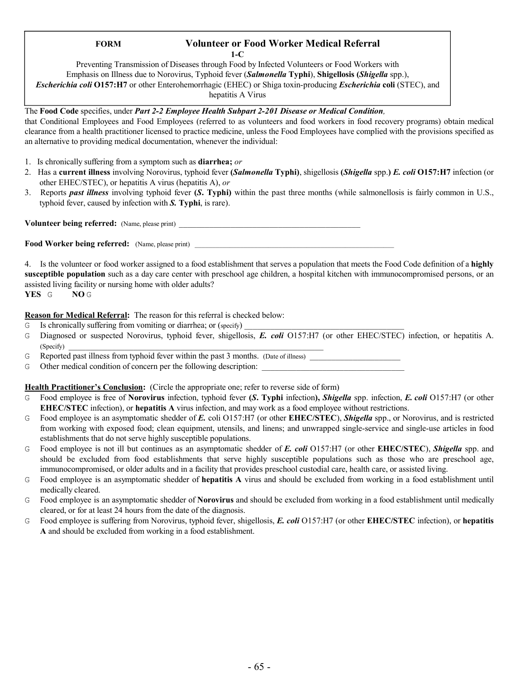## **FORM Volunteer or Food Worker Medical Referral**

 $1-C$ 

Preventing Transmission of Diseases through Food by Infected Volunteers or Food Workers with Emphasis on Illness due to Norovirus, Typhoid fever (*Salmonella* **Typhi**), **Shigellosis (***Shigella* spp.), *Escherichia coli* **O157:H7** or other Enterohemorrhagic (EHEC) or Shiga toxinproducing *Escherichia* **coli** (STEC), and hepatitis A Virus

The **Food Code** specifies, under *Part 22 Employee Health Subpart 2201 Disease or Medical Condition,*

that Conditional Employees and Food Employees (referred to as volunteers and food workers in food recovery programs) obtain medical clearance from a health practitioner licensed to practice medicine, unless the Food Employees have complied with the provisions specified as an alternative to providing medical documentation, whenever the individual:

1. Is chronically suffering from a symptom such as **diarrhea;** *or*

- 2. Has a **current illness** involving Norovirus, typhoid fever **(***Salmonella* **Typhi)**, shigellosis **(***Shigella* spp.**)** *E. coli* **O157:H7** infection (or other EHEC/STEC), or hepatitis A virus (hepatitis A), *or*
- 3. Reports *past illness* involving typhoid fever **(***S***. Typhi)** within the past three months (while salmonellosis is fairly common in U.S., typhoid fever, caused by infection with *S.* **Typhi**, is rare).

**Volunteer being referred:** (Name, please print) \_\_\_\_\_\_\_\_\_\_\_\_\_\_\_\_\_\_\_\_\_\_\_\_\_\_\_\_\_\_\_\_\_\_\_\_\_\_\_\_\_\_

Food Worker being referred: (Name, please print) \_\_\_\_\_\_\_\_\_\_\_\_\_\_\_\_\_\_\_\_\_\_\_\_\_\_\_\_\_\_\_\_

4. Is the volunteer or food worker assigned to a food establishment that serves a population that meets the Food Code definition of a **highly susceptible population** such as a day care center with preschool age children, a hospital kitchen with immunocompromised persons, or an assisted living facility or nursing home with older adults?

**YES**  G **NO** G

**Reason for Medical Referral:** The reason for this referral is checked below:

- $G$  Is chronically suffering from vomiting or diarrhea; or (specify)
- G Diagnosed or suspected Norovirus, typhoid fever, shigellosis, *E. coli* O157:H7 (or other EHEC/STEC) infection, or hepatitis A.  $(Specify)$   $\qquad$
- G Reported past illness from typhoid fever within the past 3 months. (Date of illness)  $\frac{1}{\sqrt{1-\frac{1}{n}}}\left|\frac{1}{n}\right|$
- G Other medical condition of concern per the following description:

**Health Practitioner's Conclusion:** (Circle the appropriate one; refer to reverse side of form)

- G Food employee is free of **Norovirus** infection, typhoid fever **(***S***. Typhi** infection**),** *Shigella* spp. infection, *E. coli* O157:H7 (or other **EHEC/STEC** infection), or **hepatitis A** virus infection, and may work as a food employee without restrictions.
- G Food employee is an asymptomatic shedder of *E.* coli O157:H7 (or other **EHEC/STEC**), *Shigella* spp., or Norovirus, and is restricted from working with exposed food; clean equipment, utensils, and linens; and unwrapped single-service and single-use articles in food establishments that do not serve highly susceptible populations.
- G Food employee is not ill but continues as an asymptomatic shedder of *E. coli* O157:H7 (or other **EHEC/STEC**), *Shigella* spp. and should be excluded from food establishments that serve highly susceptible populations such as those who are preschool age, immunocompromised, or older adults and in a facility that provides preschool custodial care, health care, or assisted living.
- G Food employee is an asymptomatic shedder of **hepatitis A** virus and should be excluded from working in a food establishment until medically cleared.
- G Food employee is an asymptomatic shedder of **Norovirus** and should be excluded from working in a food establishment until medically cleared, or for at least 24 hours from the date of the diagnosis.
- G Food employee is suffering from Norovirus, typhoid fever, shigellosis, *E. coli* O157:H7 (or other **EHEC/STEC** infection), or **hepatitis A** and should be excluded from working in a food establishment.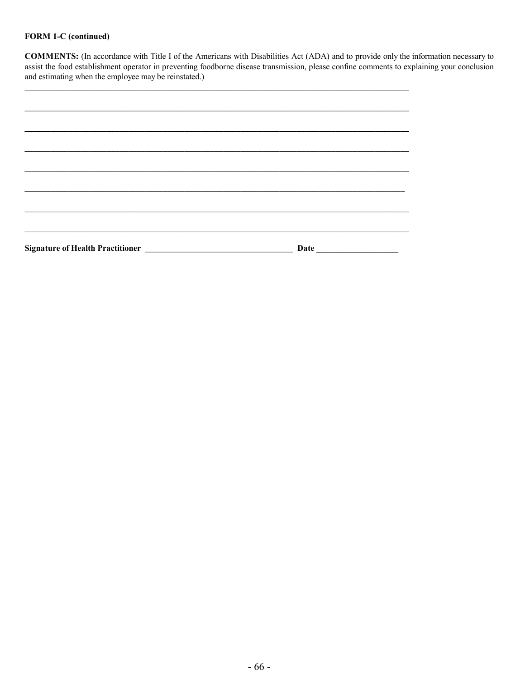#### **FORM 1-C (continued)**

**COMMENTS:** (In accordance with Title I of the Americans with Disabilities Act (ADA) and to provide only the information necessary to assist the food establishment operator in preventing foodborne disease transmission, please confine comments to explaining your conclusion and estimating when the employee may be reinstated.)

| <b>Date</b> |
|-------------|

 $\_$  , and the set of the set of the set of the set of the set of the set of the set of the set of the set of the set of the set of the set of the set of the set of the set of the set of the set of the set of the set of th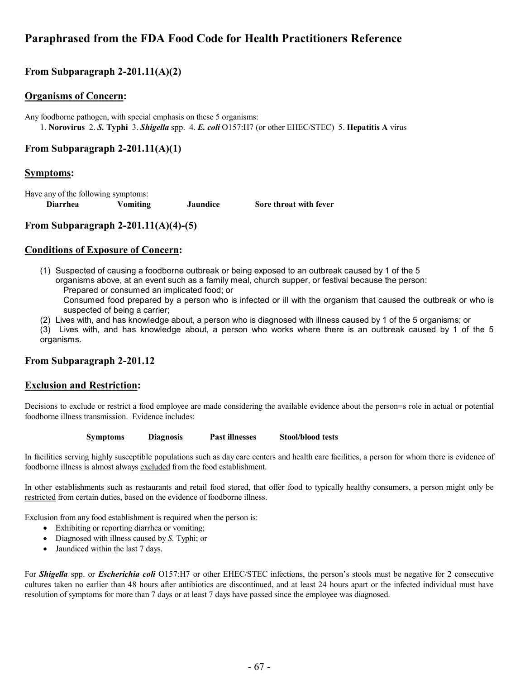# **Paraphrased from the FDA Food Code for Health Practitioners Reference**

## **From** Subparagraph  $2-201.11(A)(2)$

#### **Organisms of Concern:**

Any foodborne pathogen, with special emphasis on these 5 organisms: 1. **Norovirus** 2. *S.* **Typhi** 3. *Shigella* spp. 4. *E. coli* O157:H7 (or other EHEC/STEC) 5. **Hepatitis A** virus

From Subparagraph  $2-201.11(A)(1)$ 

#### **Symptoms:**

Have any of the following symptoms: **Diarrhea Vomiting Jaundice Sore throat with fever** 

#### **From** Subparagraph  $2-201.11(A)(4)-(5)$

#### **Conditions of Exposure of Concern:**

- (1) Suspected of causing a foodborne outbreak or being exposed to an outbreak caused by 1 of the 5 organisms above, at an event such as a family meal, church supper, or festival because the person: Prepared or consumed an implicated food; or Consumed food prepared by a person who is infected or ill with the organism that caused the outbreak or who is suspected of being a carrier;
- (2) Lives with, and has knowledge about, a person who is diagnosed with illness caused by 1 of the 5 organisms; or

(3) Lives with, and has knowledge about, a person who works where there is an outbreak caused by 1 of the 5 organisms.

#### **From Subparagraph 2-201.12**

#### **Exclusion and Restriction:**

Decisions to exclude or restrict a food employee are made considering the available evidence about the person=s role in actual or potential foodborne illness transmission. Evidence includes:

**Symptoms Diagnosis Past illnesses Stool/blood tests**

In facilities serving highly susceptible populations such as day care centers and health care facilities, a person for whom there is evidence of foodborne illness is almost always excluded from the food establishment.

In other establishments such as restaurants and retail food stored, that offer food to typically healthy consumers, a person might only be restricted from certain duties, based on the evidence of foodborne illness.

Exclusion from any food establishment is required when the person is:

- · Exhibiting or reporting diarrhea or vomiting;
- · Diagnosed with illness caused by *S.* Typhi; or
- Jaundiced within the last 7 days.

For *Shigella* spp. or *Escherichia coli* O157:H7 or other EHEC/STEC infections, the person's stools must be negative for 2 consecutive cultures taken no earlier than 48 hours after antibiotics are discontinued, and at least 24 hours apart or the infected individual must have resolution of symptoms for more than 7 days or at least 7 days have passed since the employee was diagnosed.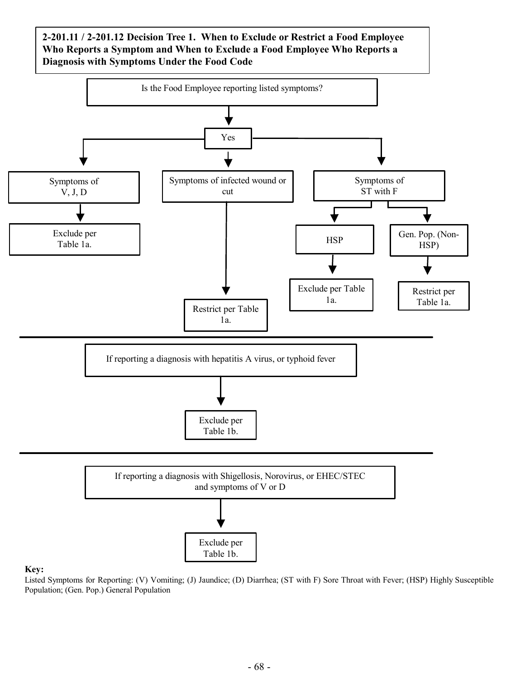

#### **Key:**

Listed Symptoms for Reporting: (V) Vomiting; (J) Jaundice; (D) Diarrhea; (ST with F) Sore Throat with Fever; (HSP) Highly Susceptible Population; (Gen. Pop.) General Population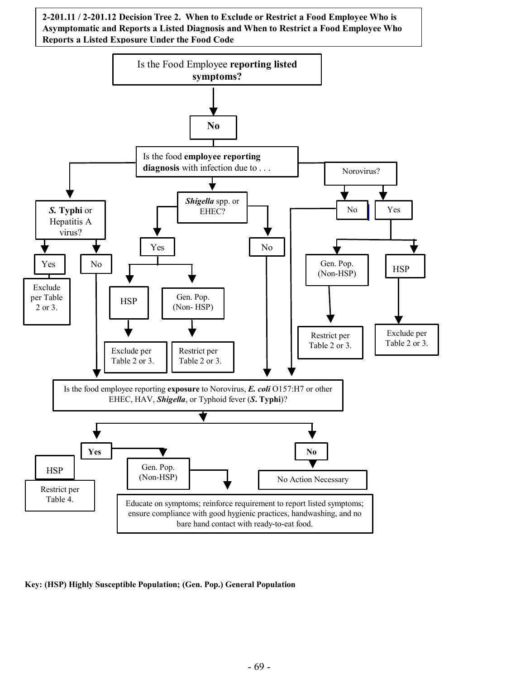**2201.11 / 2201.12 Decision Tree 2. When to Exclude or Restrict a Food Employee Who is Asymptomatic and Reports a Listed Diagnosis and When to Restrict a Food Employee Who Reports a Listed Exposure Under the Food Code**



#### **Key: (HSP) Highly Susceptible Population; (Gen. Pop.) General Population**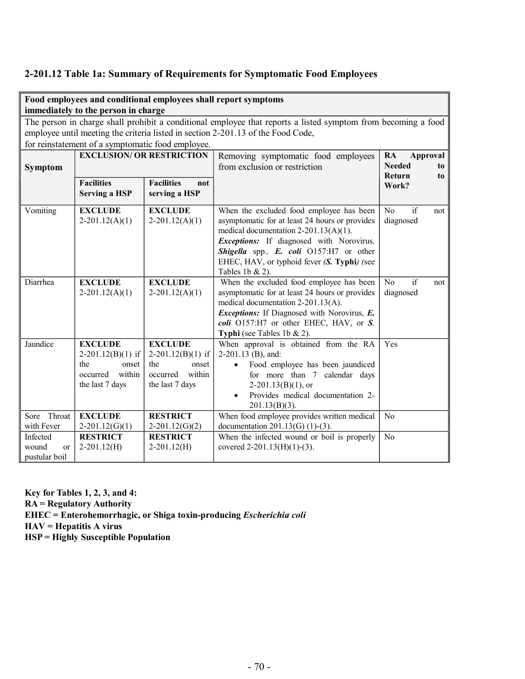| Food employees and conditional employees shall report symptoms<br>immediately to the person in charge         |                                           |                                           |                                                                   |                             |  |  |  |
|---------------------------------------------------------------------------------------------------------------|-------------------------------------------|-------------------------------------------|-------------------------------------------------------------------|-----------------------------|--|--|--|
| The person in charge shall prohibit a conditional employee that reports a listed symptom from becoming a food |                                           |                                           |                                                                   |                             |  |  |  |
| employee until meeting the criteria listed in section 2-201.13 of the Food Code,                              |                                           |                                           |                                                                   |                             |  |  |  |
| for reinstatement of a symptomatic food employee.                                                             |                                           |                                           |                                                                   |                             |  |  |  |
| <b>EXCLUSION/ OR RESTRICTION</b><br>RA<br>Removing symptomatic food employees<br>Approval                     |                                           |                                           |                                                                   |                             |  |  |  |
| Symptom                                                                                                       |                                           |                                           | from exclusion or restriction                                     | <b>Needed</b><br>to         |  |  |  |
|                                                                                                               |                                           |                                           |                                                                   | <b>Return</b><br>to         |  |  |  |
|                                                                                                               | <b>Facilities</b><br><b>Serving a HSP</b> | <b>Facilities</b><br>not<br>serving a HSP |                                                                   | Work?                       |  |  |  |
|                                                                                                               |                                           |                                           |                                                                   |                             |  |  |  |
| Vomiting                                                                                                      | <b>EXCLUDE</b>                            | <b>EXCLUDE</b>                            | When the excluded food employee has been                          | if<br>N <sub>0</sub><br>not |  |  |  |
|                                                                                                               | $2-201.12(A)(1)$                          | $2-201.12(A)(1)$                          | asymptomatic for at least 24 hours or provides                    | diagnosed                   |  |  |  |
|                                                                                                               |                                           |                                           | medical documentation $2-201.13(A)(1)$ .                          |                             |  |  |  |
|                                                                                                               |                                           |                                           | <i>Exceptions:</i> If diagnosed with Norovirus,                   |                             |  |  |  |
|                                                                                                               |                                           |                                           | Shigella spp., E. coli O157:H7 or other                           |                             |  |  |  |
|                                                                                                               |                                           |                                           | EHEC, HAV, or typhoid fever (S. Typhi) (see<br>Tables 1b $& 2$ ). |                             |  |  |  |
| Diarrhea                                                                                                      | <b>EXCLUDE</b>                            | <b>EXCLUDE</b>                            | When the excluded food employee has been                          | if<br>N <sub>o</sub><br>not |  |  |  |
|                                                                                                               | $2-201.12(A)(1)$                          | $2-201.12(A)(1)$                          | asymptomatic for at least 24 hours or provides                    | diagnosed                   |  |  |  |
|                                                                                                               |                                           |                                           | medical documentation 2-201.13(A).                                |                             |  |  |  |
|                                                                                                               |                                           |                                           | <i>Exceptions:</i> If Diagnosed with Norovirus, E.                |                             |  |  |  |
|                                                                                                               |                                           |                                           | coli O157:H7 or other EHEC, HAV, or S.                            |                             |  |  |  |
|                                                                                                               |                                           |                                           | <b>Typhi</b> (see Tables 1b $\&$ 2).                              |                             |  |  |  |
| Jaundice                                                                                                      | <b>EXCLUDE</b>                            | <b>EXCLUDE</b>                            | When approval is obtained from the RA                             | Yes                         |  |  |  |
|                                                                                                               | $2-201.12(B)(1)$ if                       | $2-201.12(B)(1)$ if                       | $2-201.13$ (B), and:                                              |                             |  |  |  |
|                                                                                                               | the<br>onset                              | the<br>onset                              | Food employee has been jaundiced                                  |                             |  |  |  |
|                                                                                                               | within<br>occurred                        | within<br>occurred                        | for more than 7 calendar days                                     |                             |  |  |  |
|                                                                                                               | the last 7 days                           | the last 7 days                           | $2-201.13(B)(1)$ , or                                             |                             |  |  |  |
|                                                                                                               |                                           |                                           | Provides medical documentation 2-<br>$\bullet$                    |                             |  |  |  |
| Sore Throat                                                                                                   |                                           |                                           | $201.13(B)(3)$ .<br>When food employee provides written medical   | N <sub>0</sub>              |  |  |  |
| with Fever                                                                                                    | <b>EXCLUDE</b><br>$2-201.12(G)(1)$        | <b>RESTRICT</b><br>$2-201.12(G)(2)$       | documentation $201.13(G)$ (1)-(3).                                |                             |  |  |  |
| Infected                                                                                                      | <b>RESTRICT</b>                           | <b>RESTRICT</b>                           | When the infected wound or boil is properly                       | N <sub>0</sub>              |  |  |  |
| wound<br><sub>or</sub>                                                                                        | $2-201.12(H)$                             | $2-201.12(H)$                             | covered $2-201.13(H)(1)-(3)$ .                                    |                             |  |  |  |
| pustular boil                                                                                                 |                                           |                                           |                                                                   |                             |  |  |  |

**Key for Tables 1, 2, 3, and 4: RA = Regulatory Authority EHEC = Enterohemorrhagic, or Shiga toxinproducing** *Escherichia coli* **HAV = Hepatitis A virus HSP = Highly Susceptible Population**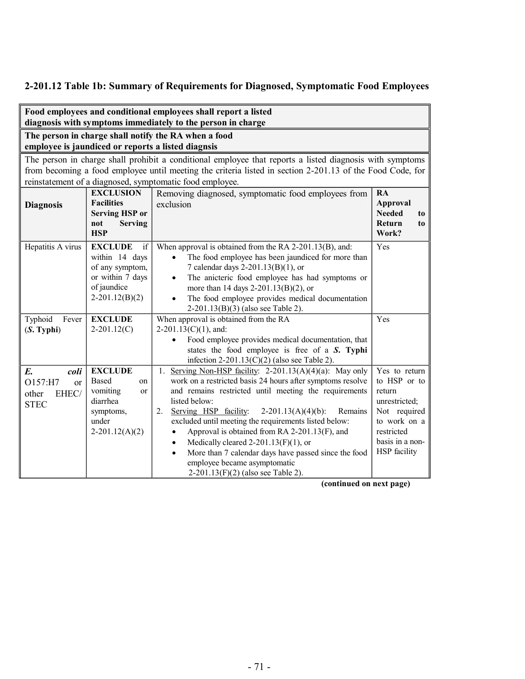# **2201.12 Table 1b: Summary of Requirements for Diagnosed, Symptomatic Food Employees**

| Food employees and conditional employees shall report a listed<br>diagnosis with symptoms immediately to the person in charge |                                                    |                                                                                                                                                                                                                                                                                                                                                                                                                                                              |                                                                                                       |  |  |  |  |
|-------------------------------------------------------------------------------------------------------------------------------|----------------------------------------------------|--------------------------------------------------------------------------------------------------------------------------------------------------------------------------------------------------------------------------------------------------------------------------------------------------------------------------------------------------------------------------------------------------------------------------------------------------------------|-------------------------------------------------------------------------------------------------------|--|--|--|--|
| The person in charge shall notify the RA when a food                                                                          |                                                    |                                                                                                                                                                                                                                                                                                                                                                                                                                                              |                                                                                                       |  |  |  |  |
|                                                                                                                               |                                                    | employee is jaundiced or reports a listed diagnsis                                                                                                                                                                                                                                                                                                                                                                                                           |                                                                                                       |  |  |  |  |
| The person in charge shall prohibit a conditional employee that reports a listed diagnosis with symptoms                      |                                                    |                                                                                                                                                                                                                                                                                                                                                                                                                                                              |                                                                                                       |  |  |  |  |
| from becoming a food employee until meeting the criteria listed in section 2-201.13 of the Food Code, for                     |                                                    |                                                                                                                                                                                                                                                                                                                                                                                                                                                              |                                                                                                       |  |  |  |  |
|                                                                                                                               | <b>EXCLUSION</b>                                   | reinstatement of a diagnosed, symptomatic food employee.                                                                                                                                                                                                                                                                                                                                                                                                     |                                                                                                       |  |  |  |  |
|                                                                                                                               | <b>RA</b>                                          |                                                                                                                                                                                                                                                                                                                                                                                                                                                              |                                                                                                       |  |  |  |  |
| <b>Diagnosis</b>                                                                                                              | <b>Facilities</b>                                  | exclusion                                                                                                                                                                                                                                                                                                                                                                                                                                                    | Approval                                                                                              |  |  |  |  |
|                                                                                                                               | <b>Serving HSP or</b>                              |                                                                                                                                                                                                                                                                                                                                                                                                                                                              | <b>Needed</b><br>to                                                                                   |  |  |  |  |
|                                                                                                                               | <b>Serving</b><br>not                              |                                                                                                                                                                                                                                                                                                                                                                                                                                                              | Return<br>to                                                                                          |  |  |  |  |
|                                                                                                                               | <b>HSP</b>                                         |                                                                                                                                                                                                                                                                                                                                                                                                                                                              | Work?                                                                                                 |  |  |  |  |
| Hepatitis A virus                                                                                                             | <b>EXCLUDE</b><br>if                               | When approval is obtained from the RA 2-201.13(B), and:                                                                                                                                                                                                                                                                                                                                                                                                      | Yes                                                                                                   |  |  |  |  |
|                                                                                                                               | within 14 days                                     | The food employee has been jaundiced for more than                                                                                                                                                                                                                                                                                                                                                                                                           |                                                                                                       |  |  |  |  |
|                                                                                                                               | of any symptom,                                    | 7 calendar days 2-201.13(B)(1), or                                                                                                                                                                                                                                                                                                                                                                                                                           |                                                                                                       |  |  |  |  |
|                                                                                                                               | or within 7 days                                   | The anicteric food employee has had symptoms or<br>$\bullet$                                                                                                                                                                                                                                                                                                                                                                                                 |                                                                                                       |  |  |  |  |
|                                                                                                                               | of jaundice<br>$2-201.12(B)(2)$                    | more than 14 days $2-201.13(B)(2)$ , or                                                                                                                                                                                                                                                                                                                                                                                                                      |                                                                                                       |  |  |  |  |
|                                                                                                                               |                                                    | The food employee provides medical documentation<br>2-201.13(B)(3) (also see Table 2).                                                                                                                                                                                                                                                                                                                                                                       |                                                                                                       |  |  |  |  |
| Typhoid<br>Fever                                                                                                              | <b>EXCLUDE</b>                                     | When approval is obtained from the RA                                                                                                                                                                                                                                                                                                                                                                                                                        | Yes                                                                                                   |  |  |  |  |
| (S. Typhi)                                                                                                                    | $2-201.12(C)$                                      | $2-201.13(C)(1)$ , and:                                                                                                                                                                                                                                                                                                                                                                                                                                      |                                                                                                       |  |  |  |  |
|                                                                                                                               |                                                    | Food employee provides medical documentation, that                                                                                                                                                                                                                                                                                                                                                                                                           |                                                                                                       |  |  |  |  |
|                                                                                                                               |                                                    | states the food employee is free of a S. Typhi                                                                                                                                                                                                                                                                                                                                                                                                               |                                                                                                       |  |  |  |  |
|                                                                                                                               |                                                    |                                                                                                                                                                                                                                                                                                                                                                                                                                                              |                                                                                                       |  |  |  |  |
| $E$ .<br>coli                                                                                                                 | <b>EXCLUDE</b>                                     | Serving Non-HSP facility: $2-201.13(A)(4)(a)$ : May only<br>1.                                                                                                                                                                                                                                                                                                                                                                                               | Yes to return                                                                                         |  |  |  |  |
| O157:H7<br><sub>or</sub>                                                                                                      | <b>Based</b><br>on                                 | work on a restricted basis 24 hours after symptoms resolve                                                                                                                                                                                                                                                                                                                                                                                                   | to HSP or to                                                                                          |  |  |  |  |
| EHEC/<br>other                                                                                                                | vomiting<br>or                                     | and remains restricted until meeting the requirements                                                                                                                                                                                                                                                                                                                                                                                                        | return                                                                                                |  |  |  |  |
|                                                                                                                               |                                                    |                                                                                                                                                                                                                                                                                                                                                                                                                                                              |                                                                                                       |  |  |  |  |
|                                                                                                                               |                                                    |                                                                                                                                                                                                                                                                                                                                                                                                                                                              |                                                                                                       |  |  |  |  |
|                                                                                                                               |                                                    |                                                                                                                                                                                                                                                                                                                                                                                                                                                              |                                                                                                       |  |  |  |  |
|                                                                                                                               |                                                    |                                                                                                                                                                                                                                                                                                                                                                                                                                                              |                                                                                                       |  |  |  |  |
|                                                                                                                               |                                                    |                                                                                                                                                                                                                                                                                                                                                                                                                                                              |                                                                                                       |  |  |  |  |
|                                                                                                                               |                                                    |                                                                                                                                                                                                                                                                                                                                                                                                                                                              |                                                                                                       |  |  |  |  |
|                                                                                                                               |                                                    |                                                                                                                                                                                                                                                                                                                                                                                                                                                              |                                                                                                       |  |  |  |  |
| <b>STEC</b>                                                                                                                   | diarrhea<br>symptoms,<br>under<br>$2-201.12(A)(2)$ | infection 2-201.13(C)(2) (also see Table 2).<br>listed below:<br>Serving HSP facility:<br>$2-201.13(A)(4)(b)$ :<br>Remains<br>2.<br>excluded until meeting the requirements listed below:<br>Approval is obtained from RA 2-201.13(F), and<br>$\bullet$<br>Medically cleared $2-201.13(F)(1)$ , or<br>$\bullet$<br>More than 7 calendar days have passed since the food<br>$\bullet$<br>employee became asymptomatic<br>$2-201.13(F)(2)$ (also see Table 2). | unrestricted;<br>Not required<br>to work on a<br>restricted<br>basis in a non-<br><b>HSP</b> facility |  |  |  |  |

**(continued on next page)**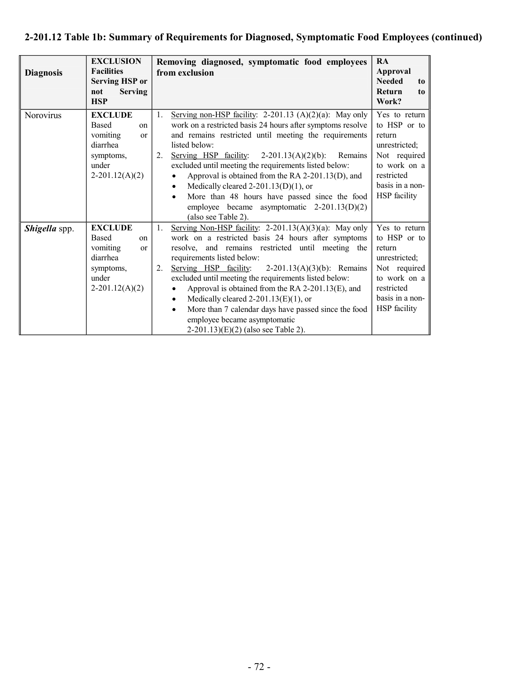# **2201.12 Table 1b: Summary of Requirements for Diagnosed, Symptomatic Food Employees (continued)**

| <b>Diagnosis</b> | <b>EXCLUSION</b><br><b>Facilities</b><br><b>Serving HSP or</b><br><b>Serving</b><br>not<br><b>HSP</b>                            | Removing diagnosed, symptomatic food employees<br>from exclusion                                                                                                                                                                                                                                                                                                                                                                                                                                                                                                                                          | RA<br>Approval<br><b>Needed</b><br>to<br><b>Return</b><br>to<br>Work?                                                                            |
|------------------|----------------------------------------------------------------------------------------------------------------------------------|-----------------------------------------------------------------------------------------------------------------------------------------------------------------------------------------------------------------------------------------------------------------------------------------------------------------------------------------------------------------------------------------------------------------------------------------------------------------------------------------------------------------------------------------------------------------------------------------------------------|--------------------------------------------------------------------------------------------------------------------------------------------------|
| Norovirus        | <b>EXCLUDE</b><br><b>Based</b><br>on<br>vomiting<br><sub>or</sub><br>diarrhea<br>symptoms,<br>under<br>$2-201.12(A)(2)$          | Serving non-HSP facility: $2-201.13$ (A)(2)(a): May only<br>1.<br>work on a restricted basis 24 hours after symptoms resolve<br>and remains restricted until meeting the requirements<br>listed below:<br>Serving HSP facility:<br>$2-201.13(A)(2)(b)$ :<br>Remains<br>2.<br>excluded until meeting the requirements listed below:<br>Approval is obtained from the RA 2-201.13(D), and<br>Medically cleared $2-201.13(D)(1)$ , or<br>$\bullet$<br>More than 48 hours have passed since the food<br>employee became asymptomatic 2-201.13(D)(2)<br>(also see Table 2).                                    | Yes to return<br>to HSP or to<br>return<br>unrestricted:<br>Not required<br>to work on a<br>restricted<br>basis in a non-<br>HSP facility        |
| Shigella spp.    | <b>EXCLUDE</b><br><b>Based</b><br>$_{\rm on}$<br>vomiting<br><sub>or</sub><br>diarrhea<br>symptoms,<br>under<br>$2-201.12(A)(2)$ | Serving Non-HSP facility: $2-201.13(A)(3)(a)$ : May only<br>1.<br>work on a restricted basis 24 hours after symptoms<br>resolve, and remains restricted until meeting the<br>requirements listed below:<br>$2-201.13(A)(3)(b)$ : Remains<br>Serving HSP facility:<br>2.<br>excluded until meeting the requirements listed below:<br>Approval is obtained from the RA 2-201.13(E), and<br>$\bullet$<br>Medically cleared $2-201.13(E)(1)$ , or<br>$\bullet$<br>More than 7 calendar days have passed since the food<br>$\bullet$<br>employee became asymptomatic<br>$2-201.13$ )(E)(2) (also see Table 2). | Yes to return<br>to HSP or to<br>return<br>unrestricted:<br>Not required<br>to work on a<br>restricted<br>basis in a non-<br><b>HSP</b> facility |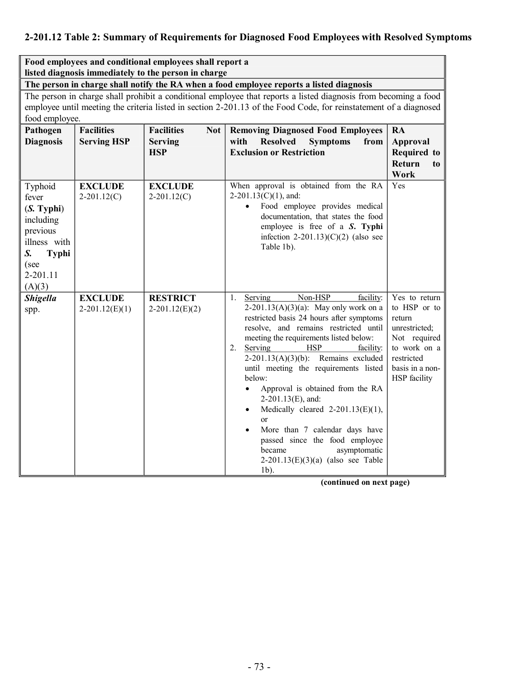# **2201.12 Table 2: Summary of Requirements for Diagnosed Food Employees with Resolved Symptoms**

| Food employees and conditional employees shall report a<br>listed diagnosis immediately to the person in charge             |                                                                                                                 |                                                                 |                                                                                                                                                                                                                                                                                                                                                                                                                                                                                                                                                                                                                                                                    |                                                                                                                                                  |  |  |
|-----------------------------------------------------------------------------------------------------------------------------|-----------------------------------------------------------------------------------------------------------------|-----------------------------------------------------------------|--------------------------------------------------------------------------------------------------------------------------------------------------------------------------------------------------------------------------------------------------------------------------------------------------------------------------------------------------------------------------------------------------------------------------------------------------------------------------------------------------------------------------------------------------------------------------------------------------------------------------------------------------------------------|--------------------------------------------------------------------------------------------------------------------------------------------------|--|--|
| The person in charge shall notify the RA when a food employee reports a listed diagnosis                                    |                                                                                                                 |                                                                 |                                                                                                                                                                                                                                                                                                                                                                                                                                                                                                                                                                                                                                                                    |                                                                                                                                                  |  |  |
|                                                                                                                             | The person in charge shall prohibit a conditional employee that reports a listed diagnosis from becoming a food |                                                                 |                                                                                                                                                                                                                                                                                                                                                                                                                                                                                                                                                                                                                                                                    |                                                                                                                                                  |  |  |
|                                                                                                                             |                                                                                                                 |                                                                 | employee until meeting the criteria listed in section 2-201.13 of the Food Code, for reinstatement of a diagnosed                                                                                                                                                                                                                                                                                                                                                                                                                                                                                                                                                  |                                                                                                                                                  |  |  |
| food employee.                                                                                                              |                                                                                                                 |                                                                 |                                                                                                                                                                                                                                                                                                                                                                                                                                                                                                                                                                                                                                                                    |                                                                                                                                                  |  |  |
| Pathogen<br><b>Diagnosis</b>                                                                                                | <b>Facilities</b><br><b>Serving HSP</b>                                                                         | <b>Facilities</b><br><b>Not</b><br><b>Serving</b><br><b>HSP</b> | <b>Removing Diagnosed Food Employees</b><br><b>Resolved</b><br><b>Symptoms</b><br>with<br>from<br><b>Exclusion or Restriction</b>                                                                                                                                                                                                                                                                                                                                                                                                                                                                                                                                  | <b>RA</b><br>Approval<br><b>Required to</b><br>Return<br>to<br>Work                                                                              |  |  |
| Typhoid<br>fever<br>(S. Typhi)<br>including<br>previous<br>illness with<br><b>Typhi</b><br>S.<br>(see<br>2-201.11<br>(A)(3) | <b>EXCLUDE</b><br>$2-201.12(C)$                                                                                 | <b>EXCLUDE</b><br>$2-201.12(C)$                                 | When approval is obtained from the RA<br>$2-201.13(C)(1)$ , and:<br>Food employee provides medical<br>documentation, that states the food<br>employee is free of a S. Typhi<br>infection $2-201.13$ )(C)(2) (also see<br>Table 1b).                                                                                                                                                                                                                                                                                                                                                                                                                                | Yes                                                                                                                                              |  |  |
| <b>Shigella</b><br>spp.                                                                                                     | <b>EXCLUDE</b><br>$2-201.12(E)(1)$                                                                              | <b>RESTRICT</b><br>$2-201.12(E)(2)$                             | Non-HSP<br>1.<br>Serving<br>facility:<br>2-201.13(A)(3)(a): May only work on a<br>restricted basis 24 hours after symptoms<br>resolve, and remains restricted until<br>meeting the requirements listed below:<br>2.<br>Serving<br><b>HSP</b><br>facility:<br>$2-201.13(A)(3)(b)$ : Remains excluded<br>until meeting the requirements listed<br>below:<br>Approval is obtained from the RA<br>$\bullet$<br>$2-201.13(E)$ , and:<br>Medically cleared $2-201.13(E)(1)$ ,<br>$\bullet$<br><sub>or</sub><br>More than 7 calendar days have<br>$\bullet$<br>passed since the food employee<br>asymptomatic<br>became<br>$2-201.13(E)(3)(a)$ (also see Table<br>$1b$ ). | Yes to return<br>to HSP or to<br>return<br>unrestricted;<br>Not required<br>to work on a<br>restricted<br>basis in a non-<br><b>HSP</b> facility |  |  |

**(continued on next page)**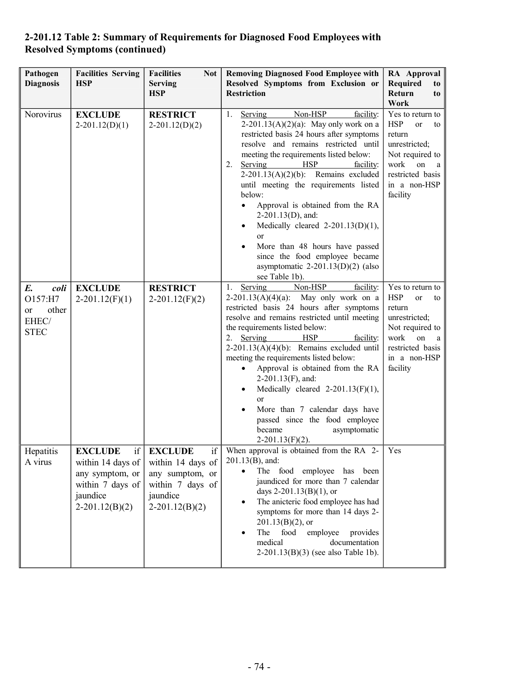#### **2201.12 Table 2: Summary of Requirements for Diagnosed Food Employees with Resolved Symptoms (continued)**

| Pathogen                                                     | <b>Facilities Serving</b>                                                                                  | <b>Facilities</b><br><b>Not</b>                                                                              | <b>Removing Diagnosed Food Employee with</b>                                                                                                                                                                                                                                                                                                                                                                                                                                                                                                                                                                                        | RA Approval                                                                                                                                                            |
|--------------------------------------------------------------|------------------------------------------------------------------------------------------------------------|--------------------------------------------------------------------------------------------------------------|-------------------------------------------------------------------------------------------------------------------------------------------------------------------------------------------------------------------------------------------------------------------------------------------------------------------------------------------------------------------------------------------------------------------------------------------------------------------------------------------------------------------------------------------------------------------------------------------------------------------------------------|------------------------------------------------------------------------------------------------------------------------------------------------------------------------|
| <b>Diagnosis</b>                                             | <b>HSP</b>                                                                                                 | <b>Serving</b>                                                                                               | Resolved Symptoms from Exclusion or                                                                                                                                                                                                                                                                                                                                                                                                                                                                                                                                                                                                 | <b>Required</b><br>to                                                                                                                                                  |
|                                                              |                                                                                                            | <b>HSP</b>                                                                                                   | <b>Restriction</b>                                                                                                                                                                                                                                                                                                                                                                                                                                                                                                                                                                                                                  | Return<br>to                                                                                                                                                           |
|                                                              |                                                                                                            |                                                                                                              |                                                                                                                                                                                                                                                                                                                                                                                                                                                                                                                                                                                                                                     | Work                                                                                                                                                                   |
| Norovirus                                                    | <b>EXCLUDE</b><br>$2-201.12(D)(1)$                                                                         | <b>RESTRICT</b><br>$2-201.12(D)(2)$                                                                          | Non-HSP<br>facility:<br>1.<br>Serving<br>2-201.13(A)(2)(a): May only work on a<br>restricted basis 24 hours after symptoms<br>resolve and remains restricted until<br>meeting the requirements listed below:<br>Serving<br><b>HSP</b><br>2.<br>facility:<br>$2-201.13(A)(2)(b)$ : Remains excluded<br>until meeting the requirements listed<br>below:<br>Approval is obtained from the RA<br>$\bullet$<br>$2-201.13(D)$ , and:<br>Medically cleared $2-201.13(D)(1)$ ,<br>$\bullet$<br>or<br>More than 48 hours have passed<br>$\bullet$<br>since the food employee became<br>asymptomatic $2-201.13(D)(2)$ (also<br>see Table 1b). | Yes to return to<br><b>HSP</b><br><b>or</b><br>to<br>return<br>unrestricted;<br>Not required to<br>work<br>on<br>a<br>restricted basis<br>in a non-HSP<br>facility     |
| E.<br>coli<br>O157:H7<br>other<br>or<br>EHEC/<br><b>STEC</b> | <b>EXCLUDE</b><br>$2-201.12(F)(1)$                                                                         | <b>RESTRICT</b><br>$2-201.12(F)(2)$                                                                          | Non-HSP<br>Serving<br>facility:<br>1.<br>$2-201.13(A)(4)(a)$ : May only work on a<br>restricted basis 24 hours after symptoms<br>resolve and remains restricted until meeting<br>the requirements listed below:<br>2. Serving<br><b>HSP</b><br>facility:<br>$2-201.13(A)(4)(b)$ : Remains excluded until<br>meeting the requirements listed below:<br>Approval is obtained from the RA<br>$2-201.13(F)$ , and:<br>Medically cleared $2-201.13(F)(1)$ ,<br>$\bullet$<br><sub>or</sub><br>More than 7 calendar days have<br>$\bullet$<br>passed since the food employee<br>became<br>asymptomatic<br>$2-201.13(F)(2)$ .               | Yes to return to<br><b>HSP</b><br><sub>or</sub><br>to<br>return<br>unrestricted;<br>Not required to<br>work<br>on<br>a<br>restricted basis<br>in a non-HSP<br>facility |
| Hepatitis<br>A virus                                         | <b>EXCLUDE</b><br>within 14 days of<br>any symptom, or<br>within 7 days of<br>jaundice<br>$2-201.12(B)(2)$ | if EXCLUDE<br>if<br>within 14 days of<br>any sumptom, or<br>within 7 days of<br>jaundice<br>$2-201.12(B)(2)$ | When approval is obtained from the RA 2-<br>$201.13(B)$ , and:<br>The food employee has been<br>jaundiced for more than 7 calendar<br>days $2-201.13(B)(1)$ , or<br>The anicteric food employee has had<br>$\bullet$<br>symptoms for more than 14 days 2-<br>$201.13(B)(2)$ , or<br>The food<br>employee<br>provides<br>$\bullet$<br>medical<br>documentation<br>$2-201.13(B)(3)$ (see also Table 1b).                                                                                                                                                                                                                              | Yes                                                                                                                                                                    |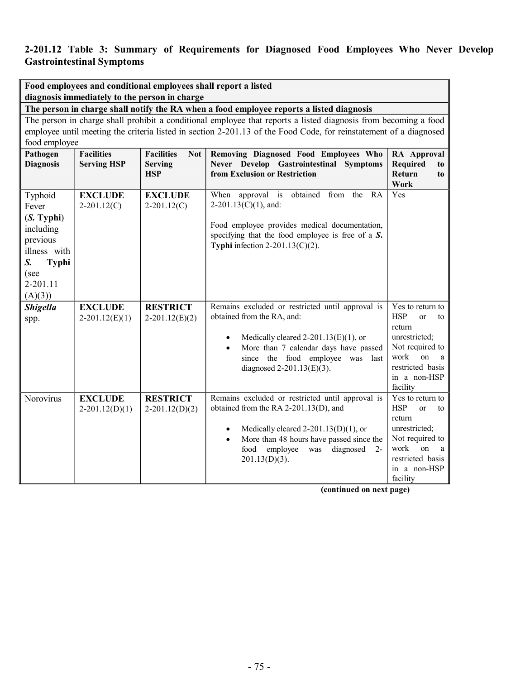### **2201.12 Table 3: Summary of Requirements for Diagnosed Food Employees Who Never Develop Gastrointestinal Symptoms**

| Food employees and conditional employees shall report a listed                                                               |                                         |                                                                 |                                                                                                                                                                                                                                                                                 |                                                                                                                                                             |
|------------------------------------------------------------------------------------------------------------------------------|-----------------------------------------|-----------------------------------------------------------------|---------------------------------------------------------------------------------------------------------------------------------------------------------------------------------------------------------------------------------------------------------------------------------|-------------------------------------------------------------------------------------------------------------------------------------------------------------|
| diagnosis immediately to the person in charge                                                                                |                                         |                                                                 |                                                                                                                                                                                                                                                                                 |                                                                                                                                                             |
| The person in charge shall notify the RA when a food employee reports a listed diagnosis                                     |                                         |                                                                 |                                                                                                                                                                                                                                                                                 |                                                                                                                                                             |
|                                                                                                                              |                                         |                                                                 | The person in charge shall prohibit a conditional employee that reports a listed diagnosis from becoming a food                                                                                                                                                                 |                                                                                                                                                             |
|                                                                                                                              |                                         |                                                                 | employee until meeting the criteria listed in section 2-201.13 of the Food Code, for reinstatement of a diagnosed                                                                                                                                                               |                                                                                                                                                             |
| food employee                                                                                                                |                                         |                                                                 |                                                                                                                                                                                                                                                                                 |                                                                                                                                                             |
| Pathogen<br><b>Diagnosis</b>                                                                                                 | <b>Facilities</b><br><b>Serving HSP</b> | <b>Facilities</b><br><b>Not</b><br><b>Serving</b><br><b>HSP</b> | Removing Diagnosed Food Employees Who<br>Never Develop Gastrointestinal Symptoms<br>from Exclusion or Restriction                                                                                                                                                               | RA Approval<br><b>Required</b><br>to<br>Return<br>to<br>Work                                                                                                |
| Typhoid<br>Fever<br>(S. Typhi)<br>including<br>previous<br>illness with<br>S.<br><b>Typhi</b><br>(see<br>2-201.11<br>(A)(3)) | <b>EXCLUDE</b><br>$2-201.12(C)$         | <b>EXCLUDE</b><br>$2-201.12(C)$                                 | obtained<br>from<br>the RA<br>When approval is<br>$2-201.13(C)(1)$ , and:<br>Food employee provides medical documentation,<br>specifying that the food employee is free of a $S$ .<br>Typhi infection $2-201.13(C)(2)$ .                                                        | Yes                                                                                                                                                         |
| <b>Shigella</b><br>spp.                                                                                                      | <b>EXCLUDE</b><br>$2-201.12(E)(1)$      | <b>RESTRICT</b><br>$2-201.12(E)(2)$                             | Remains excluded or restricted until approval is<br>obtained from the RA, and:<br>Medically cleared $2-201.13(E)(1)$ , or<br>More than 7 calendar days have passed<br>$\bullet$<br>since the food employee was last<br>diagnosed $2-201.13(E)(3)$ .                             | Yes to return to<br><b>HSP</b><br>or<br>to<br>return<br>unrestricted;<br>Not required to<br>work<br>on<br>a<br>restricted basis<br>in a non-HSP<br>facility |
| Norovirus                                                                                                                    | <b>EXCLUDE</b><br>$2-201.12(D)(1)$      | <b>RESTRICT</b><br>$2-201.12(D)(2)$                             | Remains excluded or restricted until approval is<br>obtained from the RA 2-201.13(D), and<br>Medically cleared $2-201.13(D)(1)$ , or<br>$\bullet$<br>More than 48 hours have passed since the<br>$\bullet$<br>food<br>employee<br>diagnosed<br>$2 -$<br>was<br>$201.13(D)(3)$ . | Yes to return to<br><b>HSP</b><br>or<br>to<br>return<br>unrestricted;<br>Not required to<br>work<br>on<br>a<br>restricted basis<br>in a non-HSP<br>facility |

**(continued on next page)**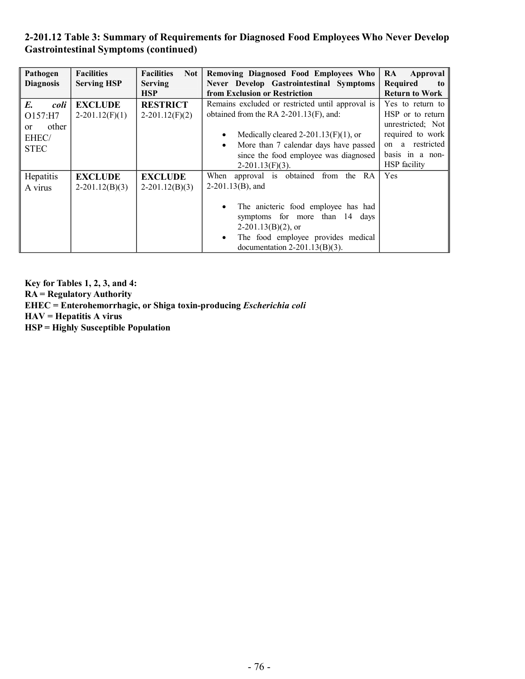#### **2201.12 Table 3: Summary of Requirements for Diagnosed Food Employees Who Never Develop Gastrointestinal Symptoms (continued)**

| Pathogen          | <b>Facilities</b>  | <b>Facilities</b><br><b>Not</b> | Removing Diagnosed Food Employees Who                | <b>RA</b><br>Approval |
|-------------------|--------------------|---------------------------------|------------------------------------------------------|-----------------------|
| <b>Diagnosis</b>  | <b>Serving HSP</b> | <b>Serving</b>                  | Never Develop Gastrointestinal Symptoms              | Required<br>to        |
|                   |                    | <b>HSP</b>                      | from Exclusion or Restriction                        | <b>Return to Work</b> |
| E.<br>coli        | <b>EXCLUDE</b>     | <b>RESTRICT</b>                 | Remains excluded or restricted until approval is     | Yes to return to      |
| O157:H7           | $2-201.12(F)(1)$   | $2-201.12(F)(2)$                | obtained from the RA 2-201.13 $(F)$ , and:           | HSP or to return      |
| other<br>$\alpha$ |                    |                                 |                                                      | unrestricted; Not     |
| EHEC/             |                    |                                 | Medically cleared $2-201.13(F)(1)$ , or<br>$\bullet$ | required to work      |
| <b>STEC</b>       |                    |                                 | More than 7 calendar days have passed<br>$\bullet$   | on a restricted       |
|                   |                    |                                 | since the food employee was diagnosed                | basis in a non-       |
|                   |                    |                                 | $2-201.13(F)(3)$ .                                   | HSP facility          |
| Hepatitis         | <b>EXCLUDE</b>     | <b>EXCLUDE</b>                  | approval is obtained from the RA<br>When             | Yes                   |
| A virus           | $2-201.12(B)(3)$   | $2-201.12(B)(3)$                | $2-201.13(B)$ , and                                  |                       |
|                   |                    |                                 |                                                      |                       |
|                   |                    |                                 | The anicteric food employee has had                  |                       |
|                   |                    |                                 | symptoms for more than 14 days                       |                       |
|                   |                    |                                 | $2-201.13(B)(2)$ , or                                |                       |
|                   |                    |                                 | The food employee provides medical                   |                       |
|                   |                    |                                 | documentation $2-201.13(B)(3)$ .                     |                       |

**Key for Tables 1, 2, 3, and 4: RA = Regulatory Authority EHEC = Enterohemorrhagic, or Shiga toxinproducing** *Escherichia coli* **HAV = Hepatitis A virus HSP = Highly Susceptible Population**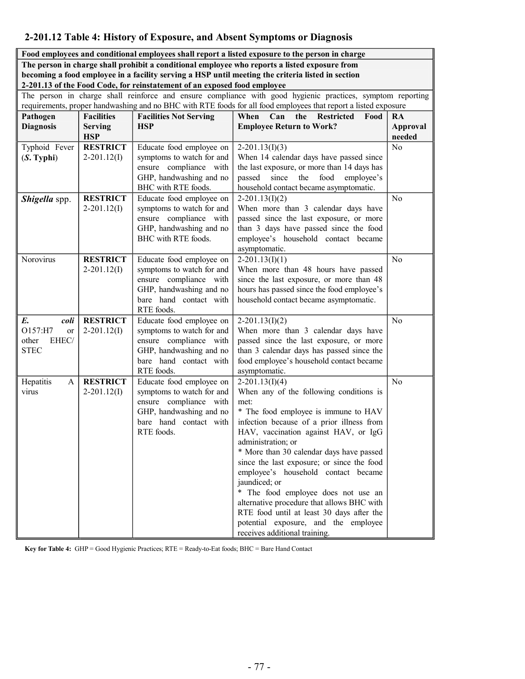### **2201.12 Table 4: History of Exposure, and Absent Symptoms or Diagnosis**

|                                                                                               |                                                                                                                    |                                                                          | Food employees and conditional employees shall report a listed exposure to the person in charge                 |                |  |
|-----------------------------------------------------------------------------------------------|--------------------------------------------------------------------------------------------------------------------|--------------------------------------------------------------------------|-----------------------------------------------------------------------------------------------------------------|----------------|--|
| The person in charge shall prohibit a conditional employee who reports a listed exposure from |                                                                                                                    |                                                                          |                                                                                                                 |                |  |
|                                                                                               |                                                                                                                    |                                                                          | becoming a food employee in a facility serving a HSP until meeting the criteria listed in section               |                |  |
|                                                                                               |                                                                                                                    | 2-201.13 of the Food Code, for reinstatement of an exposed food employee |                                                                                                                 |                |  |
|                                                                                               |                                                                                                                    |                                                                          | The person in charge shall reinforce and ensure compliance with good hygienic practices, symptom reporting      |                |  |
|                                                                                               |                                                                                                                    |                                                                          | requirements, proper handwashing and no BHC with RTE foods for all food employees that report a listed exposure |                |  |
| Pathogen                                                                                      | <b>Facilities Not Serving</b><br>Can<br><b>Facilities</b><br>When<br>the<br><b>Restricted</b><br><b>RA</b><br>Food |                                                                          |                                                                                                                 |                |  |
| <b>Diagnosis</b>                                                                              | <b>Serving</b>                                                                                                     | <b>HSP</b>                                                               | <b>Employee Return to Work?</b>                                                                                 | Approval       |  |
|                                                                                               | <b>HSP</b>                                                                                                         |                                                                          |                                                                                                                 | needed         |  |
| Typhoid Fever                                                                                 | <b>RESTRICT</b>                                                                                                    | Educate food employee on                                                 | $2-201.13(I)(3)$                                                                                                | N <sub>0</sub> |  |
| (S. Typhi)                                                                                    | $2-201.12(I)$                                                                                                      | symptoms to watch for and                                                | When 14 calendar days have passed since                                                                         |                |  |
|                                                                                               |                                                                                                                    | ensure compliance with                                                   | the last exposure, or more than 14 days has                                                                     |                |  |
|                                                                                               |                                                                                                                    | GHP, handwashing and no                                                  | since the<br>food<br>passed<br>employee's                                                                       |                |  |
|                                                                                               |                                                                                                                    | BHC with RTE foods.                                                      | household contact became asymptomatic.                                                                          |                |  |
| Shigella spp.                                                                                 | <b>RESTRICT</b>                                                                                                    | Educate food employee on                                                 | $2-201.13(I)(2)$                                                                                                | N <sub>o</sub> |  |
|                                                                                               | $2-201.12(I)$                                                                                                      | symptoms to watch for and                                                | When more than 3 calendar days have                                                                             |                |  |
|                                                                                               |                                                                                                                    | ensure compliance with                                                   | passed since the last exposure, or more                                                                         |                |  |
|                                                                                               |                                                                                                                    | GHP, handwashing and no                                                  | than 3 days have passed since the food                                                                          |                |  |
|                                                                                               |                                                                                                                    | BHC with RTE foods.                                                      | employee's household contact became                                                                             |                |  |
|                                                                                               |                                                                                                                    |                                                                          | asymptomatic.                                                                                                   |                |  |
| Norovirus                                                                                     | <b>RESTRICT</b>                                                                                                    | Educate food employee on                                                 | $2-201.13(I)(1)$                                                                                                | N <sub>0</sub> |  |
|                                                                                               | $2 - 201.12(I)$                                                                                                    | symptoms to watch for and                                                | When more than 48 hours have passed                                                                             |                |  |
|                                                                                               |                                                                                                                    | ensure compliance with                                                   | since the last exposure, or more than 48                                                                        |                |  |
|                                                                                               |                                                                                                                    | GHP, handwashing and no                                                  | hours has passed since the food employee's                                                                      |                |  |
|                                                                                               |                                                                                                                    | bare hand contact with                                                   | household contact became asymptomatic.                                                                          |                |  |
|                                                                                               |                                                                                                                    | RTE foods.                                                               |                                                                                                                 |                |  |
| E.<br>coli                                                                                    | <b>RESTRICT</b>                                                                                                    | Educate food employee on                                                 | $2-201.13(I)(2)$                                                                                                | N <sub>0</sub> |  |
| O157:H7<br>or                                                                                 | $2-201.12(I)$                                                                                                      | symptoms to watch for and                                                | When more than 3 calendar days have                                                                             |                |  |
| EHEC/<br>other                                                                                |                                                                                                                    | ensure compliance with                                                   | passed since the last exposure, or more                                                                         |                |  |
| <b>STEC</b>                                                                                   |                                                                                                                    | GHP, handwashing and no                                                  | than 3 calendar days has passed since the                                                                       |                |  |
|                                                                                               |                                                                                                                    | bare hand contact with                                                   | food employee's household contact became                                                                        |                |  |
|                                                                                               |                                                                                                                    | RTE foods.                                                               | asymptomatic.                                                                                                   |                |  |
| Hepatitis<br>A                                                                                | <b>RESTRICT</b>                                                                                                    | Educate food employee on                                                 | $2-201.13(I)(4)$                                                                                                | N <sub>o</sub> |  |
| virus                                                                                         | $2 - 201.12(I)$                                                                                                    | symptoms to watch for and                                                | When any of the following conditions is                                                                         |                |  |
|                                                                                               |                                                                                                                    | ensure compliance with                                                   | met:                                                                                                            |                |  |
|                                                                                               |                                                                                                                    | GHP, handwashing and no                                                  | * The food employee is immune to HAV                                                                            |                |  |
|                                                                                               |                                                                                                                    | bare hand contact with                                                   | infection because of a prior illness from                                                                       |                |  |
|                                                                                               |                                                                                                                    | RTE foods.                                                               | HAV, vaccination against HAV, or IgG                                                                            |                |  |
|                                                                                               |                                                                                                                    |                                                                          | administration; or                                                                                              |                |  |
|                                                                                               |                                                                                                                    |                                                                          | * More than 30 calendar days have passed                                                                        |                |  |
|                                                                                               |                                                                                                                    |                                                                          | since the last exposure; or since the food                                                                      |                |  |
|                                                                                               |                                                                                                                    |                                                                          | employee's household contact became                                                                             |                |  |
|                                                                                               |                                                                                                                    |                                                                          | jaundiced; or                                                                                                   |                |  |
|                                                                                               |                                                                                                                    |                                                                          | * The food employee does not use an                                                                             |                |  |
|                                                                                               |                                                                                                                    |                                                                          | alternative procedure that allows BHC with                                                                      |                |  |
|                                                                                               |                                                                                                                    |                                                                          | RTE food until at least 30 days after the                                                                       |                |  |
|                                                                                               |                                                                                                                    |                                                                          | potential exposure, and the employee                                                                            |                |  |
|                                                                                               |                                                                                                                    |                                                                          | receives additional training.                                                                                   |                |  |

Key for Table 4: GHP = Good Hygienic Practices; RTE = Ready-to-Eat foods; BHC = Bare Hand Contact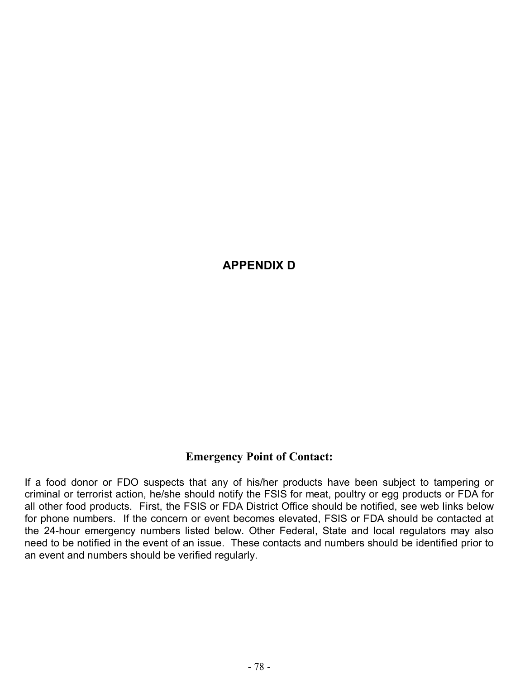**APPENDIX D**

### **Emergency Point of Contact:**

If a food donor or FDO suspects that any of his/her products have been subject to tampering or criminal or terrorist action, he/she should notify the FSIS for meat, poultry or egg products or FDA for all other food products. First, the FSIS or FDA District Office should be notified, see web links below for phone numbers. If the concern or event becomes elevated, FSIS or FDA should be contacted at the 24-hour emergency numbers listed below. Other Federal, State and local regulators may also need to be notified in the event of an issue. These contacts and numbers should be identified prior to an event and numbers should be verified regularly.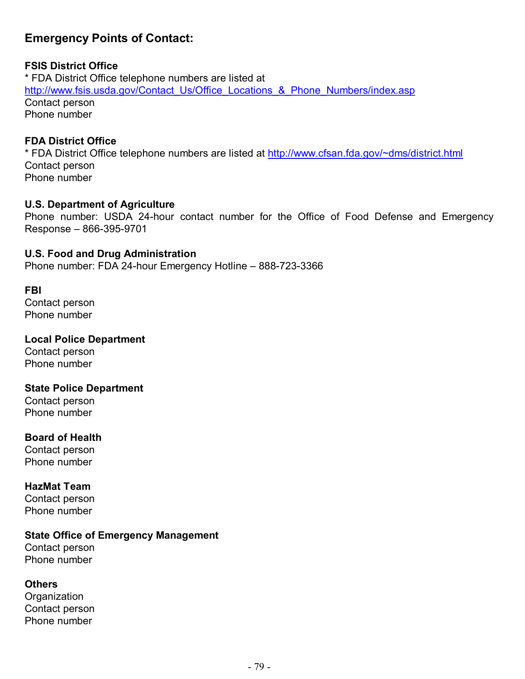## **Emergency Points of Contact:**

#### **FSIS District Office**

\* FDA District Office telephone numbers are listed at [http://www.fsis.usda.gov/Contact\\_Us/Office\\_Locations\\_&\\_Phone\\_Numbers/index.asp](http://www.fsis.usda.gov/Contact_Us/Office_Locations_&_Phone_Numbers/index.asp) Contact person Phone number

#### **FDA District Office**

\* FDA District Office telephone numbers are listed at <http://www.cfsan.fda.gov/~dms/district.html> Contact person Phone number

#### **U.S. Department of Agriculture**

Phone number: USDA 24-hour contact number for the Office of Food Defense and Emergency Response – 866-395-9701

#### **U.S. Food and Drug Administration**

Phone number: FDA 24-hour Emergency Hotline - 888-723-3366

#### **FBI**

Contact person Phone number

# **Local Police Department**

Contact person Phone number

#### **State Police Department**

Contact person Phone number

#### **Board of Health**

Contact person Phone number

#### **HazMat Team**

Contact person Phone number

#### **State Office of Emergency Management**

Contact person Phone number

#### **Others**

**Organization** Contact person Phone number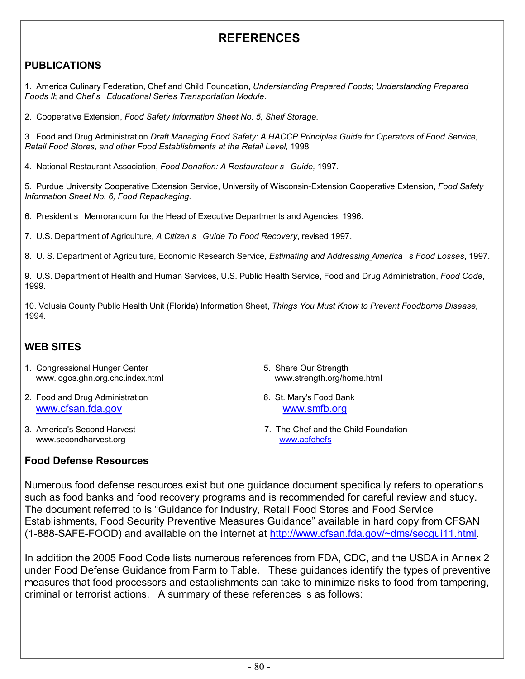# **REFERENCES**

### **PUBLICATIONS**

1. America Culinary Federation, Chef and Child Foundation, *Understanding Prepared Foods*; *Understanding Prepared Foods II*; and *Chef s Educational Series Transportation Module*.

2. Cooperative Extension, *Food Safety Information Sheet No. 5, Shelf Storage.*

3. Food and Drug Administration *Draft Managing Food Safety: A HACCP Principles Guide for Operators of Food Service, Retail Food Stores, and other Food Establishments at the Retail Level,* 1998

4. National Restaurant Association, *Food Donation: A Restaurateur s Guide,* 1997.

5. Purdue University Cooperative Extension Service, University of WisconsinExtension Cooperative Extension, *Food Safety Information Sheet No. 6, Food Repackaging.*

6. President s Memorandum for the Head of Executive Departments and Agencies, 1996.

7. U.S. Department of Agriculture, *A Citizen s Guide To Food Recovery*, revised 1997.

8. U. S. Department of Agriculture, Economic Research Service, *Estimating and Addressing America s Food Losses*, 1997.

9. U.S. Department of Health and Human Services, U.S. Public Health Service, Food and Drug Administration, *Food Code*, 1999.

10. Volusia County Public Health Unit (Florida) Information Sheet, *Things You Must Know to Prevent Foodborne Disease,* 1994.

#### **WEB SITES**

- 1. Congressional Hunger Center **5. Share Our Strength** www.logos.ghn.org.chc.index.html www.strength.org/home.html
- 2. Food and Drug Administration **6. St. Mary's Food Bank** [www.cfsan.fda.gov](http://www.cfsan.fda.gov/) www.smfb.org
- www.secondharvest.org [www.acfchefs](http://www.acfchefs/)
- 
- 3. America's Second Harvest **7. The Chef and the Child Foundation**

### **Food Defense Resources**

Numerous food defense resources exist but one guidance document specifically refers to operations such as food banks and food recovery programs and is recommended for careful review and study. The document referred to is "Guidance for Industry, Retail Food Stores and Food Service Establishments, Food Security Preventive Measures Guidance" available in hard copy from CFSAN (1-888-SAFE-FOOD) and available on the internet at [http://www.cfsan.fda.gov/~dms/secgui11.html.](http://www.cfsan.fda.gov/~dms/secgui11.html)

In addition the 2005 Food Code lists numerous references from FDA, CDC, and the USDA in Annex 2 under Food Defense Guidance from Farm to Table. These guidances identify the types of preventive measures that food processors and establishments can take to minimize risks to food from tampering, criminal or terrorist actions. A summary of these references is as follows: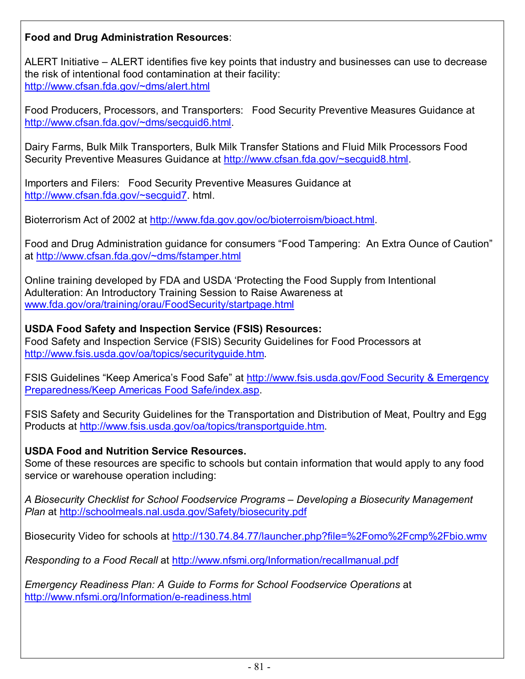## **Food and Drug Administration Resources**:

ALERT Initiative – ALERT identifies five key points that industry and businesses can use to decrease the risk of intentional food contamination at their facility: <http://www.cfsan.fda.gov/~dms/alert.html>

Food Producers, Processors, and Transporters: Food Security Preventive Measures Guidance at [http://www.cfsan.fda.gov/~dms/secguid6.html.](http://www.cfsan.fda.gov/~dms/secguid6.html)

Dairy Farms, Bulk Milk Transporters, Bulk Milk Transfer Stations and Fluid Milk Processors Food Security Preventive Measures Guidance at <http://www.cfsan.fda.gov/~secguid8.html>.

Importers and Filers: Food Security Preventive Measures Guidance at <http://www.cfsan.fda.gov/~secguid7>. html.

Bioterrorism Act of 2002 at <http://www.fda.gov.gov/oc/bioterroism/bioact.html>.

Food and Drug Administration guidance for consumers "Food Tampering: An Extra Ounce of Caution" at<http://www.cfsan.fda.gov/~dms/fstamper.html>

Online training developed by FDA and USDA 'Protecting the Food Supply from Intentional Adulteration: An Introductory Training Session to Raise Awareness at [www.fda.gov/ora/training/orau/FoodSecurity/startpage.html](http://www.fda.gov/ora/training/orau/FoodSecurity/startpage.html)

**USDA Food Safety and Inspection Service (FSIS) Resources:**

Food Safety and Inspection Service (FSIS) Security Guidelines for Food Processors at [http://www.fsis.usda.gov/oa/topics/securityguide.htm.](http://www.fsis.usda.gov/oa/topics/securityguide.htm)

FSIS Guidelines "Keep America's Food Safe" at [http://www.fsis.usda.gov/Food Security & Emergency](http://www.fsis.usda.gov/Food%20Security%20&%20Emergency%20Preparedness/Keep%20Americas%20Food%20Safe/index.asp) Preparedness/Keep Americas Food Safe/index.asp.

FSIS Safety and Security Guidelines for the Transportation and Distribution of Meat, Poultry and Egg Products at<http://www.fsis.usda.gov/oa/topics/transportguide.htm>.

## **USDA Food and Nutrition Service Resources.**

Some of these resources are specific to schools but contain information that would apply to any food service or warehouse operation including:

*A Biosecurity Checklist for School Foodservice Programs – Developing a Biosecurity Management Plan* at <http://schoolmeals.nal.usda.gov/Safety/biosecurity.pdf>

Biosecurity Video for schools at [http://130.74.84.77/launcher.php?file=%2Fomo%2Fcmp%2Fbio.wmv](http://130.74.84.77/launcher.php?file=/omo/cmp/bio.wmv)

*Responding to a Food Recall* at <http://www.nfsmi.org/Information/recallmanual.pdf>

*Emergency Readiness Plan: A Guide to Forms for School Foodservice Operations* at http://www.nfsmi.org/Information/e-readiness.html